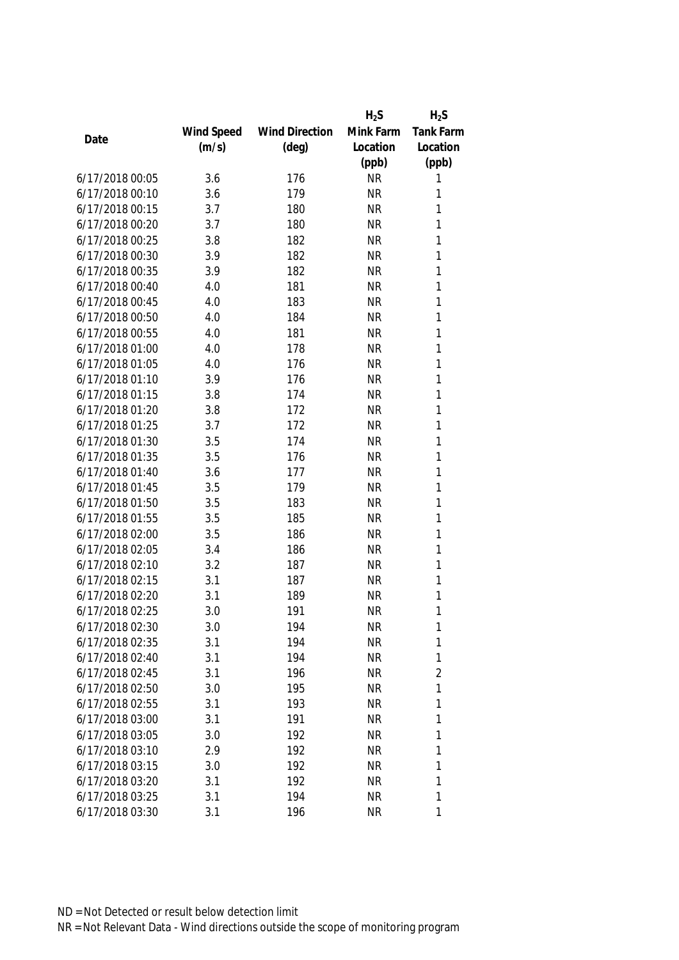|                 |            |                       | $H_2S$    | $H_2S$         |
|-----------------|------------|-----------------------|-----------|----------------|
|                 | Wind Speed | <b>Wind Direction</b> | Mink Farm | Tank Farm      |
| Date            | (m/s)      | $(\text{deg})$        | Location  | Location       |
|                 |            |                       | (ppb)     | (ppb)          |
| 6/17/2018 00:05 | 3.6        | 176                   | <b>NR</b> | 1              |
| 6/17/2018 00:10 | 3.6        | 179                   | <b>NR</b> | 1              |
| 6/17/2018 00:15 | 3.7        | 180                   | <b>NR</b> | 1              |
| 6/17/2018 00:20 | 3.7        | 180                   | <b>NR</b> | 1              |
| 6/17/2018 00:25 | 3.8        | 182                   | <b>NR</b> | 1              |
| 6/17/2018 00:30 | 3.9        | 182                   | <b>NR</b> | 1              |
| 6/17/2018 00:35 | 3.9        | 182                   | <b>NR</b> | 1              |
| 6/17/2018 00:40 | 4.0        | 181                   | <b>NR</b> | 1              |
| 6/17/2018 00:45 | 4.0        | 183                   | <b>NR</b> | 1              |
| 6/17/2018 00:50 | 4.0        | 184                   | <b>NR</b> | 1              |
| 6/17/2018 00:55 | 4.0        | 181                   | <b>NR</b> | 1              |
| 6/17/2018 01:00 | 4.0        | 178                   | <b>NR</b> | 1              |
| 6/17/2018 01:05 | 4.0        | 176                   | <b>NR</b> | 1              |
| 6/17/2018 01:10 | 3.9        | 176                   | <b>NR</b> | 1              |
| 6/17/2018 01:15 | 3.8        | 174                   | <b>NR</b> | 1              |
| 6/17/2018 01:20 | 3.8        | 172                   | <b>NR</b> | $\mathbf{1}$   |
| 6/17/2018 01:25 | 3.7        | 172                   | <b>NR</b> | 1              |
| 6/17/2018 01:30 | 3.5        | 174                   | <b>NR</b> | 1              |
| 6/17/2018 01:35 | 3.5        | 176                   | <b>NR</b> | 1              |
| 6/17/2018 01:40 | 3.6        | 177                   | <b>NR</b> | 1              |
| 6/17/2018 01:45 | 3.5        | 179                   | <b>NR</b> | 1              |
| 6/17/2018 01:50 | 3.5        | 183                   | <b>NR</b> | 1              |
| 6/17/2018 01:55 | 3.5        | 185                   | <b>NR</b> | $\mathbf{1}$   |
| 6/17/2018 02:00 | 3.5        | 186                   | <b>NR</b> | 1              |
| 6/17/2018 02:05 | 3.4        | 186                   | <b>NR</b> | 1              |
| 6/17/2018 02:10 | 3.2        | 187                   | <b>NR</b> | 1              |
| 6/17/2018 02:15 | 3.1        | 187                   | <b>NR</b> | 1              |
| 6/17/2018 02:20 | 3.1        | 189                   | <b>NR</b> | 1              |
| 6/17/2018 02:25 | 3.0        | 191                   | <b>NR</b> | 1              |
| 6/17/2018 02:30 | 3.0        | 194                   | <b>NR</b> | 1              |
| 6/17/2018 02:35 | 3.1        | 194                   | <b>NR</b> | 1              |
| 6/17/2018 02:40 | 3.1        | 194                   | <b>NR</b> | 1              |
| 6/17/2018 02:45 | 3.1        | 196                   | <b>NR</b> | $\overline{2}$ |
| 6/17/2018 02:50 | 3.0        | 195                   | <b>NR</b> | 1              |
| 6/17/2018 02:55 | 3.1        | 193                   | <b>NR</b> | 1              |
| 6/17/2018 03:00 | 3.1        | 191                   | <b>NR</b> | 1              |
| 6/17/2018 03:05 | 3.0        | 192                   | <b>NR</b> | 1              |
| 6/17/2018 03:10 | 2.9        | 192                   | <b>NR</b> | 1              |
| 6/17/2018 03:15 | 3.0        | 192                   | <b>NR</b> | 1              |
| 6/17/2018 03:20 | 3.1        | 192                   | <b>NR</b> | 1              |
| 6/17/2018 03:25 | 3.1        | 194                   | <b>NR</b> | 1              |
| 6/17/2018 03:30 | 3.1        | 196                   | <b>NR</b> | 1              |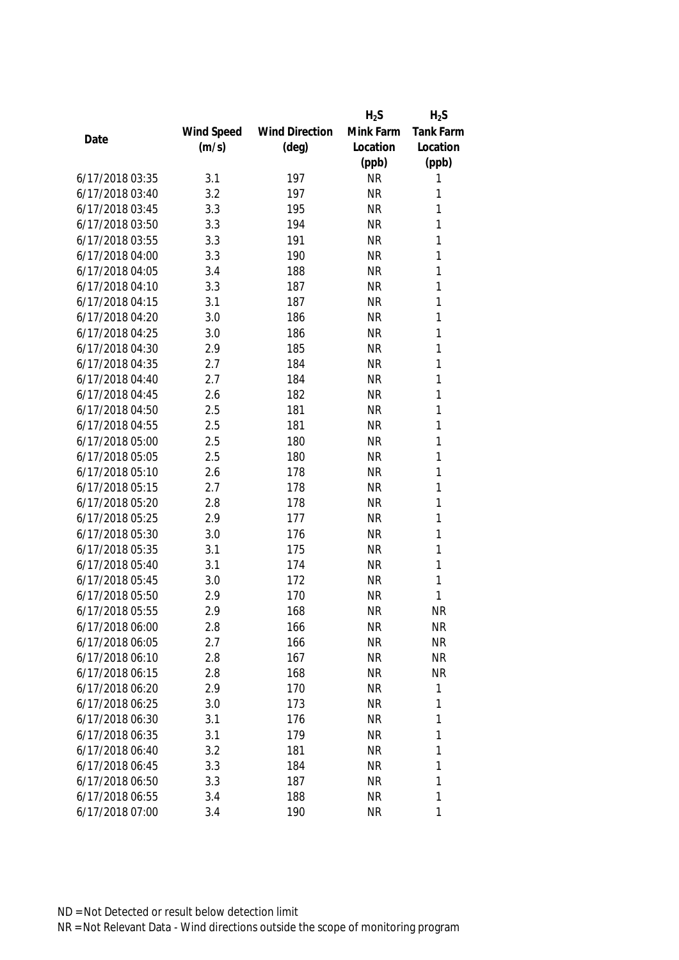|                 |            |                       | $H_2S$    | $H_2S$       |
|-----------------|------------|-----------------------|-----------|--------------|
|                 | Wind Speed | <b>Wind Direction</b> | Mink Farm | Tank Farm    |
| Date            | (m/s)      | $(\text{deg})$        | Location  | Location     |
|                 |            |                       | (ppb)     | (ppb)        |
| 6/17/2018 03:35 | 3.1        | 197                   | <b>NR</b> | 1            |
| 6/17/2018 03:40 | 3.2        | 197                   | <b>NR</b> | 1            |
| 6/17/2018 03:45 | 3.3        | 195                   | <b>NR</b> | 1            |
| 6/17/2018 03:50 | 3.3        | 194                   | <b>NR</b> | 1            |
| 6/17/2018 03:55 | 3.3        | 191                   | <b>NR</b> | 1            |
| 6/17/2018 04:00 | 3.3        | 190                   | <b>NR</b> | $\mathbf{1}$ |
| 6/17/2018 04:05 | 3.4        | 188                   | <b>NR</b> | 1            |
| 6/17/2018 04:10 | 3.3        | 187                   | <b>NR</b> | $\mathbf{1}$ |
| 6/17/2018 04:15 | 3.1        | 187                   | <b>NR</b> | 1            |
| 6/17/2018 04:20 | 3.0        | 186                   | <b>NR</b> | $\mathbf{1}$ |
| 6/17/2018 04:25 | 3.0        | 186                   | <b>NR</b> | 1            |
| 6/17/2018 04:30 | 2.9        | 185                   | <b>NR</b> | 1            |
| 6/17/2018 04:35 | 2.7        | 184                   | <b>NR</b> | 1            |
| 6/17/2018 04:40 | 2.7        | 184                   | <b>NR</b> | 1            |
| 6/17/2018 04:45 | 2.6        | 182                   | <b>NR</b> | 1            |
| 6/17/2018 04:50 | 2.5        | 181                   | <b>NR</b> | $\mathbf{1}$ |
| 6/17/2018 04:55 | 2.5        | 181                   | <b>NR</b> | 1            |
| 6/17/2018 05:00 | 2.5        | 180                   | <b>NR</b> | 1            |
| 6/17/2018 05:05 | 2.5        | 180                   | <b>NR</b> | 1            |
| 6/17/2018 05:10 | 2.6        | 178                   | <b>NR</b> | 1            |
| 6/17/2018 05:15 | 2.7        | 178                   | <b>NR</b> | 1            |
| 6/17/2018 05:20 | 2.8        | 178                   | <b>NR</b> | $\mathbf{1}$ |
| 6/17/2018 05:25 | 2.9        | 177                   | <b>NR</b> | 1            |
| 6/17/2018 05:30 | 3.0        | 176                   | <b>NR</b> | $\mathbf{1}$ |
| 6/17/2018 05:35 | 3.1        | 175                   | <b>NR</b> | $\mathbf{1}$ |
| 6/17/2018 05:40 | 3.1        | 174                   | <b>NR</b> | 1            |
| 6/17/2018 05:45 | 3.0        | 172                   | <b>NR</b> | 1            |
| 6/17/2018 05:50 | 2.9        | 170                   | <b>NR</b> | 1            |
| 6/17/2018 05:55 | 2.9        | 168                   | <b>NR</b> | <b>NR</b>    |
| 6/17/2018 06:00 | 2.8        | 166                   | <b>NR</b> | <b>NR</b>    |
| 6/17/2018 06:05 | 2.7        | 166                   | <b>NR</b> | <b>NR</b>    |
| 6/17/2018 06:10 | 2.8        | 167                   | <b>NR</b> | <b>NR</b>    |
| 6/17/2018 06:15 | 2.8        | 168                   | <b>NR</b> | <b>NR</b>    |
| 6/17/2018 06:20 | 2.9        | 170                   | <b>NR</b> | 1            |
| 6/17/2018 06:25 | 3.0        | 173                   | <b>NR</b> | $\mathbf{1}$ |
| 6/17/2018 06:30 | 3.1        | 176                   | <b>NR</b> | $\mathbf{1}$ |
| 6/17/2018 06:35 | 3.1        | 179                   | <b>NR</b> | 1            |
| 6/17/2018 06:40 | 3.2        | 181                   | <b>NR</b> | 1            |
| 6/17/2018 06:45 | 3.3        | 184                   | <b>NR</b> | 1            |
| 6/17/2018 06:50 | 3.3        | 187                   | <b>NR</b> | 1            |
| 6/17/2018 06:55 | 3.4        | 188                   | <b>NR</b> | 1            |
| 6/17/2018 07:00 | 3.4        | 190                   | <b>NR</b> | 1            |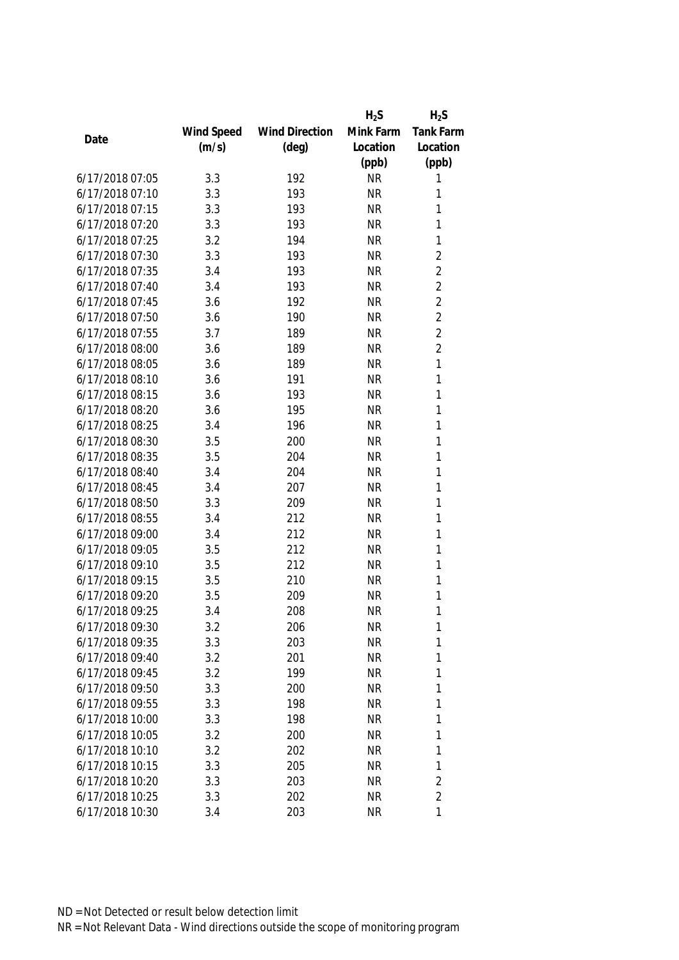|                 |            |                       | $H_2S$    | $H_2S$         |
|-----------------|------------|-----------------------|-----------|----------------|
|                 | Wind Speed | <b>Wind Direction</b> | Mink Farm | Tank Farm      |
| Date            | (m/s)      | $(\text{deg})$        | Location  | Location       |
|                 |            |                       | (ppb)     | (ppb)          |
| 6/17/2018 07:05 | 3.3        | 192                   | <b>NR</b> | 1              |
| 6/17/2018 07:10 | 3.3        | 193                   | <b>NR</b> | 1              |
| 6/17/2018 07:15 | 3.3        | 193                   | <b>NR</b> | 1              |
| 6/17/2018 07:20 | 3.3        | 193                   | <b>NR</b> | 1              |
| 6/17/2018 07:25 | 3.2        | 194                   | <b>NR</b> | $\mathbf{1}$   |
| 6/17/2018 07:30 | 3.3        | 193                   | <b>NR</b> | $\sqrt{2}$     |
| 6/17/2018 07:35 | 3.4        | 193                   | <b>NR</b> | $\overline{2}$ |
| 6/17/2018 07:40 | 3.4        | 193                   | <b>NR</b> | $\overline{2}$ |
| 6/17/2018 07:45 | 3.6        | 192                   | <b>NR</b> | $\overline{2}$ |
| 6/17/2018 07:50 | 3.6        | 190                   | <b>NR</b> | $\overline{2}$ |
| 6/17/2018 07:55 | 3.7        | 189                   | <b>NR</b> | $\overline{2}$ |
| 6/17/2018 08:00 | 3.6        | 189                   | <b>NR</b> | $\overline{2}$ |
| 6/17/2018 08:05 | 3.6        | 189                   | <b>NR</b> | 1              |
| 6/17/2018 08:10 | 3.6        | 191                   | <b>NR</b> | 1              |
| 6/17/2018 08:15 | 3.6        | 193                   | <b>NR</b> | $\mathbf{1}$   |
| 6/17/2018 08:20 | 3.6        | 195                   | <b>NR</b> | $\mathbf{1}$   |
| 6/17/2018 08:25 | 3.4        | 196                   | <b>NR</b> | 1              |
| 6/17/2018 08:30 | 3.5        | 200                   | <b>NR</b> | 1              |
| 6/17/2018 08:35 | 3.5        | 204                   | <b>NR</b> | 1              |
| 6/17/2018 08:40 | 3.4        | 204                   | <b>NR</b> | 1              |
| 6/17/2018 08:45 | 3.4        | 207                   | <b>NR</b> | 1              |
| 6/17/2018 08:50 | 3.3        | 209                   | <b>NR</b> | 1              |
| 6/17/2018 08:55 | 3.4        | 212                   | <b>NR</b> | $\mathbf{1}$   |
| 6/17/2018 09:00 | 3.4        | 212                   | <b>NR</b> | 1              |
| 6/17/2018 09:05 | 3.5        | 212                   | <b>NR</b> | 1              |
| 6/17/2018 09:10 | 3.5        | 212                   | <b>NR</b> | 1              |
| 6/17/2018 09:15 | 3.5        | 210                   | <b>NR</b> | 1              |
| 6/17/2018 09:20 | 3.5        | 209                   | <b>NR</b> | 1              |
| 6/17/2018 09:25 | 3.4        | 208                   | <b>NR</b> | 1              |
| 6/17/2018 09:30 | 3.2        | 206                   | <b>NR</b> | 1              |
| 6/17/2018 09:35 | 3.3        | 203                   | <b>NR</b> | 1              |
| 6/17/2018 09:40 | 3.2        | 201                   | <b>NR</b> | 1              |
| 6/17/2018 09:45 | 3.2        | 199                   | <b>NR</b> | 1              |
| 6/17/2018 09:50 | 3.3        | 200                   | <b>NR</b> | 1              |
| 6/17/2018 09:55 | 3.3        | 198                   | <b>NR</b> | 1              |
| 6/17/2018 10:00 | 3.3        | 198                   | <b>NR</b> | 1              |
| 6/17/2018 10:05 | 3.2        | 200                   | <b>NR</b> | 1              |
| 6/17/2018 10:10 | 3.2        | 202                   | <b>NR</b> | 1              |
| 6/17/2018 10:15 | 3.3        | 205                   | <b>NR</b> | 1              |
| 6/17/2018 10:20 | 3.3        | 203                   | <b>NR</b> | $\sqrt{2}$     |
| 6/17/2018 10:25 | 3.3        | 202                   | <b>NR</b> | $\overline{2}$ |
| 6/17/2018 10:30 | 3.4        | 203                   | <b>NR</b> | $\mathbf{1}$   |
|                 |            |                       |           |                |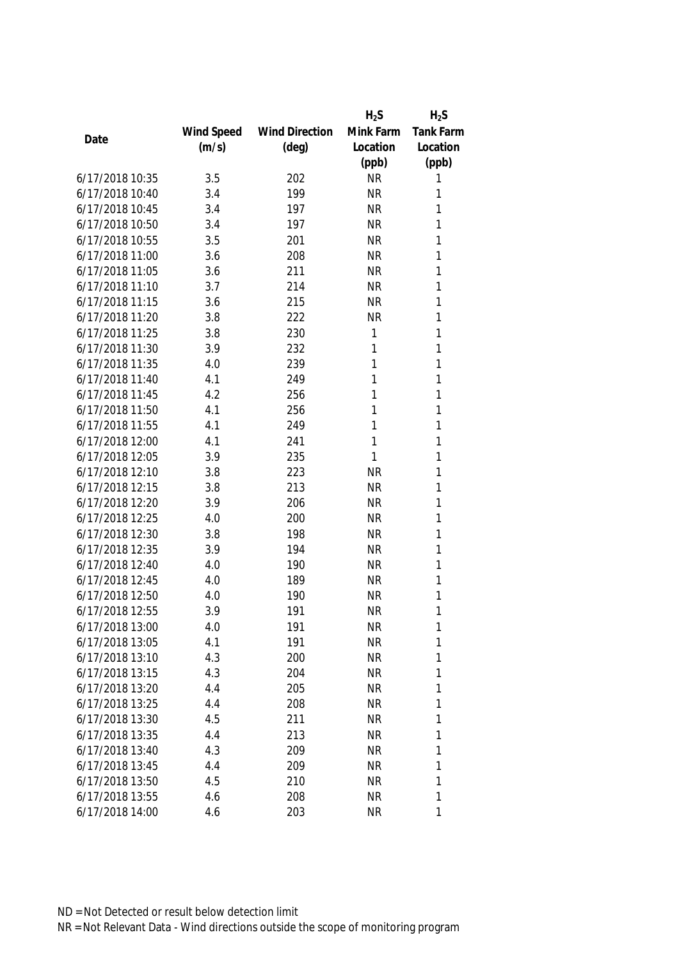|                 |            |                       | $H_2S$    | $H_2S$           |
|-----------------|------------|-----------------------|-----------|------------------|
|                 | Wind Speed | <b>Wind Direction</b> | Mink Farm | <b>Tank Farm</b> |
| Date            | (m/s)      | $(\text{deg})$        | Location  | Location         |
|                 |            |                       | (ppb)     | (ppb)            |
| 6/17/2018 10:35 | 3.5        | 202                   | <b>NR</b> | 1                |
| 6/17/2018 10:40 | 3.4        | 199                   | <b>NR</b> | 1                |
| 6/17/2018 10:45 | 3.4        | 197                   | <b>NR</b> | 1                |
| 6/17/2018 10:50 | 3.4        | 197                   | <b>NR</b> | 1                |
| 6/17/2018 10:55 | 3.5        | 201                   | <b>NR</b> | 1                |
| 6/17/2018 11:00 | 3.6        | 208                   | <b>NR</b> | 1                |
| 6/17/2018 11:05 | 3.6        | 211                   | <b>NR</b> | 1                |
| 6/17/2018 11:10 | 3.7        | 214                   | <b>NR</b> | 1                |
| 6/17/2018 11:15 | 3.6        | 215                   | <b>NR</b> | 1                |
| 6/17/2018 11:20 | 3.8        | 222                   | <b>NR</b> | 1                |
| 6/17/2018 11:25 | 3.8        | 230                   | 1         | 1                |
| 6/17/2018 11:30 | 3.9        | 232                   | 1         | 1                |
| 6/17/2018 11:35 | 4.0        | 239                   | 1         | 1                |
| 6/17/2018 11:40 | 4.1        | 249                   | 1         | 1                |
| 6/17/2018 11:45 | 4.2        | 256                   | 1         | 1                |
| 6/17/2018 11:50 | 4.1        | 256                   | 1         | 1                |
| 6/17/2018 11:55 | 4.1        | 249                   | 1         | 1                |
| 6/17/2018 12:00 | 4.1        | 241                   | 1         | 1                |
| 6/17/2018 12:05 | 3.9        | 235                   | 1         | 1                |
| 6/17/2018 12:10 | 3.8        | 223                   | <b>NR</b> | 1                |
| 6/17/2018 12:15 | 3.8        | 213                   | <b>NR</b> | 1                |
| 6/17/2018 12:20 | 3.9        | 206                   | <b>NR</b> | 1                |
| 6/17/2018 12:25 | 4.0        | 200                   | <b>NR</b> | 1                |
| 6/17/2018 12:30 | 3.8        | 198                   | <b>NR</b> | 1                |
| 6/17/2018 12:35 | 3.9        | 194                   | <b>NR</b> | 1                |
| 6/17/2018 12:40 | 4.0        | 190                   | <b>NR</b> | 1                |
| 6/17/2018 12:45 | 4.0        | 189                   | <b>NR</b> | 1                |
| 6/17/2018 12:50 | 4.0        | 190                   | <b>NR</b> | 1                |
| 6/17/2018 12:55 | 3.9        | 191                   | <b>NR</b> | 1                |
| 6/17/2018 13:00 | 4.0        | 191                   | <b>NR</b> | 1                |
| 6/17/2018 13:05 | 4.1        | 191                   | <b>NR</b> | 1                |
| 6/17/2018 13:10 | 4.3        | 200                   | <b>NR</b> | 1                |
| 6/17/2018 13:15 | 4.3        | 204                   | <b>NR</b> | 1                |
| 6/17/2018 13:20 | 4.4        | 205                   | <b>NR</b> | 1                |
| 6/17/2018 13:25 | 4.4        | 208                   | <b>NR</b> | 1                |
| 6/17/2018 13:30 | 4.5        | 211                   | <b>NR</b> | 1                |
| 6/17/2018 13:35 | 4.4        | 213                   | <b>NR</b> | 1                |
| 6/17/2018 13:40 | 4.3        | 209                   | <b>NR</b> | 1                |
| 6/17/2018 13:45 | 4.4        | 209                   | <b>NR</b> | 1                |
| 6/17/2018 13:50 | 4.5        | 210                   | <b>NR</b> | 1                |
| 6/17/2018 13:55 | 4.6        | 208                   | <b>NR</b> | 1                |
| 6/17/2018 14:00 | 4.6        | 203                   | <b>NR</b> | 1                |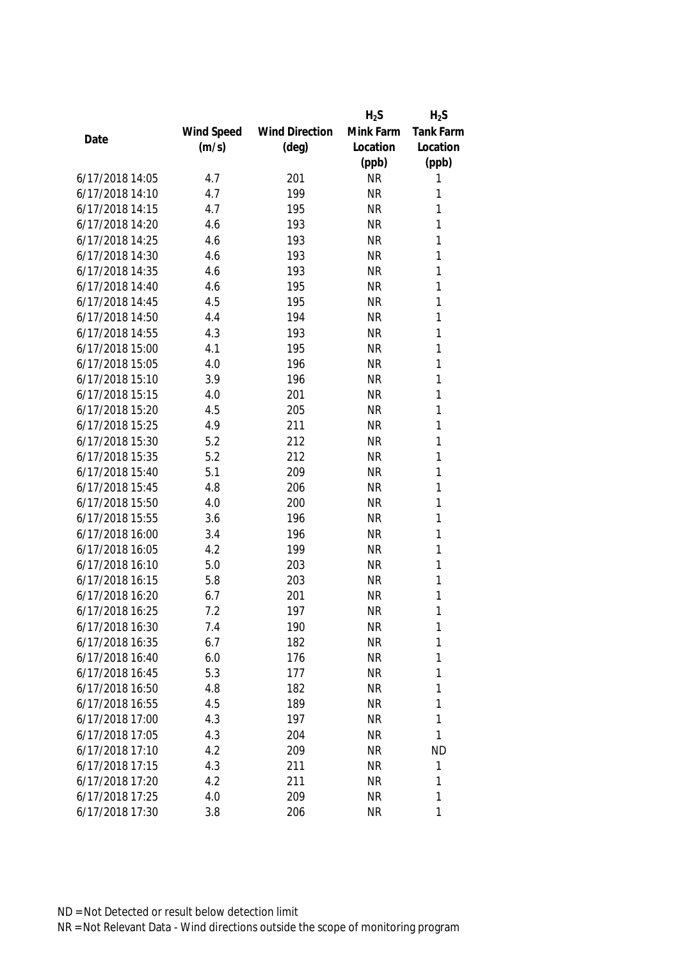|                 |            |                       | $H_2S$    | $H_2S$           |
|-----------------|------------|-----------------------|-----------|------------------|
|                 | Wind Speed | <b>Wind Direction</b> | Mink Farm | <b>Tank Farm</b> |
| Date            | (m/s)      | $(\text{deg})$        | Location  | Location         |
|                 |            |                       | (ppb)     | (ppb)            |
| 6/17/2018 14:05 | 4.7        | 201                   | <b>NR</b> | 1                |
| 6/17/2018 14:10 | 4.7        | 199                   | <b>NR</b> | 1                |
| 6/17/2018 14:15 | 4.7        | 195                   | <b>NR</b> | 1                |
| 6/17/2018 14:20 | 4.6        | 193                   | <b>NR</b> | 1                |
| 6/17/2018 14:25 | 4.6        | 193                   | <b>NR</b> | 1                |
| 6/17/2018 14:30 | 4.6        | 193                   | <b>NR</b> | 1                |
| 6/17/2018 14:35 | 4.6        | 193                   | <b>NR</b> | 1                |
| 6/17/2018 14:40 | 4.6        | 195                   | <b>NR</b> | 1                |
| 6/17/2018 14:45 | 4.5        | 195                   | <b>NR</b> | 1                |
| 6/17/2018 14:50 | 4.4        | 194                   | <b>NR</b> | 1                |
| 6/17/2018 14:55 | 4.3        | 193                   | <b>NR</b> | 1                |
| 6/17/2018 15:00 | 4.1        | 195                   | <b>NR</b> | 1                |
| 6/17/2018 15:05 | 4.0        | 196                   | <b>NR</b> | 1                |
| 6/17/2018 15:10 | 3.9        | 196                   | <b>NR</b> | 1                |
| 6/17/2018 15:15 | 4.0        | 201                   | <b>NR</b> | 1                |
| 6/17/2018 15:20 | 4.5        | 205                   | <b>NR</b> | 1                |
| 6/17/2018 15:25 | 4.9        | 211                   | <b>NR</b> | 1                |
| 6/17/2018 15:30 | 5.2        | 212                   | <b>NR</b> | 1                |
| 6/17/2018 15:35 | 5.2        | 212                   | <b>NR</b> | 1                |
| 6/17/2018 15:40 | 5.1        | 209                   | <b>NR</b> | 1                |
| 6/17/2018 15:45 | 4.8        | 206                   | <b>NR</b> | 1                |
| 6/17/2018 15:50 | 4.0        | 200                   | <b>NR</b> | 1                |
| 6/17/2018 15:55 | 3.6        | 196                   | <b>NR</b> | 1                |
| 6/17/2018 16:00 | 3.4        | 196                   | <b>NR</b> | 1                |
| 6/17/2018 16:05 | 4.2        | 199                   | <b>NR</b> | 1                |
| 6/17/2018 16:10 | 5.0        | 203                   | <b>NR</b> | 1                |
| 6/17/2018 16:15 | 5.8        | 203                   | <b>NR</b> | 1                |
| 6/17/2018 16:20 | 6.7        | 201                   | <b>NR</b> | 1                |
| 6/17/2018 16:25 | 7.2        | 197                   | <b>NR</b> | 1                |
| 6/17/2018 16:30 | 7.4        | 190                   | <b>NR</b> | 1                |
| 6/17/2018 16:35 | 6.7        | 182                   | <b>NR</b> | 1                |
| 6/17/2018 16:40 | 6.0        | 176                   | <b>NR</b> | 1                |
| 6/17/2018 16:45 | 5.3        | 177                   | <b>NR</b> | 1                |
| 6/17/2018 16:50 | 4.8        | 182                   | <b>NR</b> | 1                |
| 6/17/2018 16:55 | 4.5        | 189                   | <b>NR</b> | 1                |
| 6/17/2018 17:00 | 4.3        | 197                   | <b>NR</b> | 1                |
| 6/17/2018 17:05 | 4.3        | 204                   | <b>NR</b> | 1                |
| 6/17/2018 17:10 | 4.2        | 209                   | <b>NR</b> | <b>ND</b>        |
| 6/17/2018 17:15 | 4.3        | 211                   | <b>NR</b> | 1                |
| 6/17/2018 17:20 | 4.2        | 211                   | <b>NR</b> | 1                |
| 6/17/2018 17:25 | 4.0        | 209                   | <b>NR</b> | 1                |
| 6/17/2018 17:30 | 3.8        | 206                   | <b>NR</b> | 1                |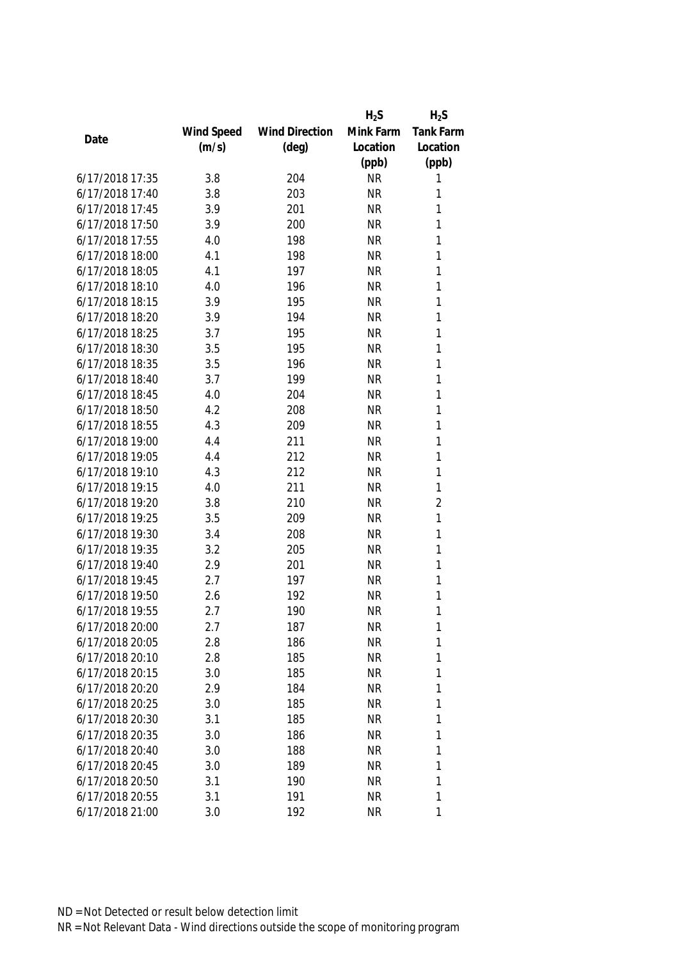|                 |            |                       | $H_2S$    | $H_2S$         |
|-----------------|------------|-----------------------|-----------|----------------|
|                 | Wind Speed | <b>Wind Direction</b> | Mink Farm | Tank Farm      |
| Date            | (m/s)      | $(\text{deg})$        | Location  | Location       |
|                 |            |                       | (ppb)     | (ppb)          |
| 6/17/2018 17:35 | 3.8        | 204                   | <b>NR</b> | 1              |
| 6/17/2018 17:40 | 3.8        | 203                   | <b>NR</b> | 1              |
| 6/17/2018 17:45 | 3.9        | 201                   | <b>NR</b> | 1              |
| 6/17/2018 17:50 | 3.9        | 200                   | <b>NR</b> | 1              |
| 6/17/2018 17:55 | 4.0        | 198                   | <b>NR</b> | 1              |
| 6/17/2018 18:00 | 4.1        | 198                   | <b>NR</b> | 1              |
| 6/17/2018 18:05 | 4.1        | 197                   | <b>NR</b> | 1              |
| 6/17/2018 18:10 | 4.0        | 196                   | <b>NR</b> | 1              |
| 6/17/2018 18:15 | 3.9        | 195                   | <b>NR</b> | 1              |
| 6/17/2018 18:20 | 3.9        | 194                   | <b>NR</b> | 1              |
| 6/17/2018 18:25 | 3.7        | 195                   | <b>NR</b> | 1              |
| 6/17/2018 18:30 | 3.5        | 195                   | <b>NR</b> | 1              |
| 6/17/2018 18:35 | 3.5        | 196                   | <b>NR</b> | 1              |
| 6/17/2018 18:40 | 3.7        | 199                   | <b>NR</b> | 1              |
| 6/17/2018 18:45 | 4.0        | 204                   | <b>NR</b> | 1              |
| 6/17/2018 18:50 | 4.2        | 208                   | <b>NR</b> | $\mathbf{1}$   |
| 6/17/2018 18:55 | 4.3        | 209                   | <b>NR</b> | 1              |
| 6/17/2018 19:00 | 4.4        | 211                   | <b>NR</b> | 1              |
| 6/17/2018 19:05 | 4.4        | 212                   | <b>NR</b> | 1              |
| 6/17/2018 19:10 | 4.3        | 212                   | <b>NR</b> | 1              |
| 6/17/2018 19:15 | 4.0        | 211                   | <b>NR</b> | 1              |
| 6/17/2018 19:20 | 3.8        | 210                   | <b>NR</b> | $\overline{2}$ |
| 6/17/2018 19:25 | 3.5        | 209                   | <b>NR</b> | $\mathbf{1}$   |
| 6/17/2018 19:30 | 3.4        | 208                   | <b>NR</b> | $\mathbf{1}$   |
| 6/17/2018 19:35 | 3.2        | 205                   | <b>NR</b> | 1              |
| 6/17/2018 19:40 | 2.9        | 201                   | <b>NR</b> | 1              |
| 6/17/2018 19:45 | 2.7        | 197                   | <b>NR</b> | 1              |
| 6/17/2018 19:50 | 2.6        | 192                   | <b>NR</b> | 1              |
| 6/17/2018 19:55 | 2.7        | 190                   | <b>NR</b> | 1              |
| 6/17/2018 20:00 | 2.7        | 187                   | <b>NR</b> | 1              |
| 6/17/2018 20:05 | 2.8        | 186                   | <b>NR</b> | 1              |
| 6/17/2018 20:10 | 2.8        | 185                   | <b>NR</b> | 1              |
| 6/17/2018 20:15 | 3.0        | 185                   | <b>NR</b> | 1              |
| 6/17/2018 20:20 | 2.9        | 184                   | NR        | 1              |
| 6/17/2018 20:25 | 3.0        | 185                   | <b>NR</b> | 1              |
| 6/17/2018 20:30 | 3.1        | 185                   | <b>NR</b> | 1              |
| 6/17/2018 20:35 | 3.0        | 186                   | <b>NR</b> | 1              |
| 6/17/2018 20:40 | 3.0        | 188                   | <b>NR</b> | 1              |
| 6/17/2018 20:45 | 3.0        | 189                   | <b>NR</b> | 1              |
| 6/17/2018 20:50 | 3.1        | 190                   | <b>NR</b> | 1              |
| 6/17/2018 20:55 | 3.1        | 191                   | <b>NR</b> | 1              |
| 6/17/2018 21:00 | 3.0        | 192                   | <b>NR</b> | 1              |
|                 |            |                       |           |                |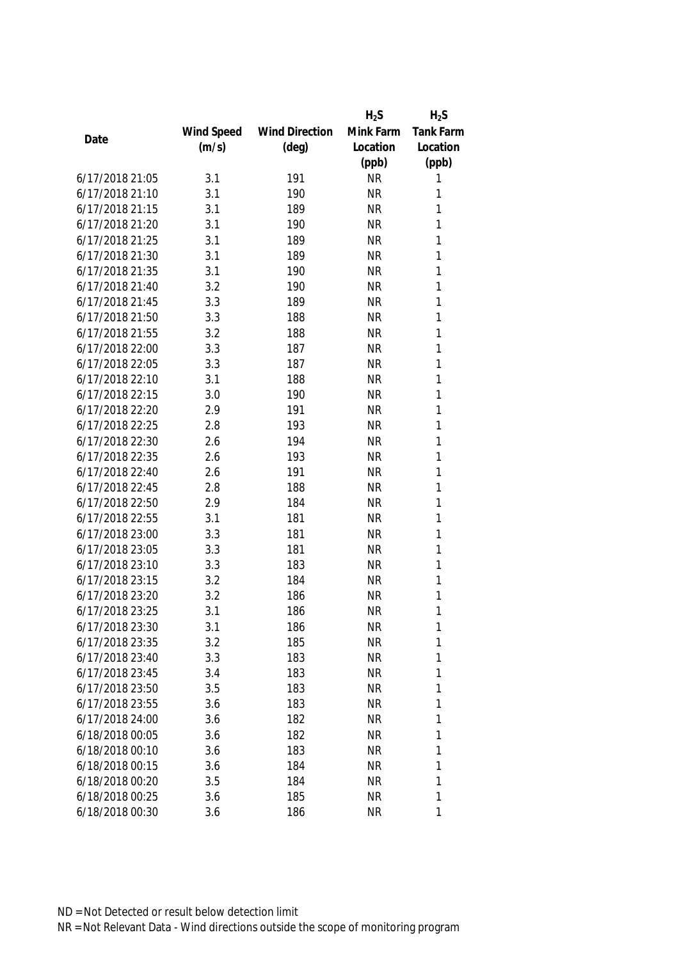|                 |            |                       | $H_2S$    | $H_2S$       |
|-----------------|------------|-----------------------|-----------|--------------|
|                 | Wind Speed | <b>Wind Direction</b> | Mink Farm | Tank Farm    |
| Date            | (m/s)      | $(\text{deg})$        | Location  | Location     |
|                 |            |                       | (ppb)     | (ppb)        |
| 6/17/2018 21:05 | 3.1        | 191                   | <b>NR</b> | 1            |
| 6/17/2018 21:10 | 3.1        | 190                   | <b>NR</b> | 1            |
| 6/17/2018 21:15 | 3.1        | 189                   | <b>NR</b> | 1            |
| 6/17/2018 21:20 | 3.1        | 190                   | <b>NR</b> | 1            |
| 6/17/2018 21:25 | 3.1        | 189                   | <b>NR</b> | 1            |
| 6/17/2018 21:30 | 3.1        | 189                   | <b>NR</b> | 1            |
| 6/17/2018 21:35 | 3.1        | 190                   | <b>NR</b> | 1            |
| 6/17/2018 21:40 | 3.2        | 190                   | <b>NR</b> | 1            |
| 6/17/2018 21:45 | 3.3        | 189                   | <b>NR</b> | 1            |
| 6/17/2018 21:50 | 3.3        | 188                   | <b>NR</b> | 1            |
| 6/17/2018 21:55 | 3.2        | 188                   | <b>NR</b> | 1            |
| 6/17/2018 22:00 | 3.3        | 187                   | <b>NR</b> | 1            |
| 6/17/2018 22:05 | 3.3        | 187                   | <b>NR</b> | 1            |
| 6/17/2018 22:10 | 3.1        | 188                   | <b>NR</b> | 1            |
| 6/17/2018 22:15 | 3.0        | 190                   | <b>NR</b> | 1            |
| 6/17/2018 22:20 | 2.9        | 191                   | <b>NR</b> | $\mathbf{1}$ |
| 6/17/2018 22:25 | 2.8        | 193                   | <b>NR</b> | 1            |
| 6/17/2018 22:30 | 2.6        | 194                   | <b>NR</b> | 1            |
| 6/17/2018 22:35 | 2.6        | 193                   | <b>NR</b> | 1            |
| 6/17/2018 22:40 | 2.6        | 191                   | <b>NR</b> | 1            |
| 6/17/2018 22:45 | 2.8        | 188                   | <b>NR</b> | 1            |
| 6/17/2018 22:50 | 2.9        | 184                   | <b>NR</b> | 1            |
| 6/17/2018 22:55 | 3.1        | 181                   | <b>NR</b> | 1            |
| 6/17/2018 23:00 | 3.3        | 181                   | <b>NR</b> | 1            |
| 6/17/2018 23:05 | 3.3        | 181                   | <b>NR</b> | 1            |
| 6/17/2018 23:10 | 3.3        | 183                   | <b>NR</b> | 1            |
| 6/17/2018 23:15 | 3.2        | 184                   | <b>NR</b> | 1            |
| 6/17/2018 23:20 | 3.2        | 186                   | <b>NR</b> | 1            |
| 6/17/2018 23:25 | 3.1        | 186                   | <b>NR</b> | 1            |
| 6/17/2018 23:30 | 3.1        | 186                   | <b>NR</b> | 1            |
| 6/17/2018 23:35 | 3.2        | 185                   | <b>NR</b> | 1            |
| 6/17/2018 23:40 | 3.3        | 183                   | <b>NR</b> | 1            |
| 6/17/2018 23:45 | 3.4        | 183                   | <b>NR</b> | 1            |
| 6/17/2018 23:50 | 3.5        | 183                   | NR        | 1            |
| 6/17/2018 23:55 | 3.6        | 183                   | <b>NR</b> | 1            |
| 6/17/2018 24:00 | 3.6        | 182                   | <b>NR</b> | 1            |
| 6/18/2018 00:05 | 3.6        | 182                   | <b>NR</b> | 1            |
| 6/18/2018 00:10 | 3.6        | 183                   | NR        | 1            |
| 6/18/2018 00:15 | 3.6        | 184                   | <b>NR</b> | 1            |
| 6/18/2018 00:20 | 3.5        | 184                   | ΝR        | 1            |
| 6/18/2018 00:25 | 3.6        | 185                   | <b>NR</b> | 1            |
| 6/18/2018 00:30 | 3.6        | 186                   | <b>NR</b> | 1            |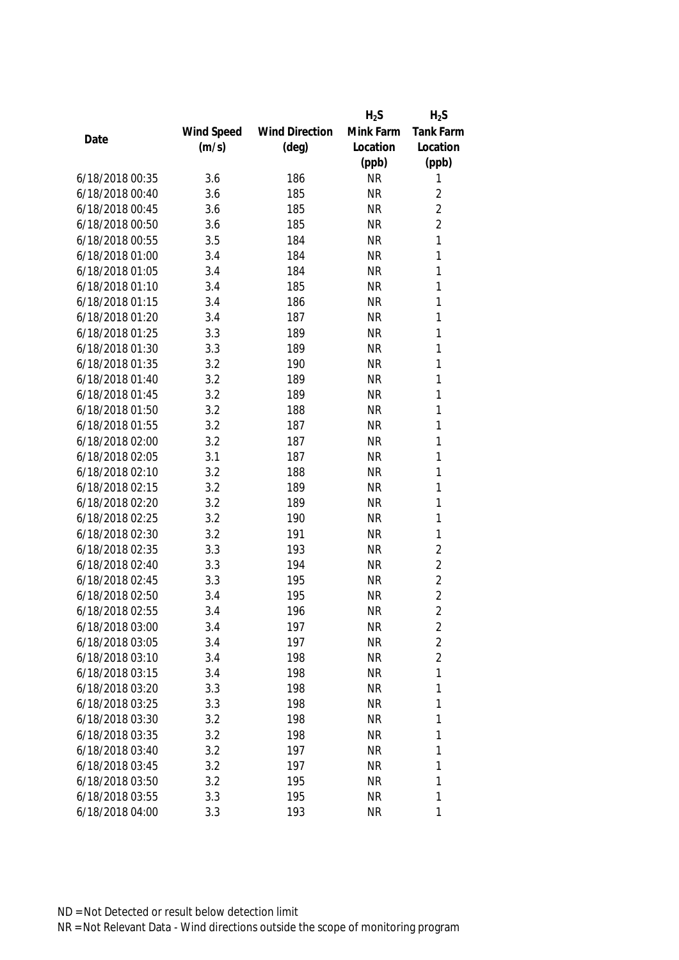|                 |            |                       | $H_2S$    | $H_2S$         |
|-----------------|------------|-----------------------|-----------|----------------|
|                 | Wind Speed | <b>Wind Direction</b> | Mink Farm | Tank Farm      |
| Date            | (m/s)      | $(\text{deg})$        | Location  | Location       |
|                 |            |                       | (ppb)     | (ppb)          |
| 6/18/2018 00:35 | 3.6        | 186                   | <b>NR</b> | 1              |
| 6/18/2018 00:40 | 3.6        | 185                   | <b>NR</b> | $\sqrt{2}$     |
| 6/18/2018 00:45 | 3.6        | 185                   | <b>NR</b> | $\overline{2}$ |
| 6/18/2018 00:50 | 3.6        | 185                   | <b>NR</b> | $\overline{2}$ |
| 6/18/2018 00:55 | 3.5        | 184                   | <b>NR</b> | 1              |
| 6/18/2018 01:00 | 3.4        | 184                   | <b>NR</b> | 1              |
| 6/18/2018 01:05 | 3.4        | 184                   | <b>NR</b> | 1              |
| 6/18/2018 01:10 | 3.4        | 185                   | <b>NR</b> | $\mathbf{1}$   |
| 6/18/2018 01:15 | 3.4        | 186                   | <b>NR</b> | 1              |
| 6/18/2018 01:20 | 3.4        | 187                   | <b>NR</b> | $\mathbf{1}$   |
| 6/18/2018 01:25 | 3.3        | 189                   | <b>NR</b> | 1              |
| 6/18/2018 01:30 | 3.3        | 189                   | <b>NR</b> | 1              |
| 6/18/2018 01:35 | 3.2        | 190                   | <b>NR</b> | 1              |
| 6/18/2018 01:40 | 3.2        | 189                   | <b>NR</b> | 1              |
| 6/18/2018 01:45 | 3.2        | 189                   | <b>NR</b> | 1              |
| 6/18/2018 01:50 | 3.2        | 188                   | <b>NR</b> | $\mathbf{1}$   |
| 6/18/2018 01:55 | 3.2        | 187                   | <b>NR</b> | 1              |
| 6/18/2018 02:00 | 3.2        | 187                   | <b>NR</b> | 1              |
| 6/18/2018 02:05 | 3.1        | 187                   | <b>NR</b> | 1              |
| 6/18/2018 02:10 | 3.2        | 188                   | <b>NR</b> | 1              |
| 6/18/2018 02:15 | 3.2        | 189                   | <b>NR</b> | 1              |
| 6/18/2018 02:20 | 3.2        | 189                   | <b>NR</b> | $\mathbf{1}$   |
| 6/18/2018 02:25 | 3.2        | 190                   | <b>NR</b> | 1              |
| 6/18/2018 02:30 | 3.2        | 191                   | <b>NR</b> | $\mathbf{1}$   |
| 6/18/2018 02:35 | 3.3        | 193                   | <b>NR</b> | $\sqrt{2}$     |
| 6/18/2018 02:40 | 3.3        | 194                   | <b>NR</b> | $\overline{2}$ |
| 6/18/2018 02:45 | 3.3        | 195                   | <b>NR</b> | $\overline{2}$ |
| 6/18/2018 02:50 | 3.4        | 195                   | <b>NR</b> | $\overline{2}$ |
| 6/18/2018 02:55 | 3.4        | 196                   | <b>NR</b> | $\overline{2}$ |
| 6/18/2018 03:00 | 3.4        | 197                   | <b>NR</b> | 2              |
| 6/18/2018 03:05 | 3.4        | 197                   | <b>NR</b> | $\overline{2}$ |
| 6/18/2018 03:10 | 3.4        | 198                   | <b>NR</b> | $\overline{2}$ |
| 6/18/2018 03:15 | 3.4        | 198                   | <b>NR</b> | 1              |
| 6/18/2018 03:20 | 3.3        | 198                   | <b>NR</b> | 1              |
| 6/18/2018 03:25 | 3.3        | 198                   | <b>NR</b> | $\mathbf{1}$   |
| 6/18/2018 03:30 | 3.2        | 198                   | <b>NR</b> | $\mathbf{1}$   |
| 6/18/2018 03:35 | 3.2        | 198                   | <b>NR</b> | 1              |
| 6/18/2018 03:40 | 3.2        | 197                   | <b>NR</b> | 1              |
| 6/18/2018 03:45 | 3.2        | 197                   | <b>NR</b> | 1              |
| 6/18/2018 03:50 | 3.2        | 195                   | <b>NR</b> | 1              |
| 6/18/2018 03:55 | 3.3        | 195                   | <b>NR</b> | 1              |
| 6/18/2018 04:00 | 3.3        | 193                   | <b>NR</b> | 1              |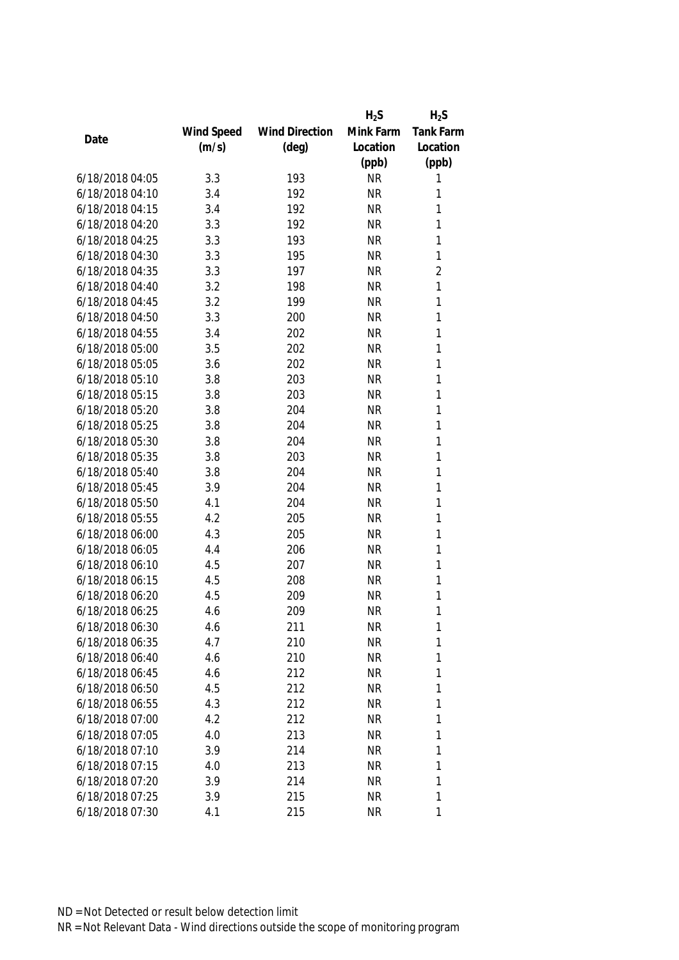|                 |            |                       | $H_2S$    | $H_2S$           |
|-----------------|------------|-----------------------|-----------|------------------|
|                 | Wind Speed | <b>Wind Direction</b> | Mink Farm | <b>Tank Farm</b> |
| Date            | (m/s)      | $(\text{deg})$        | Location  | Location         |
|                 |            |                       | (ppb)     | (ppb)            |
| 6/18/2018 04:05 | 3.3        | 193                   | <b>NR</b> | 1                |
| 6/18/2018 04:10 | 3.4        | 192                   | <b>NR</b> | 1                |
| 6/18/2018 04:15 | 3.4        | 192                   | <b>NR</b> | 1                |
| 6/18/2018 04:20 | 3.3        | 192                   | <b>NR</b> | 1                |
| 6/18/2018 04:25 | 3.3        | 193                   | <b>NR</b> | 1                |
| 6/18/2018 04:30 | 3.3        | 195                   | <b>NR</b> | 1                |
| 6/18/2018 04:35 | 3.3        | 197                   | <b>NR</b> | $\overline{2}$   |
| 6/18/2018 04:40 | 3.2        | 198                   | <b>NR</b> | $\mathbf{1}$     |
| 6/18/2018 04:45 | 3.2        | 199                   | <b>NR</b> | 1                |
| 6/18/2018 04:50 | 3.3        | 200                   | <b>NR</b> | 1                |
| 6/18/2018 04:55 | 3.4        | 202                   | <b>NR</b> | 1                |
| 6/18/2018 05:00 | 3.5        | 202                   | <b>NR</b> | 1                |
| 6/18/2018 05:05 | 3.6        | 202                   | <b>NR</b> | 1                |
| 6/18/2018 05:10 | 3.8        | 203                   | <b>NR</b> | 1                |
| 6/18/2018 05:15 | 3.8        | 203                   | <b>NR</b> | 1                |
| 6/18/2018 05:20 | 3.8        | 204                   | <b>NR</b> | 1                |
| 6/18/2018 05:25 | 3.8        | 204                   | <b>NR</b> | 1                |
| 6/18/2018 05:30 | 3.8        | 204                   | <b>NR</b> | 1                |
| 6/18/2018 05:35 | 3.8        | 203                   | <b>NR</b> | 1                |
| 6/18/2018 05:40 | 3.8        | 204                   | <b>NR</b> | 1                |
| 6/18/2018 05:45 | 3.9        | 204                   | <b>NR</b> | 1                |
| 6/18/2018 05:50 | 4.1        | 204                   | <b>NR</b> | 1                |
| 6/18/2018 05:55 | 4.2        | 205                   | <b>NR</b> | 1                |
| 6/18/2018 06:00 | 4.3        | 205                   | <b>NR</b> | 1                |
| 6/18/2018 06:05 | 4.4        | 206                   | <b>NR</b> | 1                |
| 6/18/2018 06:10 | 4.5        | 207                   | <b>NR</b> | 1                |
| 6/18/2018 06:15 | 4.5        | 208                   | <b>NR</b> | 1                |
| 6/18/2018 06:20 | 4.5        | 209                   | <b>NR</b> | 1                |
| 6/18/2018 06:25 | 4.6        | 209                   | <b>NR</b> | 1                |
| 6/18/2018 06:30 | 4.6        | 211                   | <b>NR</b> | 1                |
| 6/18/2018 06:35 | 4.7        | 210                   | <b>NR</b> | 1                |
| 6/18/2018 06:40 | 4.6        | 210                   | <b>NR</b> | 1                |
| 6/18/2018 06:45 | 4.6        | 212                   | <b>NR</b> | 1                |
| 6/18/2018 06:50 | 4.5        | 212                   | <b>NR</b> | 1                |
| 6/18/2018 06:55 | 4.3        | 212                   | <b>NR</b> | 1                |
| 6/18/2018 07:00 | 4.2        | 212                   | <b>NR</b> | 1                |
| 6/18/2018 07:05 | 4.0        | 213                   | <b>NR</b> | 1                |
| 6/18/2018 07:10 | 3.9        | 214                   | <b>NR</b> | 1                |
| 6/18/2018 07:15 | 4.0        | 213                   | <b>NR</b> | 1                |
| 6/18/2018 07:20 | 3.9        | 214                   | <b>NR</b> | 1                |
| 6/18/2018 07:25 | 3.9        | 215                   | <b>NR</b> | 1                |
| 6/18/2018 07:30 | 4.1        | 215                   | <b>NR</b> | 1                |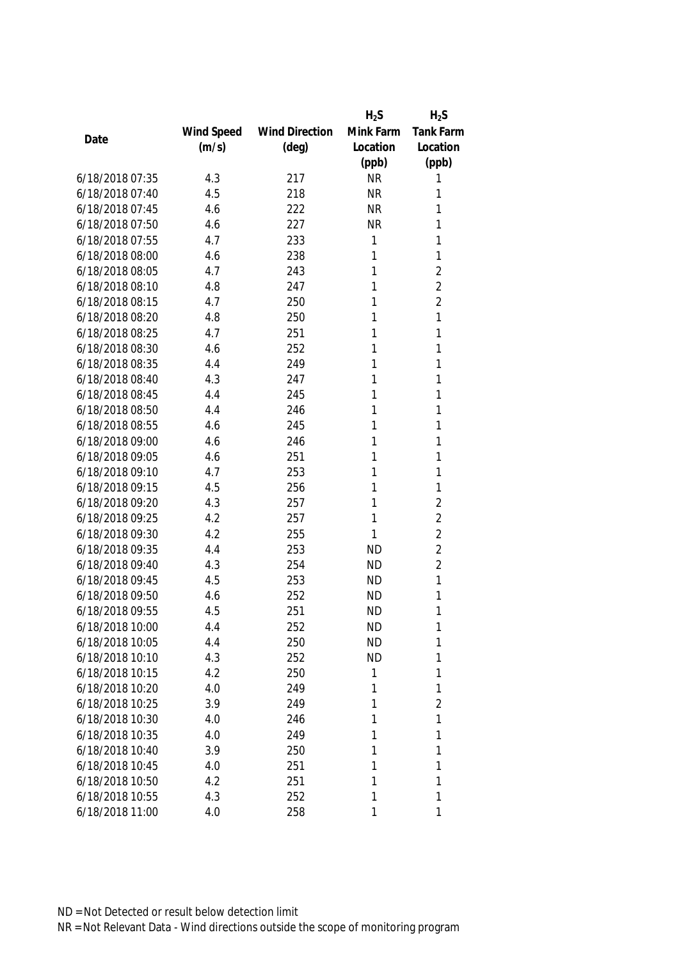|                 |            |                       | $H_2S$    | $H_2S$         |
|-----------------|------------|-----------------------|-----------|----------------|
|                 | Wind Speed | <b>Wind Direction</b> | Mink Farm | Tank Farm      |
| Date            | (m/s)      | $(\text{deg})$        | Location  | Location       |
|                 |            |                       | (ppb)     | (ppb)          |
| 6/18/2018 07:35 | 4.3        | 217                   | <b>NR</b> | 1              |
| 6/18/2018 07:40 | 4.5        | 218                   | <b>NR</b> | 1              |
| 6/18/2018 07:45 | 4.6        | 222                   | <b>NR</b> | 1              |
| 6/18/2018 07:50 | 4.6        | 227                   | <b>NR</b> | 1              |
| 6/18/2018 07:55 | 4.7        | 233                   | 1         | 1              |
| 6/18/2018 08:00 | 4.6        | 238                   | 1         | 1              |
| 6/18/2018 08:05 | 4.7        | 243                   | 1         | $\overline{2}$ |
| 6/18/2018 08:10 | 4.8        | 247                   | 1         | $\overline{2}$ |
| 6/18/2018 08:15 | 4.7        | 250                   | 1         | $\overline{2}$ |
| 6/18/2018 08:20 | 4.8        | 250                   | 1         | 1              |
| 6/18/2018 08:25 | 4.7        | 251                   | 1         | 1              |
| 6/18/2018 08:30 | 4.6        | 252                   | 1         | 1              |
| 6/18/2018 08:35 | 4.4        | 249                   | 1         | 1              |
| 6/18/2018 08:40 | 4.3        | 247                   | 1         | 1              |
| 6/18/2018 08:45 | 4.4        | 245                   | 1         | 1              |
| 6/18/2018 08:50 | 4.4        | 246                   | 1         | 1              |
| 6/18/2018 08:55 | 4.6        | 245                   | 1         | 1              |
| 6/18/2018 09:00 | 4.6        | 246                   | 1         | 1              |
| 6/18/2018 09:05 | 4.6        | 251                   | 1         | 1              |
| 6/18/2018 09:10 | 4.7        | 253                   | 1         | 1              |
| 6/18/2018 09:15 | 4.5        | 256                   | 1         | 1              |
| 6/18/2018 09:20 | 4.3        | 257                   | 1         | $\overline{2}$ |
| 6/18/2018 09:25 | 4.2        | 257                   | 1         | $\overline{2}$ |
| 6/18/2018 09:30 | 4.2        | 255                   | 1         | $\overline{2}$ |
| 6/18/2018 09:35 | 4.4        | 253                   | <b>ND</b> | $\overline{2}$ |
| 6/18/2018 09:40 | 4.3        | 254                   | <b>ND</b> | $\overline{2}$ |
| 6/18/2018 09:45 | 4.5        | 253                   | <b>ND</b> | 1              |
| 6/18/2018 09:50 | 4.6        | 252                   | <b>ND</b> | 1              |
| 6/18/2018 09:55 | 4.5        | 251                   | <b>ND</b> | 1              |
| 6/18/2018 10:00 | 4.4        | 252                   | <b>ND</b> | 1              |
| 6/18/2018 10:05 | 4.4        | 250                   | <b>ND</b> | 1              |
| 6/18/2018 10:10 | 4.3        | 252                   | <b>ND</b> | 1              |
| 6/18/2018 10:15 | 4.2        | 250                   | 1         | 1              |
| 6/18/2018 10:20 | 4.0        | 249                   | 1         | 1              |
| 6/18/2018 10:25 | 3.9        | 249                   | 1         | $\overline{2}$ |
| 6/18/2018 10:30 | 4.0        | 246                   | 1         | 1              |
| 6/18/2018 10:35 | 4.0        | 249                   | 1         | 1              |
| 6/18/2018 10:40 | 3.9        | 250                   | 1         | 1              |
| 6/18/2018 10:45 | 4.0        | 251                   | 1         | 1              |
| 6/18/2018 10:50 | 4.2        | 251                   | 1         | 1              |
| 6/18/2018 10:55 | 4.3        | 252                   | 1         | 1              |
| 6/18/2018 11:00 | 4.0        | 258                   | 1         | 1              |
|                 |            |                       |           |                |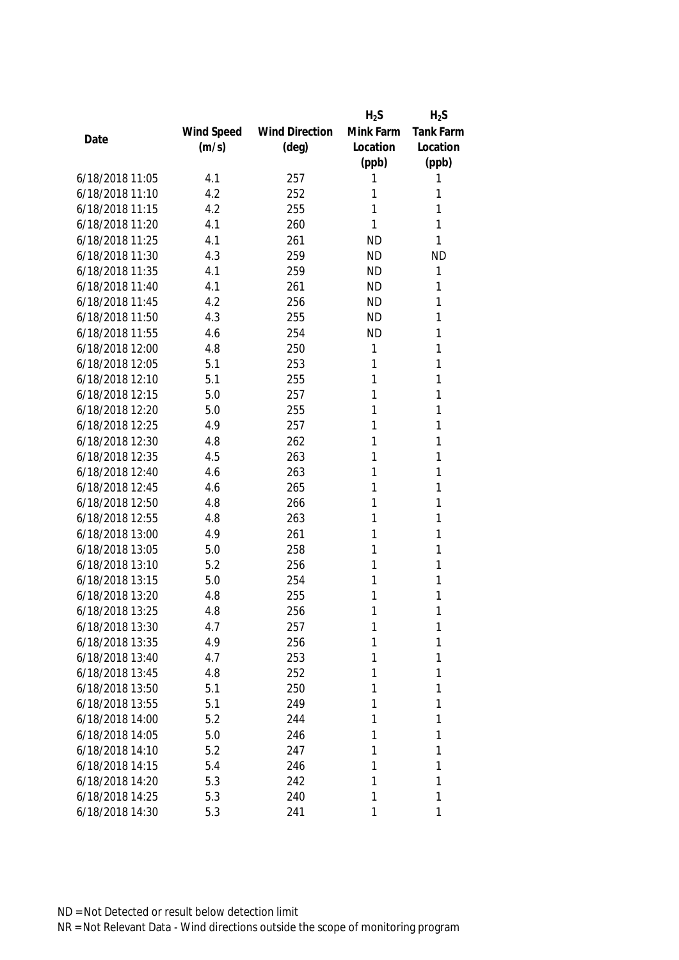|                 |            |                       | $H_2S$    | $H_2S$           |
|-----------------|------------|-----------------------|-----------|------------------|
|                 | Wind Speed | <b>Wind Direction</b> | Mink Farm | <b>Tank Farm</b> |
| Date            | (m/s)      | $(\text{deg})$        | Location  | Location         |
|                 |            |                       | (ppb)     | (ppb)            |
| 6/18/2018 11:05 | 4.1        | 257                   | 1         | 1                |
| 6/18/2018 11:10 | 4.2        | 252                   | 1         | 1                |
| 6/18/2018 11:15 | 4.2        | 255                   | 1         | 1                |
| 6/18/2018 11:20 | 4.1        | 260                   | 1         | 1                |
| 6/18/2018 11:25 | 4.1        | 261                   | <b>ND</b> | 1                |
| 6/18/2018 11:30 | 4.3        | 259                   | <b>ND</b> | <b>ND</b>        |
| 6/18/2018 11:35 | 4.1        | 259                   | <b>ND</b> | 1                |
| 6/18/2018 11:40 | 4.1        | 261                   | <b>ND</b> | 1                |
| 6/18/2018 11:45 | 4.2        | 256                   | <b>ND</b> | 1                |
| 6/18/2018 11:50 | 4.3        | 255                   | <b>ND</b> | 1                |
| 6/18/2018 11:55 | 4.6        | 254                   | <b>ND</b> | 1                |
| 6/18/2018 12:00 | 4.8        | 250                   | 1         | 1                |
| 6/18/2018 12:05 | 5.1        | 253                   | 1         | 1                |
| 6/18/2018 12:10 | 5.1        | 255                   | 1         | 1                |
| 6/18/2018 12:15 | 5.0        | 257                   | 1         | 1                |
| 6/18/2018 12:20 | 5.0        | 255                   | 1         | 1                |
| 6/18/2018 12:25 | 4.9        | 257                   | 1         | 1                |
| 6/18/2018 12:30 | 4.8        | 262                   | 1         | 1                |
| 6/18/2018 12:35 | 4.5        | 263                   | 1         | 1                |
| 6/18/2018 12:40 | 4.6        | 263                   | 1         | 1                |
| 6/18/2018 12:45 | 4.6        | 265                   | 1         | 1                |
| 6/18/2018 12:50 | 4.8        | 266                   | 1         | 1                |
| 6/18/2018 12:55 | 4.8        | 263                   | 1         | 1                |
| 6/18/2018 13:00 | 4.9        | 261                   | 1         | 1                |
| 6/18/2018 13:05 | 5.0        | 258                   | 1         | 1                |
| 6/18/2018 13:10 | 5.2        | 256                   | 1         | 1                |
| 6/18/2018 13:15 | 5.0        | 254                   | 1         | 1                |
| 6/18/2018 13:20 | 4.8        | 255                   | 1         | 1                |
| 6/18/2018 13:25 | 4.8        | 256                   | 1         | 1                |
| 6/18/2018 13:30 | 4.7        | 257                   | 1         | 1                |
| 6/18/2018 13:35 | 4.9        | 256                   | 1         | 1                |
| 6/18/2018 13:40 | 4.7        | 253                   | 1         | 1                |
| 6/18/2018 13:45 | 4.8        | 252                   | 1         | 1                |
| 6/18/2018 13:50 | 5.1        | 250                   | 1         | 1                |
| 6/18/2018 13:55 | 5.1        | 249                   | 1         | 1                |
| 6/18/2018 14:00 | 5.2        | 244                   | 1         | 1                |
| 6/18/2018 14:05 | 5.0        | 246                   | 1         | 1                |
| 6/18/2018 14:10 | 5.2        | 247                   | 1         | 1                |
| 6/18/2018 14:15 | 5.4        | 246                   | 1         | 1                |
| 6/18/2018 14:20 | 5.3        | 242                   | 1         | 1                |
| 6/18/2018 14:25 | 5.3        | 240                   | 1         | 1                |
| 6/18/2018 14:30 | 5.3        | 241                   | 1         | 1                |
|                 |            |                       |           |                  |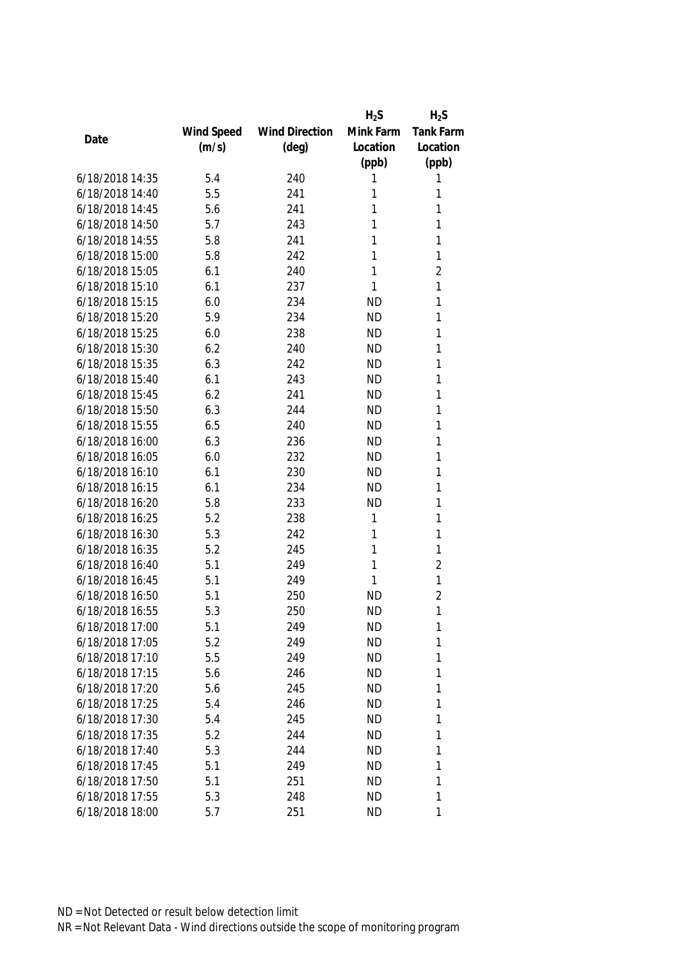|                 |            |                       | $H_2S$    | $H_2S$           |
|-----------------|------------|-----------------------|-----------|------------------|
|                 | Wind Speed | <b>Wind Direction</b> | Mink Farm | <b>Tank Farm</b> |
| Date            | (m/s)      | $(\text{deg})$        | Location  | Location         |
|                 |            |                       | (ppb)     | (ppb)            |
| 6/18/2018 14:35 | 5.4        | 240                   | 1         | 1                |
| 6/18/2018 14:40 | 5.5        | 241                   | 1         | 1                |
| 6/18/2018 14:45 | 5.6        | 241                   | 1         | 1                |
| 6/18/2018 14:50 | 5.7        | 243                   | 1         | 1                |
| 6/18/2018 14:55 | 5.8        | 241                   | 1         | 1                |
| 6/18/2018 15:00 | 5.8        | 242                   | 1         | 1                |
| 6/18/2018 15:05 | 6.1        | 240                   | 1         | $\overline{2}$   |
| 6/18/2018 15:10 | 6.1        | 237                   | 1         | 1                |
| 6/18/2018 15:15 | 6.0        | 234                   | <b>ND</b> | 1                |
| 6/18/2018 15:20 | 5.9        | 234                   | <b>ND</b> | 1                |
| 6/18/2018 15:25 | 6.0        | 238                   | <b>ND</b> | 1                |
| 6/18/2018 15:30 | 6.2        | 240                   | <b>ND</b> | 1                |
| 6/18/2018 15:35 | 6.3        | 242                   | <b>ND</b> | 1                |
| 6/18/2018 15:40 | 6.1        | 243                   | <b>ND</b> | 1                |
| 6/18/2018 15:45 | 6.2        | 241                   | <b>ND</b> | 1                |
| 6/18/2018 15:50 | 6.3        | 244                   | <b>ND</b> | 1                |
| 6/18/2018 15:55 | 6.5        | 240                   | <b>ND</b> | 1                |
| 6/18/2018 16:00 | 6.3        | 236                   | <b>ND</b> | 1                |
| 6/18/2018 16:05 | 6.0        | 232                   | <b>ND</b> | 1                |
| 6/18/2018 16:10 | 6.1        | 230                   | <b>ND</b> | 1                |
| 6/18/2018 16:15 | 6.1        | 234                   | <b>ND</b> | 1                |
| 6/18/2018 16:20 | 5.8        | 233                   | <b>ND</b> | 1                |
| 6/18/2018 16:25 | 5.2        | 238                   | 1         | 1                |
| 6/18/2018 16:30 | 5.3        | 242                   | 1         | 1                |
| 6/18/2018 16:35 | 5.2        | 245                   | 1         | 1                |
| 6/18/2018 16:40 | 5.1        | 249                   | 1         | $\overline{2}$   |
| 6/18/2018 16:45 | 5.1        | 249                   | 1         | $\mathbf{1}$     |
| 6/18/2018 16:50 | 5.1        | 250                   | <b>ND</b> | $\overline{2}$   |
| 6/18/2018 16:55 | 5.3        | 250                   | <b>ND</b> | 1                |
| 6/18/2018 17:00 | 5.1        | 249                   | <b>ND</b> | 1                |
| 6/18/2018 17:05 | 5.2        | 249                   | <b>ND</b> | 1                |
| 6/18/2018 17:10 | 5.5        | 249                   | <b>ND</b> | 1                |
| 6/18/2018 17:15 | 5.6        | 246                   | <b>ND</b> | 1                |
| 6/18/2018 17:20 | 5.6        | 245                   | <b>ND</b> | 1                |
| 6/18/2018 17:25 | 5.4        | 246                   | <b>ND</b> | 1                |
| 6/18/2018 17:30 | 5.4        | 245                   | <b>ND</b> | 1                |
| 6/18/2018 17:35 | 5.2        | 244                   | <b>ND</b> | 1                |
| 6/18/2018 17:40 | 5.3        | 244                   | <b>ND</b> | 1                |
| 6/18/2018 17:45 | 5.1        | 249                   | <b>ND</b> | 1                |
| 6/18/2018 17:50 | 5.1        | 251                   | <b>ND</b> | 1                |
| 6/18/2018 17:55 | 5.3        | 248                   | <b>ND</b> | 1                |
| 6/18/2018 18:00 | 5.7        | 251                   | <b>ND</b> | 1                |
|                 |            |                       |           |                  |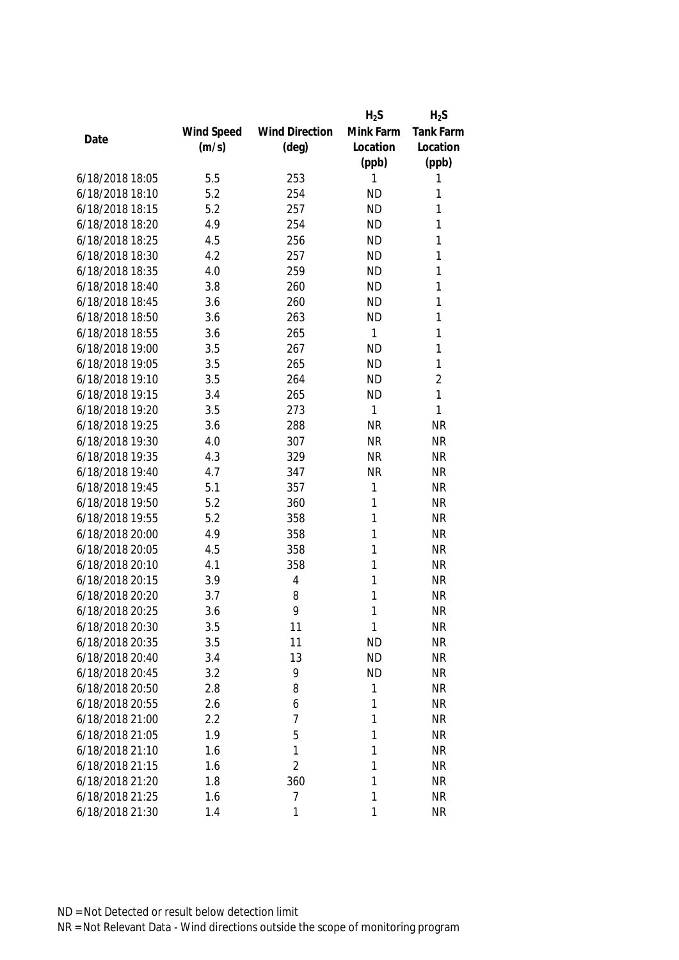|                 |            |                       | $H_2S$    | $H_2S$         |
|-----------------|------------|-----------------------|-----------|----------------|
|                 | Wind Speed | <b>Wind Direction</b> | Mink Farm | Tank Farm      |
| Date            | (m/s)      | $(\text{deg})$        | Location  | Location       |
|                 |            |                       | (ppb)     | (ppb)          |
| 6/18/2018 18:05 | 5.5        | 253                   | 1         | 1              |
| 6/18/2018 18:10 | 5.2        | 254                   | <b>ND</b> | 1              |
| 6/18/2018 18:15 | 5.2        | 257                   | <b>ND</b> | 1              |
| 6/18/2018 18:20 | 4.9        | 254                   | <b>ND</b> | 1              |
| 6/18/2018 18:25 | 4.5        | 256                   | <b>ND</b> | 1              |
| 6/18/2018 18:30 | 4.2        | 257                   | <b>ND</b> | 1              |
| 6/18/2018 18:35 | 4.0        | 259                   | <b>ND</b> | 1              |
| 6/18/2018 18:40 | 3.8        | 260                   | <b>ND</b> | 1              |
| 6/18/2018 18:45 | 3.6        | 260                   | <b>ND</b> | 1              |
| 6/18/2018 18:50 | 3.6        | 263                   | <b>ND</b> | 1              |
| 6/18/2018 18:55 | 3.6        | 265                   | 1         | 1              |
| 6/18/2018 19:00 | 3.5        | 267                   | <b>ND</b> | 1              |
| 6/18/2018 19:05 | 3.5        | 265                   | <b>ND</b> | 1              |
| 6/18/2018 19:10 | 3.5        | 264                   | <b>ND</b> | $\overline{2}$ |
| 6/18/2018 19:15 | 3.4        | 265                   | <b>ND</b> | 1              |
| 6/18/2018 19:20 | 3.5        | 273                   | 1         | 1              |
| 6/18/2018 19:25 | 3.6        | 288                   | <b>NR</b> | <b>NR</b>      |
| 6/18/2018 19:30 | 4.0        | 307                   | <b>NR</b> | <b>NR</b>      |
| 6/18/2018 19:35 | 4.3        | 329                   | <b>NR</b> | <b>NR</b>      |
| 6/18/2018 19:40 | 4.7        | 347                   | <b>NR</b> | <b>NR</b>      |
| 6/18/2018 19:45 | 5.1        | 357                   | 1         | <b>NR</b>      |
| 6/18/2018 19:50 | 5.2        | 360                   | 1         | <b>NR</b>      |
| 6/18/2018 19:55 | 5.2        | 358                   | 1         | <b>NR</b>      |
| 6/18/2018 20:00 | 4.9        | 358                   | 1         | <b>NR</b>      |
| 6/18/2018 20:05 | 4.5        | 358                   | 1         | <b>NR</b>      |
| 6/18/2018 20:10 | 4.1        | 358                   | 1         | <b>NR</b>      |
| 6/18/2018 20:15 | 3.9        | 4                     | 1         | <b>NR</b>      |
| 6/18/2018 20:20 | 3.7        | 8                     | 1         | <b>NR</b>      |
| 6/18/2018 20:25 | 3.6        | 9                     | 1         | <b>NR</b>      |
| 6/18/2018 20:30 | 3.5        | 11                    | 1         | <b>NR</b>      |
| 6/18/2018 20:35 | 3.5        | 11                    | <b>ND</b> | <b>NR</b>      |
| 6/18/2018 20:40 | 3.4        | 13                    | <b>ND</b> | <b>NR</b>      |
| 6/18/2018 20:45 | 3.2        | 9                     | <b>ND</b> | <b>NR</b>      |
| 6/18/2018 20:50 | 2.8        | 8                     | 1         | <b>NR</b>      |
| 6/18/2018 20:55 | 2.6        | 6                     | 1         | <b>NR</b>      |
| 6/18/2018 21:00 | 2.2        | 7                     | 1         | <b>NR</b>      |
| 6/18/2018 21:05 | 1.9        | 5                     | 1         | <b>NR</b>      |
| 6/18/2018 21:10 | 1.6        | 1                     | 1         | <b>NR</b>      |
| 6/18/2018 21:15 | 1.6        | $\overline{2}$        | 1         | <b>NR</b>      |
| 6/18/2018 21:20 | 1.8        | 360                   | 1         | <b>NR</b>      |
| 6/18/2018 21:25 | 1.6        | 7                     | 1         | <b>NR</b>      |
| 6/18/2018 21:30 | 1.4        | 1                     | 1         | <b>NR</b>      |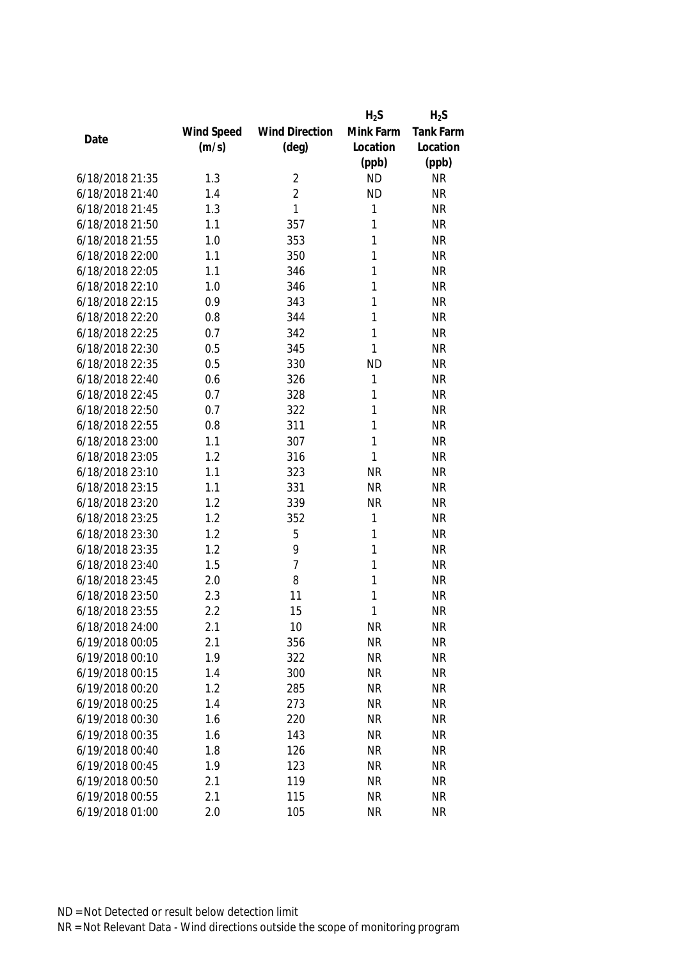|                 |            |                       | $H_2S$    | $H_2S$           |
|-----------------|------------|-----------------------|-----------|------------------|
|                 | Wind Speed | <b>Wind Direction</b> | Mink Farm | <b>Tank Farm</b> |
| Date            | (m/s)      | $(\text{deg})$        | Location  | Location         |
|                 |            |                       | (ppb)     | (ppb)            |
| 6/18/2018 21:35 | 1.3        | $\overline{2}$        | <b>ND</b> | <b>NR</b>        |
| 6/18/2018 21:40 | 1.4        | $\overline{2}$        | <b>ND</b> | <b>NR</b>        |
| 6/18/2018 21:45 | 1.3        | 1                     | 1         | <b>NR</b>        |
| 6/18/2018 21:50 | 1.1        | 357                   | 1         | <b>NR</b>        |
| 6/18/2018 21:55 | 1.0        | 353                   | 1         | <b>NR</b>        |
| 6/18/2018 22:00 | 1.1        | 350                   | 1         | <b>NR</b>        |
| 6/18/2018 22:05 | 1.1        | 346                   | 1         | <b>NR</b>        |
| 6/18/2018 22:10 | 1.0        | 346                   | 1         | <b>NR</b>        |
| 6/18/2018 22:15 | 0.9        | 343                   | 1         | <b>NR</b>        |
| 6/18/2018 22:20 | 0.8        | 344                   | 1         | <b>NR</b>        |
| 6/18/2018 22:25 | 0.7        | 342                   | 1         | <b>NR</b>        |
| 6/18/2018 22:30 | 0.5        | 345                   | 1         | <b>NR</b>        |
| 6/18/2018 22:35 | 0.5        | 330                   | <b>ND</b> | <b>NR</b>        |
| 6/18/2018 22:40 | 0.6        | 326                   | 1         | <b>NR</b>        |
| 6/18/2018 22:45 | 0.7        | 328                   | 1         | <b>NR</b>        |
| 6/18/2018 22:50 | 0.7        | 322                   | 1         | <b>NR</b>        |
| 6/18/2018 22:55 | 0.8        | 311                   | 1         | <b>NR</b>        |
| 6/18/2018 23:00 | 1.1        | 307                   | 1         | <b>NR</b>        |
| 6/18/2018 23:05 | 1.2        | 316                   | 1         | <b>NR</b>        |
| 6/18/2018 23:10 | 1.1        | 323                   | <b>NR</b> | <b>NR</b>        |
| 6/18/2018 23:15 | 1.1        | 331                   | <b>NR</b> | <b>NR</b>        |
| 6/18/2018 23:20 | 1.2        | 339                   | <b>NR</b> | <b>NR</b>        |
| 6/18/2018 23:25 | 1.2        | 352                   | 1         | <b>NR</b>        |
| 6/18/2018 23:30 | 1.2        | 5                     | 1         | <b>NR</b>        |
| 6/18/2018 23:35 | 1.2        | 9                     | 1         | <b>NR</b>        |
| 6/18/2018 23:40 | 1.5        | $\overline{7}$        | 1         | <b>NR</b>        |
| 6/18/2018 23:45 | 2.0        | 8                     | 1         | <b>NR</b>        |
| 6/18/2018 23:50 | 2.3        | 11                    | 1         | <b>NR</b>        |
| 6/18/2018 23:55 | 2.2        | 15                    | 1         | <b>NR</b>        |
| 6/18/2018 24:00 | 2.1        | 10                    | <b>NR</b> | <b>NR</b>        |
| 6/19/2018 00:05 | 2.1        | 356                   | <b>NR</b> | <b>NR</b>        |
| 6/19/2018 00:10 | 1.9        | 322                   | <b>NR</b> | <b>NR</b>        |
| 6/19/2018 00:15 | 1.4        | 300                   | <b>NR</b> | <b>NR</b>        |
| 6/19/2018 00:20 | 1.2        | 285                   | <b>NR</b> | <b>NR</b>        |
| 6/19/2018 00:25 | 1.4        | 273                   | <b>NR</b> | <b>NR</b>        |
| 6/19/2018 00:30 | 1.6        | 220                   | <b>NR</b> | <b>NR</b>        |
| 6/19/2018 00:35 | 1.6        | 143                   | <b>NR</b> | <b>NR</b>        |
| 6/19/2018 00:40 | 1.8        | 126                   | <b>NR</b> | <b>NR</b>        |
| 6/19/2018 00:45 | 1.9        | 123                   | <b>NR</b> | <b>NR</b>        |
| 6/19/2018 00:50 | 2.1        | 119                   | <b>NR</b> | <b>NR</b>        |
| 6/19/2018 00:55 | 2.1        | 115                   | <b>NR</b> | <b>NR</b>        |
| 6/19/2018 01:00 | 2.0        | 105                   | <b>NR</b> | <b>NR</b>        |
|                 |            |                       |           |                  |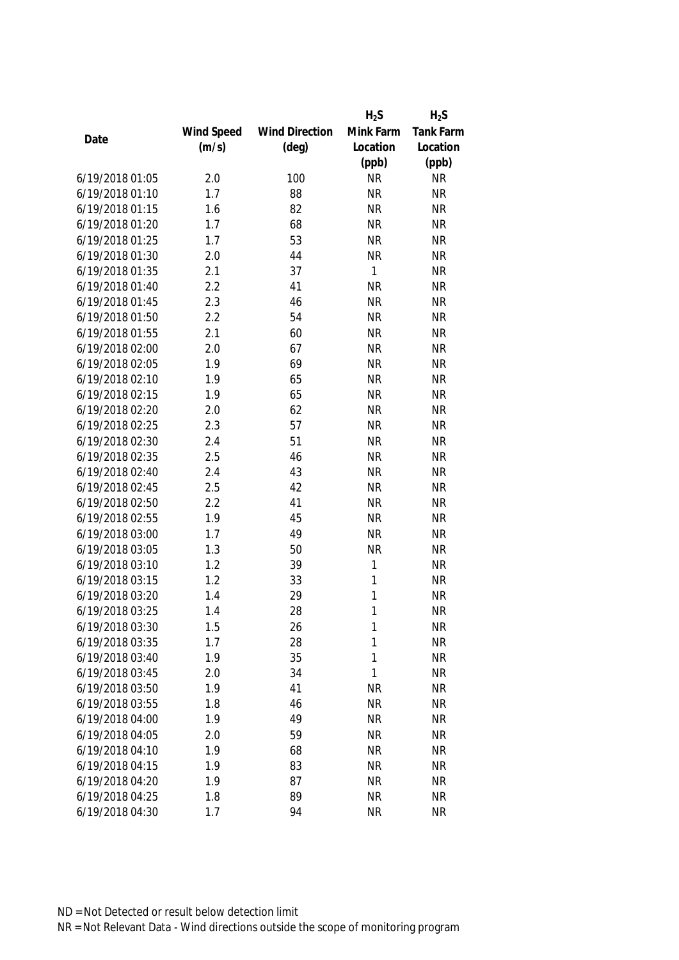|                 |            |                       | $H_2S$       | $H_2S$           |
|-----------------|------------|-----------------------|--------------|------------------|
|                 | Wind Speed | <b>Wind Direction</b> | Mink Farm    | <b>Tank Farm</b> |
| Date            | (m/s)      | $(\text{deg})$        | Location     | Location         |
|                 |            |                       | (ppb)        | (ppb)            |
| 6/19/2018 01:05 | 2.0        | 100                   | <b>NR</b>    | <b>NR</b>        |
| 6/19/2018 01:10 | 1.7        | 88                    | <b>NR</b>    | <b>NR</b>        |
| 6/19/2018 01:15 | 1.6        | 82                    | <b>NR</b>    | <b>NR</b>        |
| 6/19/2018 01:20 | 1.7        | 68                    | <b>NR</b>    | <b>NR</b>        |
| 6/19/2018 01:25 | 1.7        | 53                    | <b>NR</b>    | <b>NR</b>        |
| 6/19/2018 01:30 | 2.0        | 44                    | <b>NR</b>    | <b>NR</b>        |
| 6/19/2018 01:35 | 2.1        | 37                    | $\mathbf{1}$ | <b>NR</b>        |
| 6/19/2018 01:40 | 2.2        | 41                    | <b>NR</b>    | <b>NR</b>        |
| 6/19/2018 01:45 | 2.3        | 46                    | <b>NR</b>    | <b>NR</b>        |
| 6/19/2018 01:50 | 2.2        | 54                    | <b>NR</b>    | <b>NR</b>        |
| 6/19/2018 01:55 | 2.1        | 60                    | <b>NR</b>    | <b>NR</b>        |
| 6/19/2018 02:00 | 2.0        | 67                    | <b>NR</b>    | <b>NR</b>        |
| 6/19/2018 02:05 | 1.9        | 69                    | <b>NR</b>    | <b>NR</b>        |
| 6/19/2018 02:10 | 1.9        | 65                    | <b>NR</b>    | <b>NR</b>        |
| 6/19/2018 02:15 | 1.9        | 65                    | <b>NR</b>    | <b>NR</b>        |
| 6/19/2018 02:20 | 2.0        | 62                    | <b>NR</b>    | <b>NR</b>        |
| 6/19/2018 02:25 | 2.3        | 57                    | <b>NR</b>    | <b>NR</b>        |
| 6/19/2018 02:30 | 2.4        | 51                    | <b>NR</b>    | <b>NR</b>        |
| 6/19/2018 02:35 | 2.5        | 46                    | <b>NR</b>    | <b>NR</b>        |
| 6/19/2018 02:40 | 2.4        | 43                    | <b>NR</b>    | <b>NR</b>        |
| 6/19/2018 02:45 | 2.5        | 42                    | <b>NR</b>    | <b>NR</b>        |
| 6/19/2018 02:50 | 2.2        | 41                    | <b>NR</b>    | <b>NR</b>        |
| 6/19/2018 02:55 | 1.9        | 45                    | <b>NR</b>    | <b>NR</b>        |
| 6/19/2018 03:00 | 1.7        | 49                    | <b>NR</b>    | <b>NR</b>        |
| 6/19/2018 03:05 | 1.3        | 50                    | <b>NR</b>    | <b>NR</b>        |
| 6/19/2018 03:10 | 1.2        | 39                    | 1            | <b>NR</b>        |
| 6/19/2018 03:15 | 1.2        | 33                    | 1            | <b>NR</b>        |
| 6/19/2018 03:20 | 1.4        | 29                    | 1            | <b>NR</b>        |
| 6/19/2018 03:25 | 1.4        | 28                    | 1            | <b>NR</b>        |
| 6/19/2018 03:30 | 1.5        | 26                    | 1            | <b>NR</b>        |
| 6/19/2018 03:35 | 1.7        | 28                    | 1            | <b>NR</b>        |
| 6/19/2018 03:40 | 1.9        | 35                    | 1            | <b>NR</b>        |
| 6/19/2018 03:45 | 2.0        | 34                    | 1            | <b>NR</b>        |
| 6/19/2018 03:50 | 1.9        | 41                    | <b>NR</b>    | <b>NR</b>        |
| 6/19/2018 03:55 | 1.8        | 46                    | <b>NR</b>    | <b>NR</b>        |
| 6/19/2018 04:00 | 1.9        | 49                    | <b>NR</b>    | <b>NR</b>        |
| 6/19/2018 04:05 | 2.0        | 59                    | <b>NR</b>    | <b>NR</b>        |
| 6/19/2018 04:10 | 1.9        | 68                    | <b>NR</b>    | <b>NR</b>        |
| 6/19/2018 04:15 | 1.9        | 83                    | <b>NR</b>    | <b>NR</b>        |
| 6/19/2018 04:20 | 1.9        | 87                    | <b>NR</b>    | <b>NR</b>        |
|                 |            |                       |              |                  |
| 6/19/2018 04:25 | 1.8        | 89                    | <b>NR</b>    | <b>NR</b>        |
| 6/19/2018 04:30 | 1.7        | 94                    | <b>NR</b>    | <b>NR</b>        |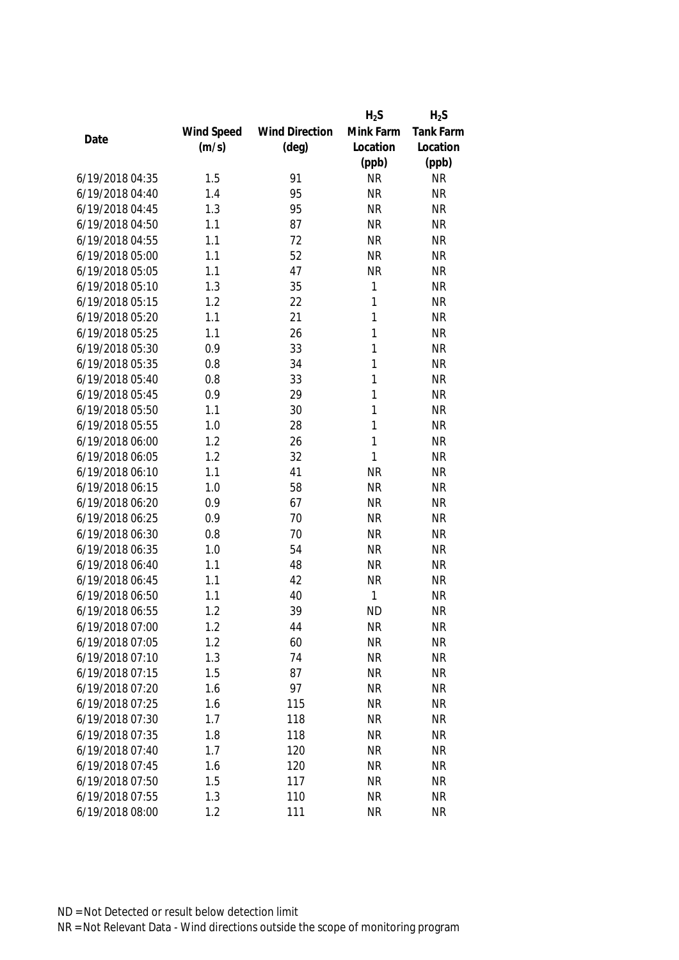|                 |            |                       | $H_2S$    | $H_2S$           |
|-----------------|------------|-----------------------|-----------|------------------|
|                 | Wind Speed | <b>Wind Direction</b> | Mink Farm | <b>Tank Farm</b> |
| Date            | (m/s)      | $(\text{deg})$        | Location  | Location         |
|                 |            |                       | (ppb)     | (ppb)            |
| 6/19/2018 04:35 | 1.5        | 91                    | <b>NR</b> | <b>NR</b>        |
| 6/19/2018 04:40 | 1.4        | 95                    | <b>NR</b> | <b>NR</b>        |
| 6/19/2018 04:45 | 1.3        | 95                    | <b>NR</b> | <b>NR</b>        |
| 6/19/2018 04:50 | 1.1        | 87                    | <b>NR</b> | <b>NR</b>        |
| 6/19/2018 04:55 | 1.1        | 72                    | <b>NR</b> | <b>NR</b>        |
| 6/19/2018 05:00 | 1.1        | 52                    | <b>NR</b> | <b>NR</b>        |
| 6/19/2018 05:05 | 1.1        | 47                    | <b>NR</b> | <b>NR</b>        |
| 6/19/2018 05:10 | 1.3        | 35                    | 1         | <b>NR</b>        |
| 6/19/2018 05:15 | 1.2        | 22                    | 1         | <b>NR</b>        |
| 6/19/2018 05:20 | 1.1        | 21                    | 1         | <b>NR</b>        |
| 6/19/2018 05:25 | 1.1        | 26                    | 1         | <b>NR</b>        |
| 6/19/2018 05:30 | 0.9        | 33                    | 1         | <b>NR</b>        |
| 6/19/2018 05:35 | 0.8        | 34                    | 1         | <b>NR</b>        |
| 6/19/2018 05:40 | 0.8        | 33                    | 1         | <b>NR</b>        |
| 6/19/2018 05:45 | 0.9        | 29                    | 1         | <b>NR</b>        |
| 6/19/2018 05:50 | 1.1        | 30                    | 1         | <b>NR</b>        |
| 6/19/2018 05:55 | 1.0        | 28                    | 1         | <b>NR</b>        |
| 6/19/2018 06:00 | 1.2        | 26                    | 1         | <b>NR</b>        |
| 6/19/2018 06:05 | 1.2        | 32                    | 1         | <b>NR</b>        |
| 6/19/2018 06:10 | 1.1        | 41                    | <b>NR</b> | <b>NR</b>        |
| 6/19/2018 06:15 | 1.0        | 58                    | <b>NR</b> | <b>NR</b>        |
| 6/19/2018 06:20 | 0.9        | 67                    | <b>NR</b> | <b>NR</b>        |
| 6/19/2018 06:25 | 0.9        | 70                    | <b>NR</b> | <b>NR</b>        |
| 6/19/2018 06:30 | 0.8        | 70                    | <b>NR</b> | <b>NR</b>        |
| 6/19/2018 06:35 | 1.0        | 54                    | <b>NR</b> | <b>NR</b>        |
| 6/19/2018 06:40 | 1.1        | 48                    | <b>NR</b> | <b>NR</b>        |
| 6/19/2018 06:45 | 1.1        | 42                    | <b>NR</b> | <b>NR</b>        |
| 6/19/2018 06:50 | 1.1        | 40                    | 1         | <b>NR</b>        |
| 6/19/2018 06:55 | 1.2        | 39                    | <b>ND</b> | <b>NR</b>        |
| 6/19/2018 07:00 | 1.2        | 44                    | <b>NR</b> | <b>NR</b>        |
| 6/19/2018 07:05 | 1.2        | 60                    | <b>NR</b> | <b>NR</b>        |
| 6/19/2018 07:10 | 1.3        | 74                    | <b>NR</b> | <b>NR</b>        |
| 6/19/2018 07:15 | 1.5        | 87                    | <b>NR</b> | <b>NR</b>        |
| 6/19/2018 07:20 | 1.6        | 97                    | <b>NR</b> | <b>NR</b>        |
| 6/19/2018 07:25 | 1.6        | 115                   | <b>NR</b> | <b>NR</b>        |
| 6/19/2018 07:30 | 1.7        | 118                   | <b>NR</b> | <b>NR</b>        |
| 6/19/2018 07:35 | 1.8        | 118                   | <b>NR</b> | <b>NR</b>        |
| 6/19/2018 07:40 | 1.7        | 120                   | <b>NR</b> | <b>NR</b>        |
| 6/19/2018 07:45 | 1.6        | 120                   | <b>NR</b> | <b>NR</b>        |
| 6/19/2018 07:50 | 1.5        | 117                   | <b>NR</b> | <b>NR</b>        |
| 6/19/2018 07:55 | 1.3        | 110                   | <b>NR</b> | <b>NR</b>        |
| 6/19/2018 08:00 | 1.2        | 111                   | <b>NR</b> | <b>NR</b>        |
|                 |            |                       |           |                  |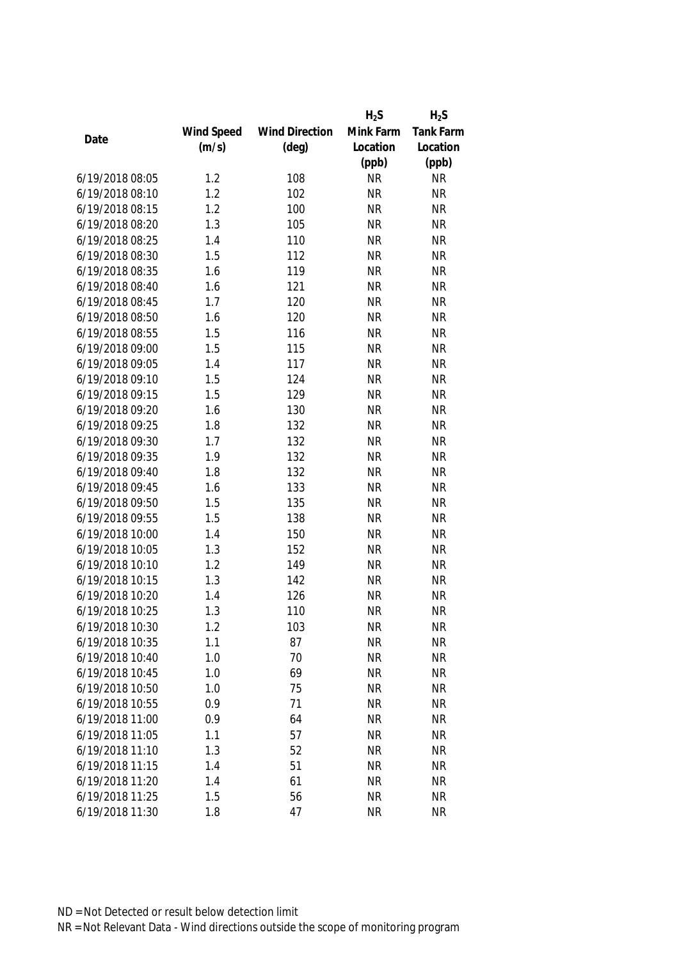|                 |            |                       | $H_2S$    | $H_2S$           |
|-----------------|------------|-----------------------|-----------|------------------|
|                 | Wind Speed | <b>Wind Direction</b> | Mink Farm | <b>Tank Farm</b> |
| Date            | (m/s)      | $(\text{deg})$        | Location  | Location         |
|                 |            |                       | (ppb)     | (ppb)            |
| 6/19/2018 08:05 | 1.2        | 108                   | <b>NR</b> | <b>NR</b>        |
| 6/19/2018 08:10 | 1.2        | 102                   | <b>NR</b> | <b>NR</b>        |
| 6/19/2018 08:15 | 1.2        | 100                   | <b>NR</b> | <b>NR</b>        |
| 6/19/2018 08:20 | 1.3        | 105                   | <b>NR</b> | <b>NR</b>        |
| 6/19/2018 08:25 | 1.4        | 110                   | <b>NR</b> | <b>NR</b>        |
| 6/19/2018 08:30 | 1.5        | 112                   | <b>NR</b> | <b>NR</b>        |
| 6/19/2018 08:35 | 1.6        | 119                   | <b>NR</b> | <b>NR</b>        |
| 6/19/2018 08:40 | 1.6        | 121                   | <b>NR</b> | <b>NR</b>        |
| 6/19/2018 08:45 | 1.7        | 120                   | <b>NR</b> | <b>NR</b>        |
| 6/19/2018 08:50 | 1.6        | 120                   | <b>NR</b> | <b>NR</b>        |
| 6/19/2018 08:55 | 1.5        | 116                   | <b>NR</b> | <b>NR</b>        |
| 6/19/2018 09:00 | 1.5        | 115                   | <b>NR</b> | <b>NR</b>        |
| 6/19/2018 09:05 | 1.4        | 117                   | <b>NR</b> | <b>NR</b>        |
| 6/19/2018 09:10 | 1.5        | 124                   | <b>NR</b> | <b>NR</b>        |
| 6/19/2018 09:15 | 1.5        | 129                   | <b>NR</b> | <b>NR</b>        |
| 6/19/2018 09:20 | 1.6        | 130                   | <b>NR</b> | <b>NR</b>        |
| 6/19/2018 09:25 | 1.8        | 132                   | <b>NR</b> | <b>NR</b>        |
| 6/19/2018 09:30 | 1.7        | 132                   | <b>NR</b> | <b>NR</b>        |
| 6/19/2018 09:35 | 1.9        | 132                   | <b>NR</b> | <b>NR</b>        |
| 6/19/2018 09:40 | 1.8        | 132                   | <b>NR</b> | <b>NR</b>        |
| 6/19/2018 09:45 | 1.6        | 133                   | <b>NR</b> | <b>NR</b>        |
| 6/19/2018 09:50 | 1.5        | 135                   | <b>NR</b> | <b>NR</b>        |
| 6/19/2018 09:55 | 1.5        | 138                   | <b>NR</b> | <b>NR</b>        |
| 6/19/2018 10:00 | 1.4        | 150                   | <b>NR</b> | <b>NR</b>        |
| 6/19/2018 10:05 | 1.3        | 152                   | <b>NR</b> | <b>NR</b>        |
| 6/19/2018 10:10 | 1.2        | 149                   | <b>NR</b> | <b>NR</b>        |
| 6/19/2018 10:15 | 1.3        | 142                   | <b>NR</b> | <b>NR</b>        |
| 6/19/2018 10:20 | 1.4        | 126                   | <b>NR</b> | <b>NR</b>        |
| 6/19/2018 10:25 | 1.3        | 110                   | <b>NR</b> | <b>NR</b>        |
| 6/19/2018 10:30 | 1.2        | 103                   | <b>NR</b> | <b>NR</b>        |
| 6/19/2018 10:35 | 1.1        | 87                    | <b>NR</b> | <b>NR</b>        |
| 6/19/2018 10:40 | 1.0        | 70                    | <b>NR</b> | <b>NR</b>        |
| 6/19/2018 10:45 | 1.0        | 69                    | <b>NR</b> | <b>NR</b>        |
| 6/19/2018 10:50 | 1.0        | 75                    | <b>NR</b> | <b>NR</b>        |
| 6/19/2018 10:55 | 0.9        | 71                    | <b>NR</b> | <b>NR</b>        |
| 6/19/2018 11:00 | 0.9        | 64                    | <b>NR</b> | <b>NR</b>        |
| 6/19/2018 11:05 | 1.1        | 57                    | <b>NR</b> | <b>NR</b>        |
| 6/19/2018 11:10 |            |                       |           |                  |
| 6/19/2018 11:15 | 1.3        | 52                    | <b>NR</b> | <b>NR</b>        |
|                 | 1.4        | 51                    | <b>NR</b> | <b>NR</b>        |
| 6/19/2018 11:20 | 1.4        | 61                    | <b>NR</b> | <b>NR</b>        |
| 6/19/2018 11:25 | 1.5        | 56                    | <b>NR</b> | <b>NR</b>        |
| 6/19/2018 11:30 | 1.8        | 47                    | <b>NR</b> | <b>NR</b>        |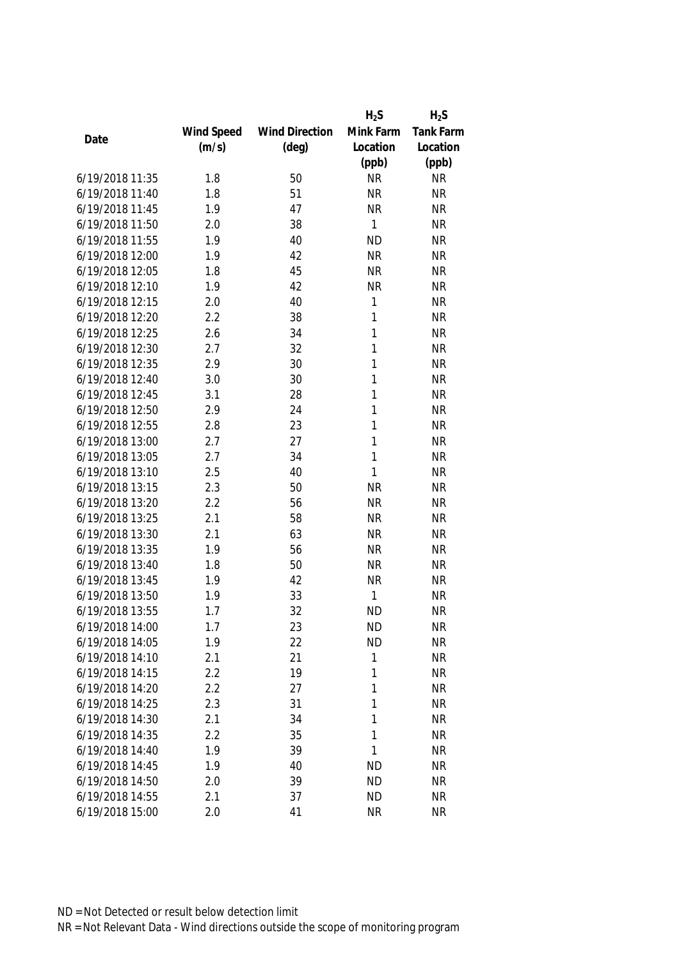|                 |            |                       | $H_2S$    | $H_2S$           |
|-----------------|------------|-----------------------|-----------|------------------|
|                 | Wind Speed | <b>Wind Direction</b> | Mink Farm | <b>Tank Farm</b> |
| Date            | (m/s)      | $(\text{deg})$        | Location  | Location         |
|                 |            |                       | (ppb)     | (ppb)            |
| 6/19/2018 11:35 | 1.8        | 50                    | <b>NR</b> | <b>NR</b>        |
| 6/19/2018 11:40 | 1.8        | 51                    | <b>NR</b> | <b>NR</b>        |
| 6/19/2018 11:45 | 1.9        | 47                    | <b>NR</b> | <b>NR</b>        |
| 6/19/2018 11:50 | 2.0        | 38                    | 1         | <b>NR</b>        |
| 6/19/2018 11:55 | 1.9        | 40                    | <b>ND</b> | <b>NR</b>        |
| 6/19/2018 12:00 | 1.9        | 42                    | <b>NR</b> | <b>NR</b>        |
| 6/19/2018 12:05 | 1.8        | 45                    | <b>NR</b> | <b>NR</b>        |
| 6/19/2018 12:10 | 1.9        | 42                    | <b>NR</b> | <b>NR</b>        |
| 6/19/2018 12:15 | 2.0        | 40                    | 1         | <b>NR</b>        |
| 6/19/2018 12:20 | 2.2        | 38                    | 1         | <b>NR</b>        |
| 6/19/2018 12:25 | 2.6        | 34                    | 1         | <b>NR</b>        |
| 6/19/2018 12:30 | 2.7        | 32                    | 1         | <b>NR</b>        |
| 6/19/2018 12:35 | 2.9        | 30                    | 1         | <b>NR</b>        |
| 6/19/2018 12:40 | 3.0        | 30                    | 1         | <b>NR</b>        |
| 6/19/2018 12:45 | 3.1        | 28                    | 1         | <b>NR</b>        |
| 6/19/2018 12:50 | 2.9        | 24                    | 1         | <b>NR</b>        |
| 6/19/2018 12:55 | 2.8        | 23                    | 1         | <b>NR</b>        |
| 6/19/2018 13:00 | 2.7        | 27                    | 1         | <b>NR</b>        |
| 6/19/2018 13:05 | 2.7        | 34                    | 1         | <b>NR</b>        |
| 6/19/2018 13:10 | 2.5        | 40                    | 1         | <b>NR</b>        |
| 6/19/2018 13:15 | 2.3        | 50                    | <b>NR</b> | <b>NR</b>        |
| 6/19/2018 13:20 | 2.2        | 56                    | <b>NR</b> | <b>NR</b>        |
| 6/19/2018 13:25 | 2.1        | 58                    | <b>NR</b> | <b>NR</b>        |
| 6/19/2018 13:30 | 2.1        | 63                    | <b>NR</b> | <b>NR</b>        |
| 6/19/2018 13:35 | 1.9        | 56                    | <b>NR</b> | <b>NR</b>        |
| 6/19/2018 13:40 | 1.8        | 50                    | <b>NR</b> | <b>NR</b>        |
| 6/19/2018 13:45 | 1.9        | 42                    | <b>NR</b> | <b>NR</b>        |
| 6/19/2018 13:50 | 1.9        | 33                    | 1         | <b>NR</b>        |
| 6/19/2018 13:55 | 1.7        | 32                    | <b>ND</b> | <b>NR</b>        |
| 6/19/2018 14:00 | 1.7        | 23                    | <b>ND</b> | <b>NR</b>        |
| 6/19/2018 14:05 | 1.9        | 22                    | <b>ND</b> | <b>NR</b>        |
| 6/19/2018 14:10 | 2.1        | 21                    | 1         | <b>NR</b>        |
| 6/19/2018 14:15 | 2.2        | 19                    | 1         | <b>NR</b>        |
| 6/19/2018 14:20 | 2.2        | 27                    | 1         | <b>NR</b>        |
| 6/19/2018 14:25 | 2.3        | 31                    | 1         | <b>NR</b>        |
| 6/19/2018 14:30 | 2.1        | 34                    | 1         | <b>NR</b>        |
| 6/19/2018 14:35 | 2.2        | 35                    | 1         | <b>NR</b>        |
| 6/19/2018 14:40 | 1.9        | 39                    | 1         | <b>NR</b>        |
| 6/19/2018 14:45 | 1.9        | 40                    | <b>ND</b> | <b>NR</b>        |
| 6/19/2018 14:50 | 2.0        | 39                    | <b>ND</b> | <b>NR</b>        |
| 6/19/2018 14:55 | 2.1        | 37                    | <b>ND</b> | <b>NR</b>        |
| 6/19/2018 15:00 | 2.0        | 41                    | <b>NR</b> | <b>NR</b>        |
|                 |            |                       |           |                  |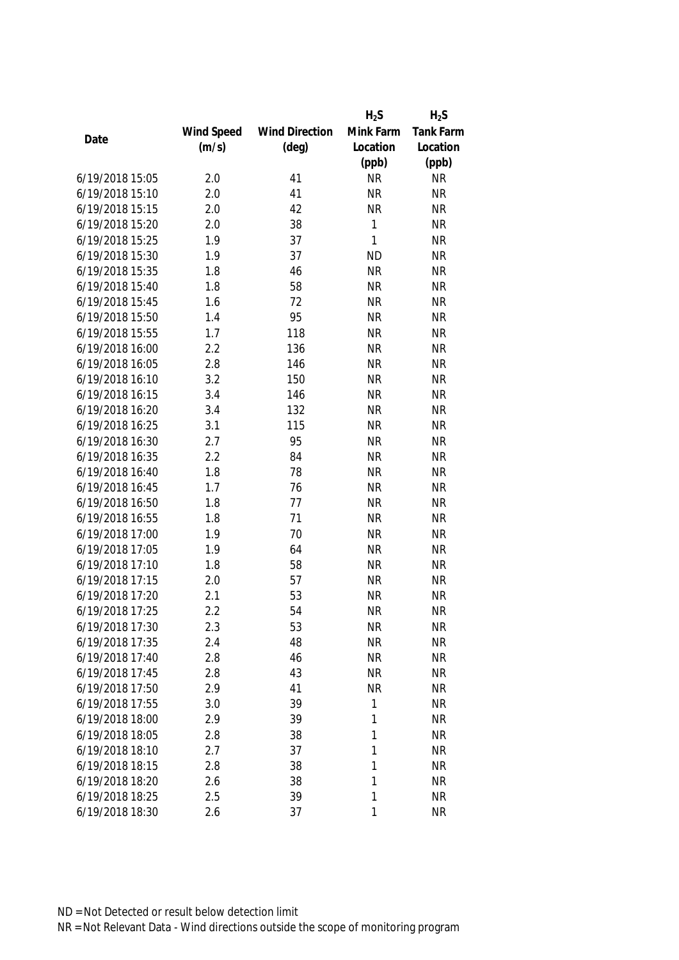|                 |            |                       | $H_2S$       | $H_2S$           |
|-----------------|------------|-----------------------|--------------|------------------|
|                 | Wind Speed | <b>Wind Direction</b> | Mink Farm    | <b>Tank Farm</b> |
| Date            | (m/s)      | $(\text{deg})$        | Location     | Location         |
|                 |            |                       | (ppb)        | (ppb)            |
| 6/19/2018 15:05 | 2.0        | 41                    | <b>NR</b>    | <b>NR</b>        |
| 6/19/2018 15:10 | 2.0        | 41                    | <b>NR</b>    | <b>NR</b>        |
| 6/19/2018 15:15 | 2.0        | 42                    | <b>NR</b>    | <b>NR</b>        |
| 6/19/2018 15:20 | 2.0        | 38                    | 1            | <b>NR</b>        |
| 6/19/2018 15:25 | 1.9        | 37                    | $\mathbf{1}$ | <b>NR</b>        |
| 6/19/2018 15:30 | 1.9        | 37                    | <b>ND</b>    | <b>NR</b>        |
| 6/19/2018 15:35 | 1.8        | 46                    | <b>NR</b>    | <b>NR</b>        |
| 6/19/2018 15:40 | 1.8        | 58                    | <b>NR</b>    | <b>NR</b>        |
| 6/19/2018 15:45 | 1.6        | 72                    | <b>NR</b>    | <b>NR</b>        |
| 6/19/2018 15:50 | 1.4        | 95                    | <b>NR</b>    | <b>NR</b>        |
| 6/19/2018 15:55 | 1.7        | 118                   | <b>NR</b>    | <b>NR</b>        |
| 6/19/2018 16:00 | 2.2        | 136                   | <b>NR</b>    | <b>NR</b>        |
| 6/19/2018 16:05 | 2.8        | 146                   | <b>NR</b>    | <b>NR</b>        |
| 6/19/2018 16:10 | 3.2        | 150                   | <b>NR</b>    | <b>NR</b>        |
| 6/19/2018 16:15 | 3.4        | 146                   | <b>NR</b>    | <b>NR</b>        |
| 6/19/2018 16:20 | 3.4        | 132                   | <b>NR</b>    | <b>NR</b>        |
| 6/19/2018 16:25 | 3.1        | 115                   | <b>NR</b>    | <b>NR</b>        |
| 6/19/2018 16:30 | 2.7        | 95                    | <b>NR</b>    | <b>NR</b>        |
| 6/19/2018 16:35 | 2.2        | 84                    | <b>NR</b>    | <b>NR</b>        |
| 6/19/2018 16:40 | 1.8        | 78                    | <b>NR</b>    | <b>NR</b>        |
| 6/19/2018 16:45 | 1.7        | 76                    | <b>NR</b>    | <b>NR</b>        |
| 6/19/2018 16:50 | 1.8        | 77                    | <b>NR</b>    | <b>NR</b>        |
| 6/19/2018 16:55 | 1.8        | 71                    | <b>NR</b>    | <b>NR</b>        |
| 6/19/2018 17:00 | 1.9        | 70                    | <b>NR</b>    | <b>NR</b>        |
| 6/19/2018 17:05 | 1.9        | 64                    | <b>NR</b>    | <b>NR</b>        |
| 6/19/2018 17:10 | 1.8        | 58                    | <b>NR</b>    | <b>NR</b>        |
| 6/19/2018 17:15 | 2.0        | 57                    | <b>NR</b>    | <b>NR</b>        |
| 6/19/2018 17:20 | 2.1        | 53                    | <b>NR</b>    | <b>NR</b>        |
| 6/19/2018 17:25 | 2.2        | 54                    | <b>NR</b>    | <b>NR</b>        |
| 6/19/2018 17:30 | 2.3        | 53                    | <b>NR</b>    | <b>NR</b>        |
| 6/19/2018 17:35 | 2.4        | 48                    | <b>NR</b>    | <b>NR</b>        |
| 6/19/2018 17:40 | 2.8        | 46                    | <b>NR</b>    | <b>NR</b>        |
| 6/19/2018 17:45 | 2.8        | 43                    | <b>NR</b>    | <b>NR</b>        |
| 6/19/2018 17:50 | 2.9        | 41                    | <b>NR</b>    | <b>NR</b>        |
| 6/19/2018 17:55 | 3.0        | 39                    | 1            | <b>NR</b>        |
| 6/19/2018 18:00 | 2.9        | 39                    | 1            | <b>NR</b>        |
| 6/19/2018 18:05 | 2.8        | 38                    | 1            | <b>NR</b>        |
| 6/19/2018 18:10 | 2.7        | 37                    | 1            | <b>NR</b>        |
| 6/19/2018 18:15 | 2.8        | 38                    | 1            | <b>NR</b>        |
| 6/19/2018 18:20 | 2.6        | 38                    | 1            | <b>NR</b>        |
| 6/19/2018 18:25 | 2.5        | 39                    | 1            | <b>NR</b>        |
|                 |            |                       |              |                  |
| 6/19/2018 18:30 | 2.6        | 37                    | 1            | <b>NR</b>        |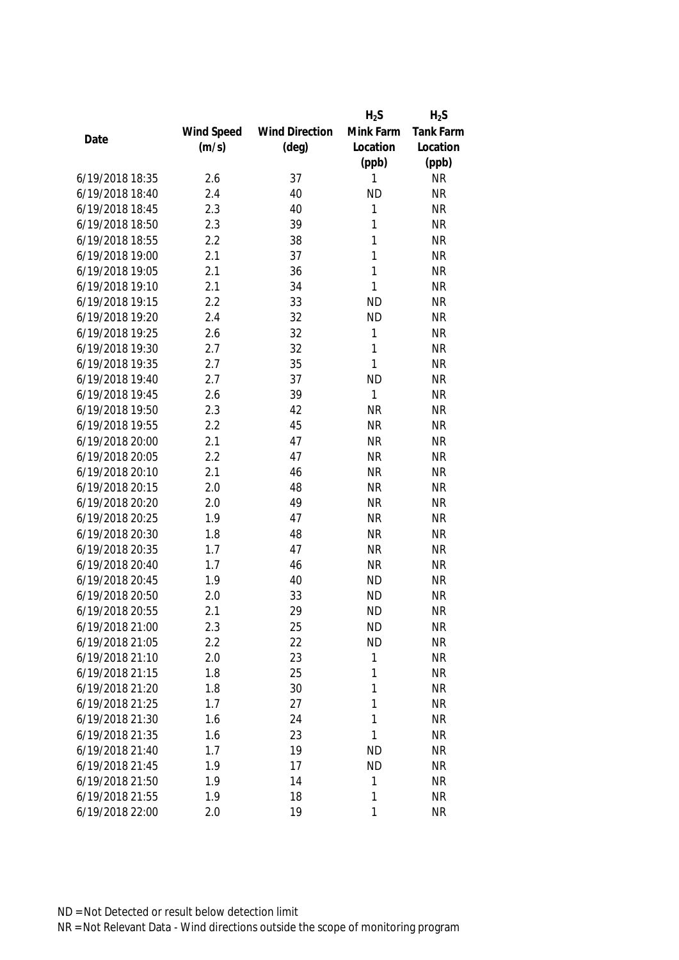|                 |            |                       | $H_2S$       | $H_2S$           |
|-----------------|------------|-----------------------|--------------|------------------|
|                 | Wind Speed | <b>Wind Direction</b> | Mink Farm    | <b>Tank Farm</b> |
| Date            | (m/s)      | $(\text{deg})$        | Location     | Location         |
|                 |            |                       | (ppb)        | (ppb)            |
| 6/19/2018 18:35 | 2.6        | 37                    | 1            | <b>NR</b>        |
| 6/19/2018 18:40 | 2.4        | 40                    | <b>ND</b>    | <b>NR</b>        |
| 6/19/2018 18:45 | 2.3        | 40                    | 1            | <b>NR</b>        |
| 6/19/2018 18:50 | 2.3        | 39                    | 1            | <b>NR</b>        |
| 6/19/2018 18:55 | 2.2        | 38                    | 1            | <b>NR</b>        |
| 6/19/2018 19:00 | 2.1        | 37                    | 1            | <b>NR</b>        |
| 6/19/2018 19:05 | 2.1        | 36                    | 1            | <b>NR</b>        |
| 6/19/2018 19:10 | 2.1        | 34                    | 1            | <b>NR</b>        |
| 6/19/2018 19:15 | 2.2        | 33                    | <b>ND</b>    | <b>NR</b>        |
| 6/19/2018 19:20 | 2.4        | 32                    | <b>ND</b>    | <b>NR</b>        |
| 6/19/2018 19:25 | 2.6        | 32                    | 1            | <b>NR</b>        |
| 6/19/2018 19:30 | 2.7        | 32                    | 1            | <b>NR</b>        |
| 6/19/2018 19:35 | 2.7        | 35                    | 1            | <b>NR</b>        |
| 6/19/2018 19:40 | 2.7        | 37                    | <b>ND</b>    | <b>NR</b>        |
| 6/19/2018 19:45 | 2.6        | 39                    | $\mathbf{1}$ | <b>NR</b>        |
| 6/19/2018 19:50 | 2.3        | 42                    | <b>NR</b>    | <b>NR</b>        |
| 6/19/2018 19:55 | 2.2        | 45                    | <b>NR</b>    | <b>NR</b>        |
| 6/19/2018 20:00 | 2.1        | 47                    | <b>NR</b>    | <b>NR</b>        |
| 6/19/2018 20:05 | 2.2        | 47                    | <b>NR</b>    | <b>NR</b>        |
| 6/19/2018 20:10 | 2.1        | 46                    | <b>NR</b>    | <b>NR</b>        |
| 6/19/2018 20:15 | 2.0        | 48                    | <b>NR</b>    | <b>NR</b>        |
| 6/19/2018 20:20 | 2.0        | 49                    | <b>NR</b>    | <b>NR</b>        |
| 6/19/2018 20:25 | 1.9        | 47                    | <b>NR</b>    | <b>NR</b>        |
| 6/19/2018 20:30 | 1.8        | 48                    | <b>NR</b>    | <b>NR</b>        |
| 6/19/2018 20:35 | 1.7        | 47                    | <b>NR</b>    | <b>NR</b>        |
| 6/19/2018 20:40 | 1.7        | 46                    | <b>NR</b>    | <b>NR</b>        |
| 6/19/2018 20:45 | 1.9        | 40                    | <b>ND</b>    | <b>NR</b>        |
| 6/19/2018 20:50 | 2.0        | 33                    | <b>ND</b>    | <b>NR</b>        |
| 6/19/2018 20:55 | 2.1        | 29                    | <b>ND</b>    | <b>NR</b>        |
| 6/19/2018 21:00 | 2.3        | 25                    | <b>ND</b>    | <b>NR</b>        |
| 6/19/2018 21:05 | 2.2        | 22                    | <b>ND</b>    | <b>NR</b>        |
| 6/19/2018 21:10 | 2.0        | 23                    | 1            | <b>NR</b>        |
| 6/19/2018 21:15 | 1.8        | 25                    | 1            | <b>NR</b>        |
| 6/19/2018 21:20 | 1.8        | 30                    | 1            | <b>NR</b>        |
| 6/19/2018 21:25 | 1.7        | 27                    | 1            | <b>NR</b>        |
| 6/19/2018 21:30 | 1.6        | 24                    | 1            | <b>NR</b>        |
| 6/19/2018 21:35 | 1.6        | 23                    | 1            | <b>NR</b>        |
| 6/19/2018 21:40 | 1.7        | 19                    | <b>ND</b>    | <b>NR</b>        |
| 6/19/2018 21:45 | 1.9        | 17                    | <b>ND</b>    | <b>NR</b>        |
| 6/19/2018 21:50 | 1.9        | 14                    | 1            | <b>NR</b>        |
| 6/19/2018 21:55 | 1.9        | 18                    | 1            | <b>NR</b>        |
| 6/19/2018 22:00 | 2.0        | 19                    | 1            | <b>NR</b>        |
|                 |            |                       |              |                  |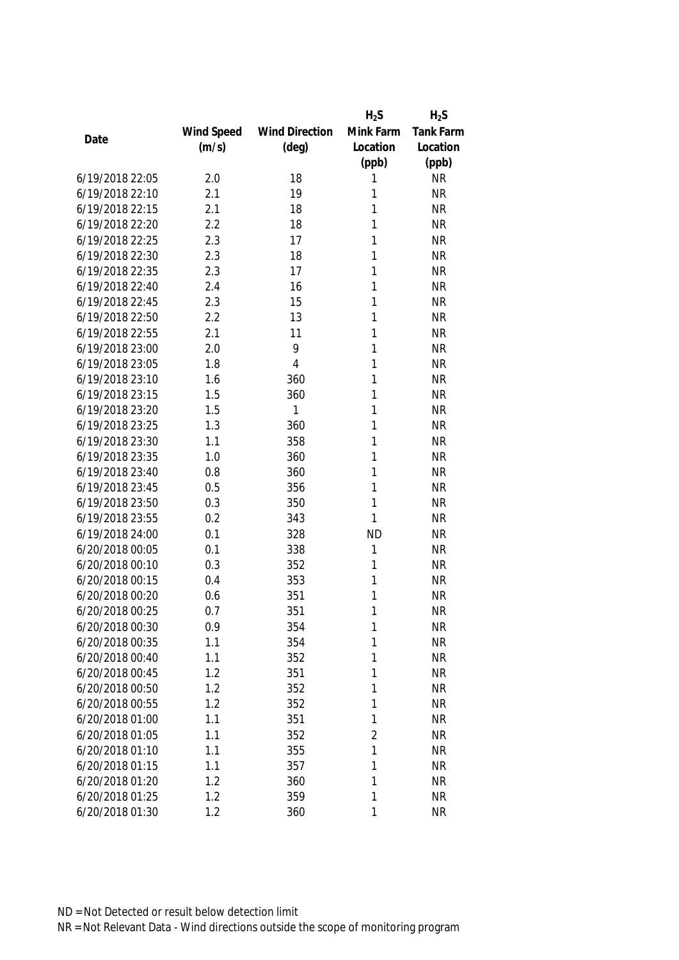|                 |            |                       | $H_2S$         | $H_2S$           |
|-----------------|------------|-----------------------|----------------|------------------|
|                 | Wind Speed | <b>Wind Direction</b> | Mink Farm      | <b>Tank Farm</b> |
| Date            | (m/s)      | $(\text{deg})$        | Location       | Location         |
|                 |            |                       | (ppb)          | (ppb)            |
| 6/19/2018 22:05 | 2.0        | 18                    | 1              | <b>NR</b>        |
| 6/19/2018 22:10 | 2.1        | 19                    | 1              | <b>NR</b>        |
| 6/19/2018 22:15 | 2.1        | 18                    | 1              | <b>NR</b>        |
| 6/19/2018 22:20 | 2.2        | 18                    | 1              | <b>NR</b>        |
| 6/19/2018 22:25 | 2.3        | 17                    | 1              | <b>NR</b>        |
| 6/19/2018 22:30 | 2.3        | 18                    | 1              | <b>NR</b>        |
| 6/19/2018 22:35 | 2.3        | 17                    | 1              | <b>NR</b>        |
| 6/19/2018 22:40 | 2.4        | 16                    | 1              | <b>NR</b>        |
| 6/19/2018 22:45 | 2.3        | 15                    | 1              | <b>NR</b>        |
| 6/19/2018 22:50 | 2.2        | 13                    | 1              | <b>NR</b>        |
| 6/19/2018 22:55 | 2.1        | 11                    | 1              | <b>NR</b>        |
| 6/19/2018 23:00 | 2.0        | 9                     | 1              | <b>NR</b>        |
| 6/19/2018 23:05 | 1.8        | $\overline{4}$        | 1              | <b>NR</b>        |
| 6/19/2018 23:10 | 1.6        | 360                   | 1              | <b>NR</b>        |
| 6/19/2018 23:15 | 1.5        | 360                   | 1              | <b>NR</b>        |
| 6/19/2018 23:20 | 1.5        | 1                     | 1              | <b>NR</b>        |
| 6/19/2018 23:25 | 1.3        | 360                   | 1              | <b>NR</b>        |
| 6/19/2018 23:30 | 1.1        | 358                   | 1              | <b>NR</b>        |
| 6/19/2018 23:35 | 1.0        | 360                   | 1              | <b>NR</b>        |
| 6/19/2018 23:40 | 0.8        | 360                   | 1              | <b>NR</b>        |
| 6/19/2018 23:45 | 0.5        | 356                   | 1              | <b>NR</b>        |
| 6/19/2018 23:50 | 0.3        | 350                   | 1              | <b>NR</b>        |
| 6/19/2018 23:55 | 0.2        | 343                   | 1              | <b>NR</b>        |
| 6/19/2018 24:00 | 0.1        | 328                   | <b>ND</b>      | <b>NR</b>        |
| 6/20/2018 00:05 | 0.1        | 338                   | 1              | <b>NR</b>        |
| 6/20/2018 00:10 | 0.3        | 352                   | 1              | <b>NR</b>        |
| 6/20/2018 00:15 | 0.4        | 353                   | 1              | <b>NR</b>        |
| 6/20/2018 00:20 | 0.6        | 351                   | 1              | <b>NR</b>        |
| 6/20/2018 00:25 | 0.7        | 351                   | 1              | <b>NR</b>        |
| 6/20/2018 00:30 | 0.9        | 354                   | 1              | <b>NR</b>        |
| 6/20/2018 00:35 | 1.1        | 354                   | 1              | <b>NR</b>        |
| 6/20/2018 00:40 | 1.1        | 352                   | 1              | <b>NR</b>        |
| 6/20/2018 00:45 | 1.2        | 351                   | 1              | <b>NR</b>        |
| 6/20/2018 00:50 | 1.2        | 352                   | 1              | <b>NR</b>        |
| 6/20/2018 00:55 | 1.2        | 352                   | 1              | <b>NR</b>        |
| 6/20/2018 01:00 | 1.1        | 351                   | 1              | <b>NR</b>        |
| 6/20/2018 01:05 | 1.1        | 352                   | $\overline{2}$ | <b>NR</b>        |
| 6/20/2018 01:10 | 1.1        | 355                   | 1              | <b>NR</b>        |
| 6/20/2018 01:15 | 1.1        | 357                   | 1              | <b>NR</b>        |
| 6/20/2018 01:20 | 1.2        | 360                   | 1              | <b>NR</b>        |
| 6/20/2018 01:25 | 1.2        | 359                   | 1              | <b>NR</b>        |
| 6/20/2018 01:30 | 1.2        | 360                   | 1              | <b>NR</b>        |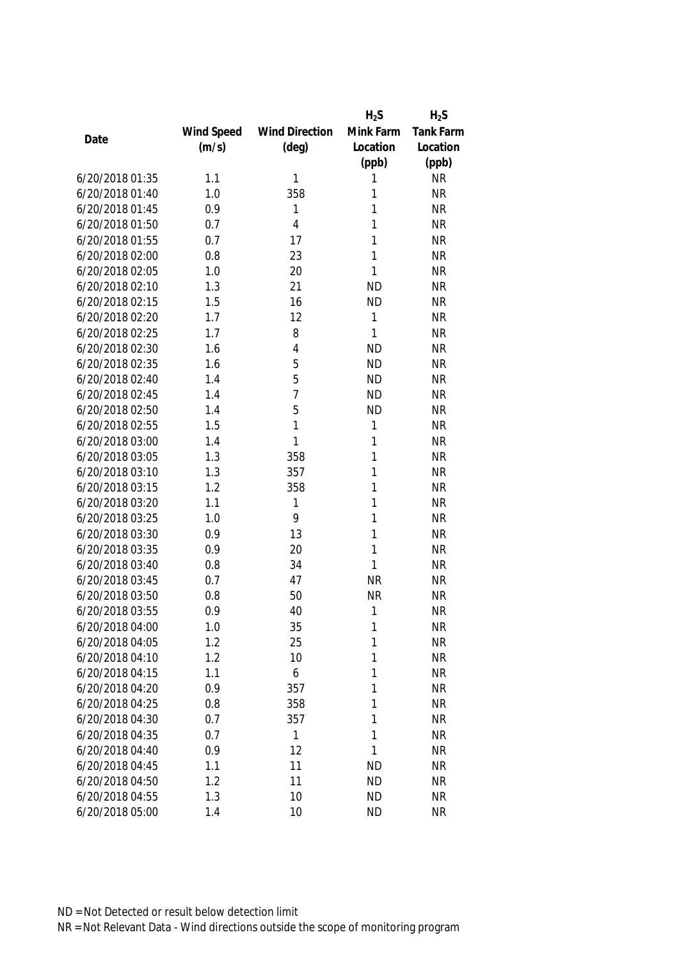|                 |            |                       | $H_2S$    | $H_2S$           |
|-----------------|------------|-----------------------|-----------|------------------|
|                 | Wind Speed | <b>Wind Direction</b> | Mink Farm | <b>Tank Farm</b> |
| Date            | (m/s)      | $(\text{deg})$        | Location  | Location         |
|                 |            |                       | (ppb)     | (ppb)            |
| 6/20/2018 01:35 | 1.1        | 1                     | 1         | <b>NR</b>        |
| 6/20/2018 01:40 | 1.0        | 358                   | 1         | <b>NR</b>        |
| 6/20/2018 01:45 | 0.9        | 1                     | 1         | <b>NR</b>        |
| 6/20/2018 01:50 | 0.7        | $\overline{4}$        | 1         | <b>NR</b>        |
| 6/20/2018 01:55 | 0.7        | 17                    | 1         | <b>NR</b>        |
| 6/20/2018 02:00 | 0.8        | 23                    | 1         | <b>NR</b>        |
| 6/20/2018 02:05 | 1.0        | 20                    | 1         | <b>NR</b>        |
| 6/20/2018 02:10 | 1.3        | 21                    | <b>ND</b> | <b>NR</b>        |
| 6/20/2018 02:15 | 1.5        | 16                    | <b>ND</b> | <b>NR</b>        |
| 6/20/2018 02:20 | 1.7        | 12                    | 1         | <b>NR</b>        |
| 6/20/2018 02:25 | 1.7        | 8                     | 1         | <b>NR</b>        |
| 6/20/2018 02:30 | 1.6        | 4                     | <b>ND</b> | <b>NR</b>        |
| 6/20/2018 02:35 | 1.6        | 5                     | <b>ND</b> | <b>NR</b>        |
| 6/20/2018 02:40 | 1.4        | 5                     | <b>ND</b> | <b>NR</b>        |
| 6/20/2018 02:45 | 1.4        | $\overline{1}$        | <b>ND</b> | <b>NR</b>        |
| 6/20/2018 02:50 | 1.4        | 5                     | <b>ND</b> | <b>NR</b>        |
| 6/20/2018 02:55 | 1.5        | 1                     | 1         | <b>NR</b>        |
| 6/20/2018 03:00 | 1.4        | 1                     | 1         | <b>NR</b>        |
| 6/20/2018 03:05 | 1.3        | 358                   | 1         | <b>NR</b>        |
| 6/20/2018 03:10 | 1.3        | 357                   | 1         | <b>NR</b>        |
| 6/20/2018 03:15 | 1.2        | 358                   | 1         | <b>NR</b>        |
| 6/20/2018 03:20 | 1.1        | 1                     | 1         | <b>NR</b>        |
| 6/20/2018 03:25 | 1.0        | 9                     | 1         | <b>NR</b>        |
| 6/20/2018 03:30 | 0.9        | 13                    | 1         | <b>NR</b>        |
| 6/20/2018 03:35 | 0.9        | 20                    | 1         | <b>NR</b>        |
| 6/20/2018 03:40 | 0.8        | 34                    | 1         | <b>NR</b>        |
| 6/20/2018 03:45 | 0.7        | 47                    | <b>NR</b> | <b>NR</b>        |
| 6/20/2018 03:50 | 0.8        | 50                    | <b>NR</b> | <b>NR</b>        |
| 6/20/2018 03:55 | 0.9        | 40                    | 1         | <b>NR</b>        |
| 6/20/2018 04:00 | 1.0        | 35                    | 1         | <b>NR</b>        |
| 6/20/2018 04:05 | 1.2        | 25                    | 1         | <b>NR</b>        |
| 6/20/2018 04:10 | 1.2        | 10                    | 1         | <b>NR</b>        |
| 6/20/2018 04:15 | 1.1        | 6                     | 1         | <b>NR</b>        |
| 6/20/2018 04:20 | 0.9        | 357                   | 1         | <b>NR</b>        |
| 6/20/2018 04:25 | 0.8        | 358                   | 1         | <b>NR</b>        |
| 6/20/2018 04:30 | 0.7        | 357                   | 1         | <b>NR</b>        |
| 6/20/2018 04:35 | 0.7        | 1                     | 1         | <b>NR</b>        |
| 6/20/2018 04:40 |            |                       | 1         |                  |
| 6/20/2018 04:45 | 0.9        | 12                    |           | <b>NR</b>        |
|                 | 1.1        | 11                    | <b>ND</b> | <b>NR</b>        |
| 6/20/2018 04:50 | 1.2        | 11                    | <b>ND</b> | <b>NR</b>        |
| 6/20/2018 04:55 | 1.3        | 10                    | <b>ND</b> | <b>NR</b>        |
| 6/20/2018 05:00 | 1.4        | 10                    | <b>ND</b> | <b>NR</b>        |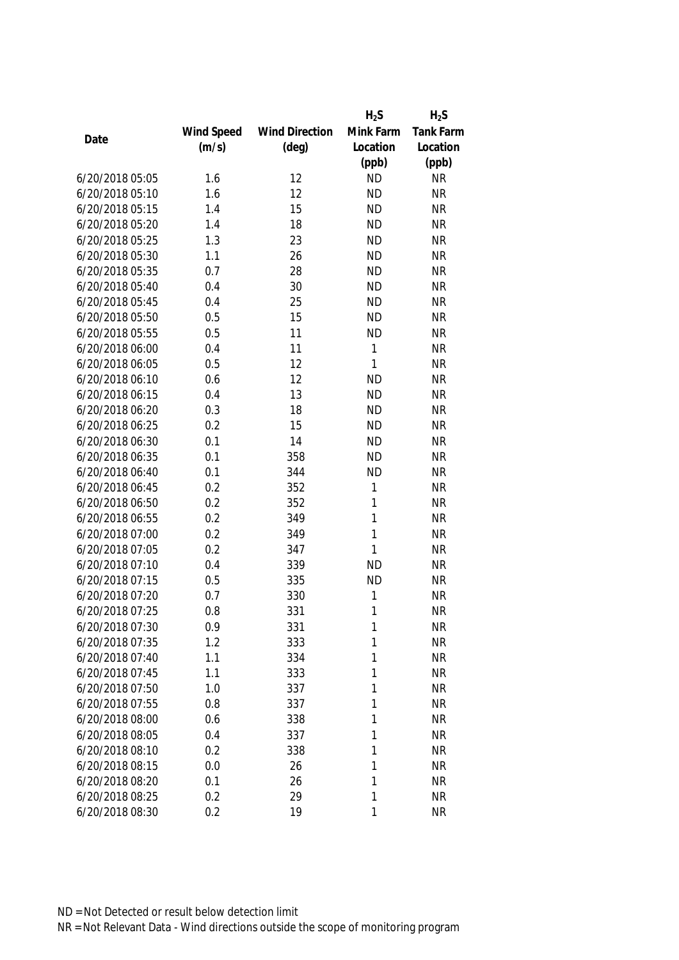|                 |            |                       | $H_2S$       | $H_2S$    |
|-----------------|------------|-----------------------|--------------|-----------|
|                 | Wind Speed | <b>Wind Direction</b> | Mink Farm    | Tank Farm |
| Date            | (m/s)      | $(\text{deg})$        | Location     | Location  |
|                 |            |                       | (ppb)        | (ppb)     |
| 6/20/2018 05:05 | 1.6        | 12                    | <b>ND</b>    | <b>NR</b> |
| 6/20/2018 05:10 | 1.6        | 12                    | <b>ND</b>    | <b>NR</b> |
| 6/20/2018 05:15 | 1.4        | 15                    | <b>ND</b>    | <b>NR</b> |
| 6/20/2018 05:20 | 1.4        | 18                    | <b>ND</b>    | <b>NR</b> |
| 6/20/2018 05:25 | 1.3        | 23                    | <b>ND</b>    | <b>NR</b> |
| 6/20/2018 05:30 | 1.1        | 26                    | <b>ND</b>    | <b>NR</b> |
| 6/20/2018 05:35 | 0.7        | 28                    | <b>ND</b>    | <b>NR</b> |
| 6/20/2018 05:40 | 0.4        | 30                    | <b>ND</b>    | <b>NR</b> |
| 6/20/2018 05:45 | 0.4        | 25                    | <b>ND</b>    | <b>NR</b> |
| 6/20/2018 05:50 | 0.5        | 15                    | <b>ND</b>    | <b>NR</b> |
| 6/20/2018 05:55 | 0.5        | 11                    | <b>ND</b>    | <b>NR</b> |
| 6/20/2018 06:00 | 0.4        | 11                    | 1            | <b>NR</b> |
| 6/20/2018 06:05 | 0.5        | 12                    | $\mathbf{1}$ | <b>NR</b> |
| 6/20/2018 06:10 | 0.6        | 12                    | <b>ND</b>    | <b>NR</b> |
| 6/20/2018 06:15 | 0.4        | 13                    | <b>ND</b>    | <b>NR</b> |
| 6/20/2018 06:20 | 0.3        | 18                    | <b>ND</b>    | <b>NR</b> |
| 6/20/2018 06:25 | 0.2        | 15                    | <b>ND</b>    | <b>NR</b> |
| 6/20/2018 06:30 | 0.1        | 14                    | <b>ND</b>    | <b>NR</b> |
| 6/20/2018 06:35 | 0.1        | 358                   | <b>ND</b>    | <b>NR</b> |
| 6/20/2018 06:40 | 0.1        | 344                   | <b>ND</b>    | <b>NR</b> |
| 6/20/2018 06:45 | 0.2        | 352                   | $\mathbf{1}$ | <b>NR</b> |
| 6/20/2018 06:50 | 0.2        | 352                   | 1            | <b>NR</b> |
| 6/20/2018 06:55 | 0.2        | 349                   | $\mathbf{1}$ | <b>NR</b> |
| 6/20/2018 07:00 | 0.2        | 349                   | $\mathbf{1}$ | <b>NR</b> |
| 6/20/2018 07:05 | 0.2        | 347                   | 1            | <b>NR</b> |
| 6/20/2018 07:10 | 0.4        | 339                   | <b>ND</b>    | <b>NR</b> |
| 6/20/2018 07:15 | 0.5        | 335                   | <b>ND</b>    | <b>NR</b> |
| 6/20/2018 07:20 | 0.7        | 330                   | 1            | <b>NR</b> |
| 6/20/2018 07:25 | 0.8        | 331                   | 1            | <b>NR</b> |
| 6/20/2018 07:30 | 0.9        | 331                   | 1            | <b>NR</b> |
| 6/20/2018 07:35 | 1.2        | 333                   | 1            | <b>NR</b> |
| 6/20/2018 07:40 | 1.1        | 334                   | 1            | <b>NR</b> |
| 6/20/2018 07:45 | 1.1        | 333                   | 1            | <b>NR</b> |
| 6/20/2018 07:50 | 1.0        | 337                   | 1            | <b>NR</b> |
| 6/20/2018 07:55 | 0.8        | 337                   | 1            | <b>NR</b> |
| 6/20/2018 08:00 | 0.6        | 338                   | 1            | <b>NR</b> |
| 6/20/2018 08:05 | 0.4        | 337                   | 1            | <b>NR</b> |
| 6/20/2018 08:10 | 0.2        | 338                   | 1            | <b>NR</b> |
| 6/20/2018 08:15 | 0.0        | 26                    | 1            | <b>NR</b> |
| 6/20/2018 08:20 | 0.1        | 26                    | 1            | <b>NR</b> |
| 6/20/2018 08:25 | 0.2        | 29                    | 1            | <b>NR</b> |
| 6/20/2018 08:30 | 0.2        | 19                    | 1            | <b>NR</b> |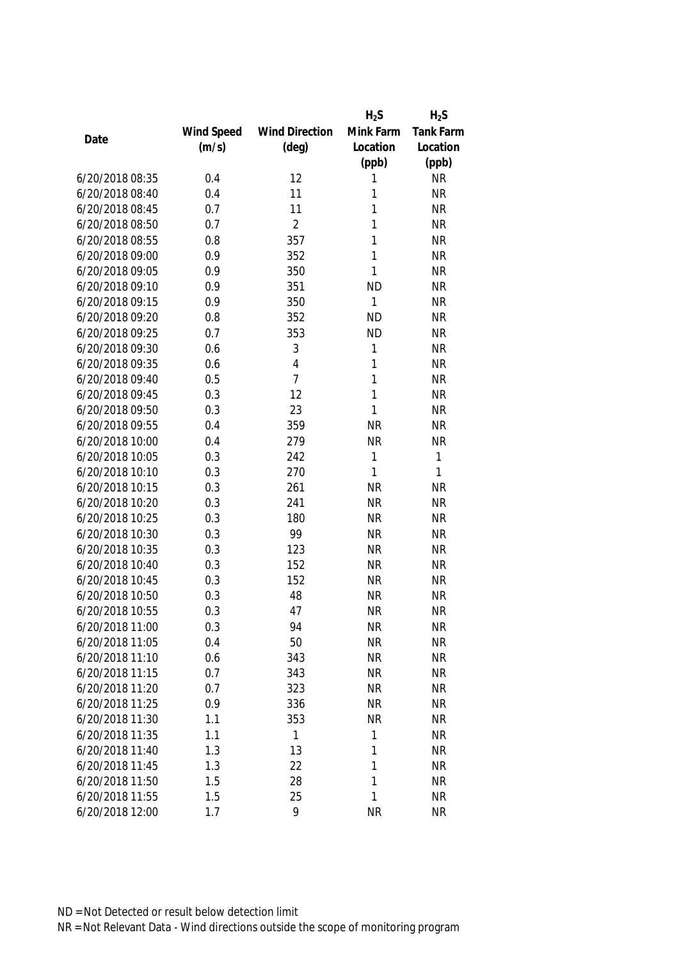|                 |            |                       | $H_2S$    | $H_2S$    |
|-----------------|------------|-----------------------|-----------|-----------|
|                 | Wind Speed | <b>Wind Direction</b> | Mink Farm | Tank Farm |
| Date            | (m/s)      | $(\text{deg})$        | Location  | Location  |
|                 |            |                       | (ppb)     | (ppb)     |
| 6/20/2018 08:35 | 0.4        | 12                    | 1         | <b>NR</b> |
| 6/20/2018 08:40 | 0.4        | 11                    | 1         | <b>NR</b> |
| 6/20/2018 08:45 | 0.7        | 11                    | 1         | <b>NR</b> |
| 6/20/2018 08:50 | 0.7        | $\overline{2}$        | 1         | <b>NR</b> |
| 6/20/2018 08:55 | 0.8        | 357                   | 1         | <b>NR</b> |
| 6/20/2018 09:00 | 0.9        | 352                   | 1         | <b>NR</b> |
| 6/20/2018 09:05 | 0.9        | 350                   | 1         | <b>NR</b> |
| 6/20/2018 09:10 | 0.9        | 351                   | <b>ND</b> | <b>NR</b> |
| 6/20/2018 09:15 | 0.9        | 350                   | 1         | <b>NR</b> |
| 6/20/2018 09:20 | 0.8        | 352                   | <b>ND</b> | <b>NR</b> |
| 6/20/2018 09:25 | 0.7        | 353                   | <b>ND</b> | <b>NR</b> |
| 6/20/2018 09:30 | 0.6        | 3                     | 1         | <b>NR</b> |
| 6/20/2018 09:35 | 0.6        | $\overline{4}$        | 1         | <b>NR</b> |
| 6/20/2018 09:40 | 0.5        | $\overline{7}$        | 1         | <b>NR</b> |
| 6/20/2018 09:45 | 0.3        | 12                    | 1         | <b>NR</b> |
| 6/20/2018 09:50 | 0.3        | 23                    | 1         | <b>NR</b> |
| 6/20/2018 09:55 | 0.4        | 359                   | <b>NR</b> | <b>NR</b> |
| 6/20/2018 10:00 | 0.4        | 279                   | <b>NR</b> | <b>NR</b> |
| 6/20/2018 10:05 | 0.3        | 242                   | 1         | 1         |
| 6/20/2018 10:10 | 0.3        | 270                   | 1         | 1         |
| 6/20/2018 10:15 | 0.3        | 261                   | <b>NR</b> | <b>NR</b> |
| 6/20/2018 10:20 | 0.3        | 241                   | <b>NR</b> | <b>NR</b> |
| 6/20/2018 10:25 | 0.3        | 180                   | <b>NR</b> | <b>NR</b> |
| 6/20/2018 10:30 | 0.3        | 99                    | <b>NR</b> | <b>NR</b> |
| 6/20/2018 10:35 | 0.3        | 123                   | <b>NR</b> | <b>NR</b> |
| 6/20/2018 10:40 | 0.3        | 152                   | <b>NR</b> | <b>NR</b> |
| 6/20/2018 10:45 | 0.3        | 152                   | <b>NR</b> | <b>NR</b> |
| 6/20/2018 10:50 | 0.3        | 48                    | <b>NR</b> | <b>NR</b> |
| 6/20/2018 10:55 | 0.3        | 47                    | <b>NR</b> | <b>NR</b> |
| 6/20/2018 11:00 | 0.3        | 94                    | <b>NR</b> | <b>NR</b> |
| 6/20/2018 11:05 | 0.4        | 50                    | <b>NR</b> | <b>NR</b> |
| 6/20/2018 11:10 | 0.6        | 343                   | <b>NR</b> | <b>NR</b> |
| 6/20/2018 11:15 | 0.7        | 343                   | <b>NR</b> | <b>NR</b> |
| 6/20/2018 11:20 | 0.7        | 323                   | <b>NR</b> | <b>NR</b> |
| 6/20/2018 11:25 | 0.9        | 336                   | <b>NR</b> | <b>NR</b> |
| 6/20/2018 11:30 | 1.1        | 353                   | <b>NR</b> | <b>NR</b> |
| 6/20/2018 11:35 | 1.1        | $\mathbf{1}$          | 1         | <b>NR</b> |
| 6/20/2018 11:40 | 1.3        | 13                    | 1         | <b>NR</b> |
| 6/20/2018 11:45 | 1.3        | 22                    | 1         | <b>NR</b> |
| 6/20/2018 11:50 | 1.5        | 28                    | 1         | <b>NR</b> |
| 6/20/2018 11:55 | 1.5        | 25                    | 1         | <b>NR</b> |
| 6/20/2018 12:00 | 1.7        | 9                     | <b>NR</b> | <b>NR</b> |
|                 |            |                       |           |           |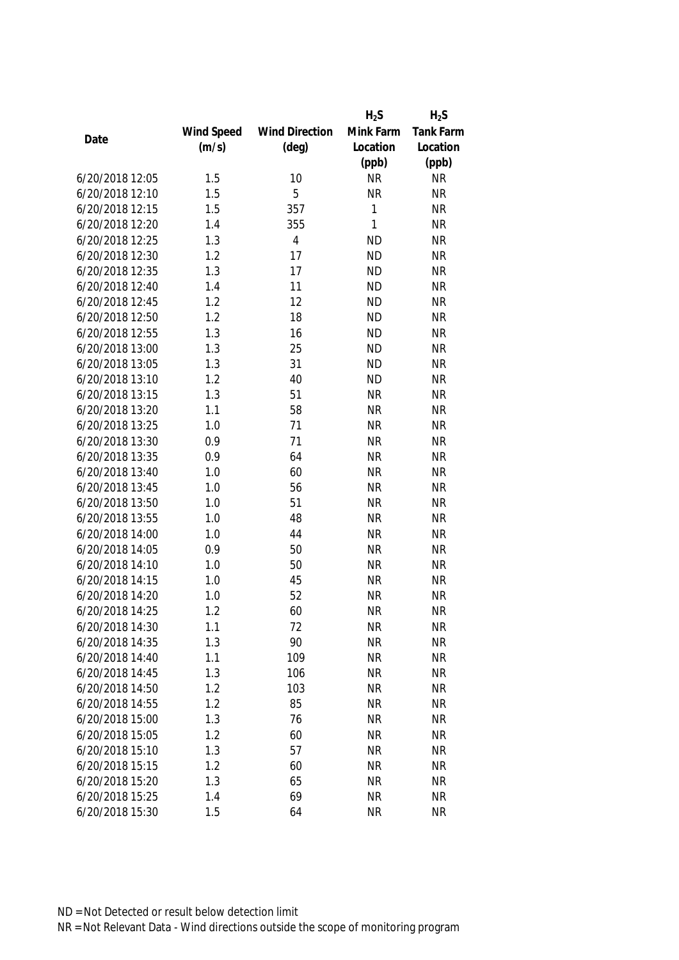|                 |            |                       | $H_2S$    | $H_2S$           |
|-----------------|------------|-----------------------|-----------|------------------|
|                 | Wind Speed | <b>Wind Direction</b> | Mink Farm | <b>Tank Farm</b> |
| Date            | (m/s)      | $(\text{deg})$        | Location  | Location         |
|                 |            |                       | (ppb)     | (ppb)            |
| 6/20/2018 12:05 | 1.5        | 10                    | <b>NR</b> | <b>NR</b>        |
| 6/20/2018 12:10 | 1.5        | 5                     | <b>NR</b> | <b>NR</b>        |
| 6/20/2018 12:15 | 1.5        | 357                   | 1         | <b>NR</b>        |
| 6/20/2018 12:20 | 1.4        | 355                   | 1         | <b>NR</b>        |
| 6/20/2018 12:25 | 1.3        | $\overline{4}$        | <b>ND</b> | <b>NR</b>        |
| 6/20/2018 12:30 | 1.2        | 17                    | <b>ND</b> | <b>NR</b>        |
| 6/20/2018 12:35 | 1.3        | 17                    | <b>ND</b> | <b>NR</b>        |
| 6/20/2018 12:40 | 1.4        | 11                    | <b>ND</b> | <b>NR</b>        |
| 6/20/2018 12:45 | 1.2        | 12                    | <b>ND</b> | <b>NR</b>        |
| 6/20/2018 12:50 | 1.2        | 18                    | <b>ND</b> | <b>NR</b>        |
| 6/20/2018 12:55 | 1.3        | 16                    | <b>ND</b> | <b>NR</b>        |
| 6/20/2018 13:00 | 1.3        | 25                    | <b>ND</b> | <b>NR</b>        |
| 6/20/2018 13:05 | 1.3        | 31                    | <b>ND</b> | <b>NR</b>        |
| 6/20/2018 13:10 | 1.2        | 40                    | <b>ND</b> | <b>NR</b>        |
| 6/20/2018 13:15 | 1.3        | 51                    | <b>NR</b> | <b>NR</b>        |
| 6/20/2018 13:20 | 1.1        | 58                    | <b>NR</b> | <b>NR</b>        |
| 6/20/2018 13:25 | 1.0        | 71                    | <b>NR</b> | <b>NR</b>        |
| 6/20/2018 13:30 | 0.9        | 71                    | <b>NR</b> | <b>NR</b>        |
| 6/20/2018 13:35 | 0.9        | 64                    | <b>NR</b> | <b>NR</b>        |
| 6/20/2018 13:40 | 1.0        | 60                    | <b>NR</b> | <b>NR</b>        |
| 6/20/2018 13:45 | 1.0        | 56                    | <b>NR</b> | <b>NR</b>        |
| 6/20/2018 13:50 | 1.0        | 51                    | <b>NR</b> | <b>NR</b>        |
| 6/20/2018 13:55 | 1.0        | 48                    | <b>NR</b> | <b>NR</b>        |
| 6/20/2018 14:00 | 1.0        | 44                    | <b>NR</b> | <b>NR</b>        |
| 6/20/2018 14:05 | 0.9        | 50                    | <b>NR</b> | <b>NR</b>        |
| 6/20/2018 14:10 | 1.0        | 50                    | <b>NR</b> | <b>NR</b>        |
| 6/20/2018 14:15 | 1.0        | 45                    | <b>NR</b> | <b>NR</b>        |
| 6/20/2018 14:20 | 1.0        | 52                    | <b>NR</b> | <b>NR</b>        |
| 6/20/2018 14:25 | 1.2        | 60                    | <b>NR</b> | <b>NR</b>        |
| 6/20/2018 14:30 | 1.1        | 72                    | <b>NR</b> | <b>NR</b>        |
| 6/20/2018 14:35 | 1.3        | 90                    | <b>NR</b> | <b>NR</b>        |
| 6/20/2018 14:40 | 1.1        | 109                   | <b>NR</b> | <b>NR</b>        |
| 6/20/2018 14:45 | 1.3        | 106                   | <b>NR</b> | <b>NR</b>        |
| 6/20/2018 14:50 | 1.2        | 103                   | <b>NR</b> | <b>NR</b>        |
| 6/20/2018 14:55 | 1.2        | 85                    | <b>NR</b> | <b>NR</b>        |
| 6/20/2018 15:00 | 1.3        | 76                    | <b>NR</b> | <b>NR</b>        |
| 6/20/2018 15:05 | 1.2        | 60                    | <b>NR</b> | <b>NR</b>        |
| 6/20/2018 15:10 | 1.3        | 57                    | <b>NR</b> | <b>NR</b>        |
| 6/20/2018 15:15 | 1.2        | 60                    | <b>NR</b> | <b>NR</b>        |
| 6/20/2018 15:20 | 1.3        | 65                    | <b>NR</b> | <b>NR</b>        |
| 6/20/2018 15:25 | 1.4        | 69                    | <b>NR</b> | <b>NR</b>        |
|                 |            |                       |           |                  |
| 6/20/2018 15:30 | 1.5        | 64                    | <b>NR</b> | <b>NR</b>        |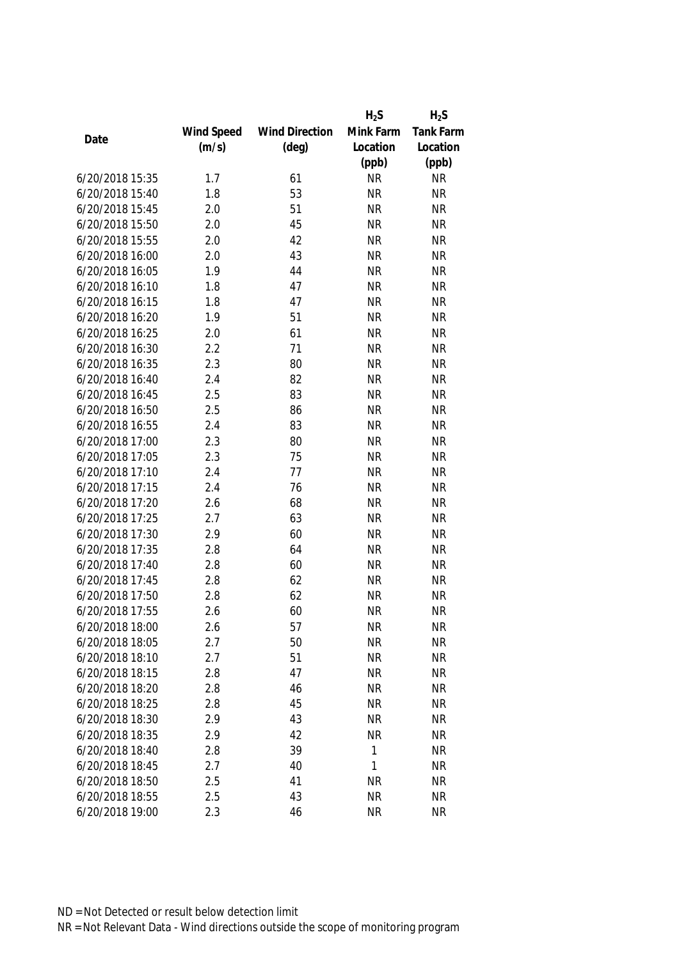|                 |            |                       | $H_2S$    | $H_2S$           |
|-----------------|------------|-----------------------|-----------|------------------|
|                 | Wind Speed | <b>Wind Direction</b> | Mink Farm | <b>Tank Farm</b> |
| Date            | (m/s)      | $(\text{deg})$        | Location  | Location         |
|                 |            |                       | (ppb)     | (ppb)            |
| 6/20/2018 15:35 | 1.7        | 61                    | <b>NR</b> | <b>NR</b>        |
| 6/20/2018 15:40 | 1.8        | 53                    | <b>NR</b> | <b>NR</b>        |
| 6/20/2018 15:45 | 2.0        | 51                    | <b>NR</b> | <b>NR</b>        |
| 6/20/2018 15:50 | 2.0        | 45                    | <b>NR</b> | <b>NR</b>        |
| 6/20/2018 15:55 | 2.0        | 42                    | <b>NR</b> | <b>NR</b>        |
| 6/20/2018 16:00 | 2.0        | 43                    | <b>NR</b> | <b>NR</b>        |
| 6/20/2018 16:05 | 1.9        | 44                    | <b>NR</b> | <b>NR</b>        |
| 6/20/2018 16:10 | 1.8        | 47                    | <b>NR</b> | <b>NR</b>        |
| 6/20/2018 16:15 | 1.8        | 47                    | <b>NR</b> | <b>NR</b>        |
| 6/20/2018 16:20 | 1.9        | 51                    | <b>NR</b> | <b>NR</b>        |
| 6/20/2018 16:25 | 2.0        | 61                    | <b>NR</b> | <b>NR</b>        |
| 6/20/2018 16:30 | 2.2        | 71                    | <b>NR</b> | <b>NR</b>        |
| 6/20/2018 16:35 | 2.3        | 80                    | <b>NR</b> | <b>NR</b>        |
| 6/20/2018 16:40 | 2.4        | 82                    | <b>NR</b> | <b>NR</b>        |
| 6/20/2018 16:45 | 2.5        | 83                    | <b>NR</b> | <b>NR</b>        |
| 6/20/2018 16:50 | 2.5        | 86                    | <b>NR</b> | <b>NR</b>        |
| 6/20/2018 16:55 | 2.4        | 83                    | <b>NR</b> | <b>NR</b>        |
| 6/20/2018 17:00 | 2.3        | 80                    | <b>NR</b> | <b>NR</b>        |
| 6/20/2018 17:05 | 2.3        | 75                    | <b>NR</b> | <b>NR</b>        |
| 6/20/2018 17:10 | 2.4        | 77                    | <b>NR</b> | <b>NR</b>        |
| 6/20/2018 17:15 | 2.4        | 76                    | <b>NR</b> | <b>NR</b>        |
| 6/20/2018 17:20 | 2.6        | 68                    | <b>NR</b> | <b>NR</b>        |
| 6/20/2018 17:25 | 2.7        | 63                    | <b>NR</b> | <b>NR</b>        |
| 6/20/2018 17:30 | 2.9        | 60                    | <b>NR</b> | <b>NR</b>        |
| 6/20/2018 17:35 | 2.8        | 64                    | <b>NR</b> | <b>NR</b>        |
| 6/20/2018 17:40 | 2.8        | 60                    | <b>NR</b> | <b>NR</b>        |
| 6/20/2018 17:45 | 2.8        | 62                    | <b>NR</b> | <b>NR</b>        |
| 6/20/2018 17:50 | 2.8        | 62                    | <b>NR</b> | <b>NR</b>        |
| 6/20/2018 17:55 | 2.6        | 60                    | <b>NR</b> | <b>NR</b>        |
| 6/20/2018 18:00 | 2.6        | 57                    | <b>NR</b> | <b>NR</b>        |
| 6/20/2018 18:05 | 2.7        | 50                    | <b>NR</b> | <b>NR</b>        |
| 6/20/2018 18:10 | 2.7        | 51                    | <b>NR</b> | <b>NR</b>        |
| 6/20/2018 18:15 | 2.8        | 47                    | <b>NR</b> | <b>NR</b>        |
| 6/20/2018 18:20 | 2.8        | 46                    | <b>NR</b> | <b>NR</b>        |
| 6/20/2018 18:25 | 2.8        | 45                    | <b>NR</b> | <b>NR</b>        |
| 6/20/2018 18:30 | 2.9        | 43                    | <b>NR</b> | <b>NR</b>        |
| 6/20/2018 18:35 | 2.9        | 42                    | <b>NR</b> | <b>NR</b>        |
| 6/20/2018 18:40 | 2.8        | 39                    | 1         | <b>NR</b>        |
| 6/20/2018 18:45 | 2.7        | 40                    | 1         | <b>NR</b>        |
| 6/20/2018 18:50 | 2.5        | 41                    | <b>NR</b> | <b>NR</b>        |
|                 |            |                       |           |                  |
| 6/20/2018 18:55 | 2.5        | 43                    | <b>NR</b> | <b>NR</b>        |
| 6/20/2018 19:00 | 2.3        | 46                    | <b>NR</b> | <b>NR</b>        |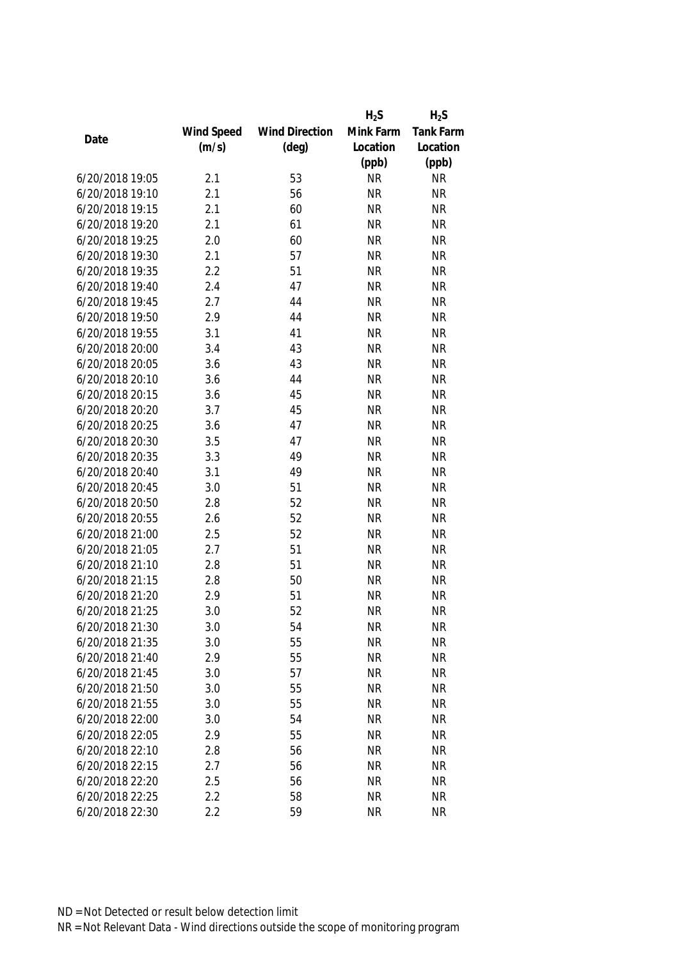|                 |            |                       | $H_2S$    | $H_2S$           |
|-----------------|------------|-----------------------|-----------|------------------|
|                 | Wind Speed | <b>Wind Direction</b> | Mink Farm | <b>Tank Farm</b> |
| Date            | (m/s)      | $(\text{deg})$        | Location  | Location         |
|                 |            |                       | (ppb)     | (ppb)            |
| 6/20/2018 19:05 | 2.1        | 53                    | <b>NR</b> | <b>NR</b>        |
| 6/20/2018 19:10 | 2.1        | 56                    | <b>NR</b> | <b>NR</b>        |
| 6/20/2018 19:15 | 2.1        | 60                    | <b>NR</b> | <b>NR</b>        |
| 6/20/2018 19:20 | 2.1        | 61                    | <b>NR</b> | <b>NR</b>        |
| 6/20/2018 19:25 | 2.0        | 60                    | <b>NR</b> | <b>NR</b>        |
| 6/20/2018 19:30 | 2.1        | 57                    | <b>NR</b> | <b>NR</b>        |
| 6/20/2018 19:35 | 2.2        | 51                    | <b>NR</b> | <b>NR</b>        |
| 6/20/2018 19:40 | 2.4        | 47                    | <b>NR</b> | <b>NR</b>        |
| 6/20/2018 19:45 | 2.7        | 44                    | <b>NR</b> | <b>NR</b>        |
| 6/20/2018 19:50 | 2.9        | 44                    | <b>NR</b> | <b>NR</b>        |
| 6/20/2018 19:55 | 3.1        | 41                    | <b>NR</b> | <b>NR</b>        |
| 6/20/2018 20:00 | 3.4        | 43                    | <b>NR</b> | <b>NR</b>        |
| 6/20/2018 20:05 | 3.6        | 43                    | <b>NR</b> | <b>NR</b>        |
| 6/20/2018 20:10 | 3.6        | 44                    | <b>NR</b> | <b>NR</b>        |
| 6/20/2018 20:15 | 3.6        | 45                    | <b>NR</b> | <b>NR</b>        |
| 6/20/2018 20:20 | 3.7        | 45                    | <b>NR</b> | <b>NR</b>        |
| 6/20/2018 20:25 | 3.6        | 47                    | <b>NR</b> | <b>NR</b>        |
| 6/20/2018 20:30 | 3.5        | 47                    | <b>NR</b> | <b>NR</b>        |
| 6/20/2018 20:35 | 3.3        | 49                    | <b>NR</b> | <b>NR</b>        |
| 6/20/2018 20:40 | 3.1        | 49                    | <b>NR</b> | <b>NR</b>        |
| 6/20/2018 20:45 | 3.0        | 51                    | <b>NR</b> | <b>NR</b>        |
| 6/20/2018 20:50 | 2.8        | 52                    | <b>NR</b> | <b>NR</b>        |
| 6/20/2018 20:55 | 2.6        | 52                    | <b>NR</b> | <b>NR</b>        |
| 6/20/2018 21:00 | 2.5        | 52                    | <b>NR</b> | <b>NR</b>        |
| 6/20/2018 21:05 | 2.7        | 51                    | <b>NR</b> | <b>NR</b>        |
| 6/20/2018 21:10 | 2.8        | 51                    | <b>NR</b> | <b>NR</b>        |
| 6/20/2018 21:15 | 2.8        | 50                    | <b>NR</b> | <b>NR</b>        |
| 6/20/2018 21:20 | 2.9        | 51                    | <b>NR</b> | <b>NR</b>        |
| 6/20/2018 21:25 | 3.0        | 52                    | <b>NR</b> | <b>NR</b>        |
| 6/20/2018 21:30 | 3.0        | 54                    | <b>NR</b> | <b>NR</b>        |
| 6/20/2018 21:35 | 3.0        | 55                    | <b>NR</b> | <b>NR</b>        |
| 6/20/2018 21:40 | 2.9        | 55                    | <b>NR</b> | <b>NR</b>        |
| 6/20/2018 21:45 | 3.0        | 57                    | <b>NR</b> | <b>NR</b>        |
| 6/20/2018 21:50 | 3.0        | 55                    | <b>NR</b> | <b>NR</b>        |
| 6/20/2018 21:55 | 3.0        | 55                    | <b>NR</b> | <b>NR</b>        |
| 6/20/2018 22:00 | 3.0        | 54                    | <b>NR</b> | <b>NR</b>        |
| 6/20/2018 22:05 | 2.9        | 55                    | <b>NR</b> | <b>NR</b>        |
| 6/20/2018 22:10 | 2.8        | 56                    | <b>NR</b> | <b>NR</b>        |
| 6/20/2018 22:15 | 2.7        | 56                    | <b>NR</b> | <b>NR</b>        |
| 6/20/2018 22:20 | 2.5        | 56                    | <b>NR</b> | <b>NR</b>        |
| 6/20/2018 22:25 | 2.2        | 58                    | <b>NR</b> | <b>NR</b>        |
| 6/20/2018 22:30 | 2.2        | 59                    | <b>NR</b> | <b>NR</b>        |
|                 |            |                       |           |                  |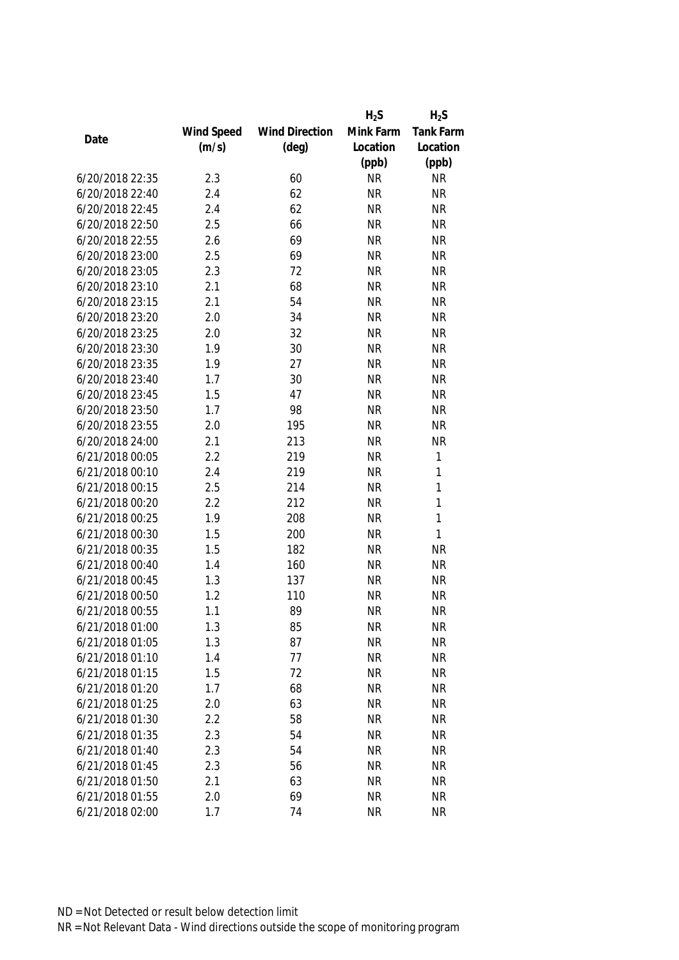|                 |            |                       | $H_2S$    | $H_2S$           |
|-----------------|------------|-----------------------|-----------|------------------|
|                 | Wind Speed | <b>Wind Direction</b> | Mink Farm | <b>Tank Farm</b> |
| Date            | (m/s)      | $(\text{deg})$        | Location  | Location         |
|                 |            |                       | (ppb)     | (ppb)            |
| 6/20/2018 22:35 | 2.3        | 60                    | <b>NR</b> | <b>NR</b>        |
| 6/20/2018 22:40 | 2.4        | 62                    | <b>NR</b> | <b>NR</b>        |
| 6/20/2018 22:45 | 2.4        | 62                    | <b>NR</b> | <b>NR</b>        |
| 6/20/2018 22:50 | 2.5        | 66                    | <b>NR</b> | <b>NR</b>        |
| 6/20/2018 22:55 | 2.6        | 69                    | <b>NR</b> | <b>NR</b>        |
| 6/20/2018 23:00 | 2.5        | 69                    | <b>NR</b> | <b>NR</b>        |
| 6/20/2018 23:05 | 2.3        | 72                    | <b>NR</b> | <b>NR</b>        |
| 6/20/2018 23:10 | 2.1        | 68                    | <b>NR</b> | <b>NR</b>        |
| 6/20/2018 23:15 | 2.1        | 54                    | <b>NR</b> | <b>NR</b>        |
| 6/20/2018 23:20 | 2.0        | 34                    | <b>NR</b> | <b>NR</b>        |
| 6/20/2018 23:25 | 2.0        | 32                    | <b>NR</b> | <b>NR</b>        |
| 6/20/2018 23:30 | 1.9        | 30                    | <b>NR</b> | <b>NR</b>        |
| 6/20/2018 23:35 | 1.9        | 27                    | <b>NR</b> | <b>NR</b>        |
| 6/20/2018 23:40 | 1.7        | 30                    | <b>NR</b> | <b>NR</b>        |
| 6/20/2018 23:45 | 1.5        | 47                    | <b>NR</b> | <b>NR</b>        |
| 6/20/2018 23:50 | 1.7        | 98                    | <b>NR</b> | <b>NR</b>        |
| 6/20/2018 23:55 | 2.0        | 195                   | <b>NR</b> | <b>NR</b>        |
| 6/20/2018 24:00 | 2.1        | 213                   | <b>NR</b> | <b>NR</b>        |
| 6/21/2018 00:05 | 2.2        | 219                   | <b>NR</b> | 1                |
| 6/21/2018 00:10 | 2.4        | 219                   | <b>NR</b> | 1                |
| 6/21/2018 00:15 | 2.5        | 214                   | <b>NR</b> | 1                |
| 6/21/2018 00:20 | 2.2        | 212                   | <b>NR</b> | 1                |
| 6/21/2018 00:25 | 1.9        | 208                   | <b>NR</b> | 1                |
| 6/21/2018 00:30 | 1.5        | 200                   | <b>NR</b> | 1                |
| 6/21/2018 00:35 | 1.5        | 182                   | <b>NR</b> | <b>NR</b>        |
| 6/21/2018 00:40 | 1.4        | 160                   | <b>NR</b> | <b>NR</b>        |
| 6/21/2018 00:45 | 1.3        | 137                   | <b>NR</b> | <b>NR</b>        |
| 6/21/2018 00:50 | 1.2        | 110                   | <b>NR</b> | <b>NR</b>        |
| 6/21/2018 00:55 | 1.1        | 89                    | <b>NR</b> | <b>NR</b>        |
| 6/21/2018 01:00 | 1.3        | 85                    | <b>NR</b> | <b>NR</b>        |
| 6/21/2018 01:05 | 1.3        | 87                    | <b>NR</b> | <b>NR</b>        |
| 6/21/2018 01:10 | 1.4        | 77                    | <b>NR</b> | <b>NR</b>        |
| 6/21/2018 01:15 | 1.5        | 72                    | <b>NR</b> | <b>NR</b>        |
| 6/21/2018 01:20 | 1.7        | 68                    | <b>NR</b> | <b>NR</b>        |
| 6/21/2018 01:25 | 2.0        | 63                    | <b>NR</b> | <b>NR</b>        |
| 6/21/2018 01:30 | 2.2        | 58                    | <b>NR</b> | <b>NR</b>        |
| 6/21/2018 01:35 | 2.3        | 54                    | <b>NR</b> | <b>NR</b>        |
| 6/21/2018 01:40 | 2.3        | 54                    | <b>NR</b> | <b>NR</b>        |
| 6/21/2018 01:45 | 2.3        | 56                    | <b>NR</b> | <b>NR</b>        |
| 6/21/2018 01:50 | 2.1        | 63                    | <b>NR</b> | <b>NR</b>        |
| 6/21/2018 01:55 | 2.0        | 69                    | <b>NR</b> | <b>NR</b>        |
| 6/21/2018 02:00 | 1.7        | 74                    | <b>NR</b> | <b>NR</b>        |
|                 |            |                       |           |                  |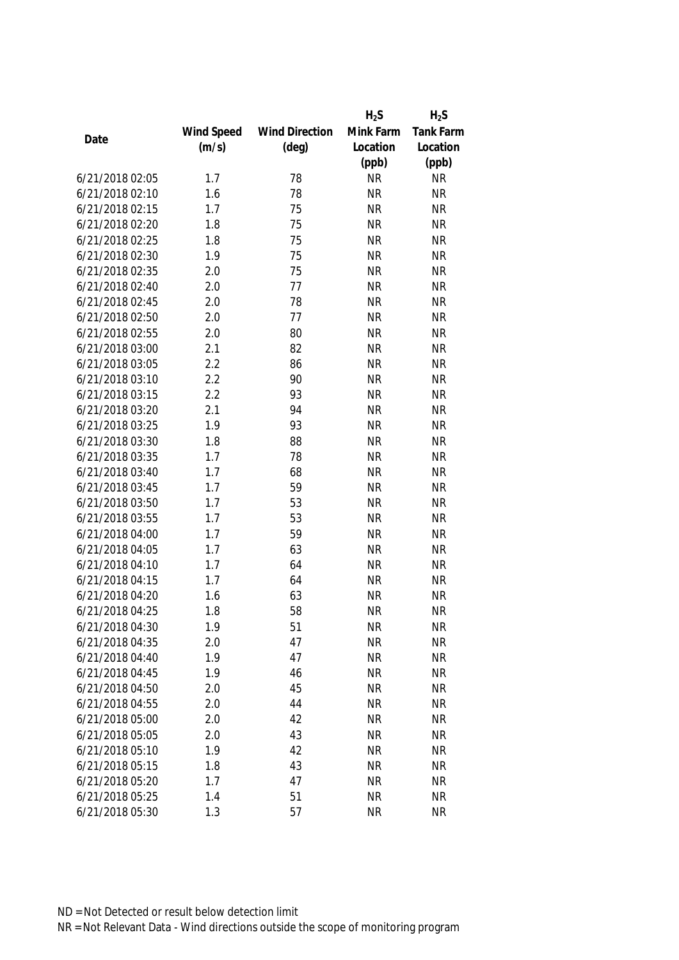|                 |            |                       | $H_2S$    | $H_2S$           |
|-----------------|------------|-----------------------|-----------|------------------|
|                 | Wind Speed | <b>Wind Direction</b> | Mink Farm | <b>Tank Farm</b> |
| Date            | (m/s)      | $(\text{deg})$        | Location  | Location         |
|                 |            |                       | (ppb)     | (ppb)            |
| 6/21/2018 02:05 | 1.7        | 78                    | <b>NR</b> | <b>NR</b>        |
| 6/21/2018 02:10 | 1.6        | 78                    | <b>NR</b> | <b>NR</b>        |
| 6/21/2018 02:15 | 1.7        | 75                    | <b>NR</b> | <b>NR</b>        |
| 6/21/2018 02:20 | 1.8        | 75                    | <b>NR</b> | <b>NR</b>        |
| 6/21/2018 02:25 | 1.8        | 75                    | <b>NR</b> | <b>NR</b>        |
| 6/21/2018 02:30 | 1.9        | 75                    | <b>NR</b> | <b>NR</b>        |
| 6/21/2018 02:35 | 2.0        | 75                    | <b>NR</b> | <b>NR</b>        |
| 6/21/2018 02:40 | 2.0        | 77                    | <b>NR</b> | <b>NR</b>        |
| 6/21/2018 02:45 | 2.0        | 78                    | <b>NR</b> | <b>NR</b>        |
| 6/21/2018 02:50 | 2.0        | 77                    | <b>NR</b> | <b>NR</b>        |
| 6/21/2018 02:55 | 2.0        | 80                    | <b>NR</b> | <b>NR</b>        |
| 6/21/2018 03:00 | 2.1        | 82                    | <b>NR</b> | <b>NR</b>        |
| 6/21/2018 03:05 | 2.2        | 86                    | <b>NR</b> | <b>NR</b>        |
| 6/21/2018 03:10 | 2.2        | 90                    | <b>NR</b> | <b>NR</b>        |
| 6/21/2018 03:15 | 2.2        | 93                    | <b>NR</b> | <b>NR</b>        |
| 6/21/2018 03:20 | 2.1        | 94                    | <b>NR</b> | <b>NR</b>        |
| 6/21/2018 03:25 | 1.9        | 93                    | <b>NR</b> | <b>NR</b>        |
| 6/21/2018 03:30 | 1.8        | 88                    | <b>NR</b> | <b>NR</b>        |
| 6/21/2018 03:35 | 1.7        | 78                    | <b>NR</b> | <b>NR</b>        |
| 6/21/2018 03:40 | 1.7        | 68                    | <b>NR</b> | <b>NR</b>        |
| 6/21/2018 03:45 | 1.7        | 59                    | <b>NR</b> | <b>NR</b>        |
| 6/21/2018 03:50 | 1.7        | 53                    | <b>NR</b> | <b>NR</b>        |
| 6/21/2018 03:55 | 1.7        | 53                    | <b>NR</b> | <b>NR</b>        |
| 6/21/2018 04:00 | 1.7        | 59                    | <b>NR</b> | <b>NR</b>        |
| 6/21/2018 04:05 | 1.7        | 63                    | <b>NR</b> | <b>NR</b>        |
| 6/21/2018 04:10 | 1.7        | 64                    | <b>NR</b> | <b>NR</b>        |
| 6/21/2018 04:15 | 1.7        | 64                    | <b>NR</b> | <b>NR</b>        |
| 6/21/2018 04:20 | 1.6        | 63                    | <b>NR</b> | <b>NR</b>        |
| 6/21/2018 04:25 | 1.8        | 58                    | <b>NR</b> | <b>NR</b>        |
| 6/21/2018 04:30 | 1.9        | 51                    | <b>NR</b> | <b>NR</b>        |
| 6/21/2018 04:35 | 2.0        | 47                    | <b>NR</b> | <b>NR</b>        |
| 6/21/2018 04:40 | 1.9        | 47                    | <b>NR</b> | <b>NR</b>        |
| 6/21/2018 04:45 | 1.9        | 46                    | <b>NR</b> | <b>NR</b>        |
| 6/21/2018 04:50 | 2.0        | 45                    | <b>NR</b> | <b>NR</b>        |
| 6/21/2018 04:55 | 2.0        | 44                    | <b>NR</b> | <b>NR</b>        |
| 6/21/2018 05:00 | 2.0        | 42                    | <b>NR</b> | <b>NR</b>        |
| 6/21/2018 05:05 | 2.0        | 43                    | <b>NR</b> | <b>NR</b>        |
| 6/21/2018 05:10 | 1.9        | 42                    | <b>NR</b> | <b>NR</b>        |
| 6/21/2018 05:15 | 1.8        | 43                    | <b>NR</b> | <b>NR</b>        |
| 6/21/2018 05:20 | 1.7        | 47                    | <b>NR</b> | <b>NR</b>        |
|                 |            |                       |           |                  |
| 6/21/2018 05:25 | 1.4        | 51                    | <b>NR</b> | <b>NR</b>        |
| 6/21/2018 05:30 | 1.3        | 57                    | <b>NR</b> | <b>NR</b>        |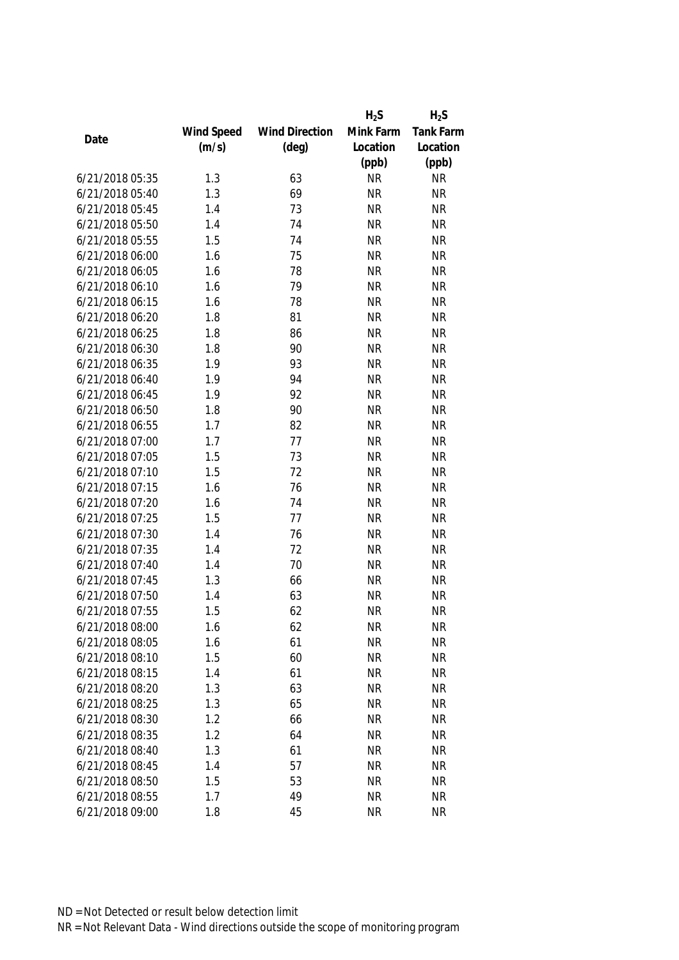|                 |            |                       | $H_2S$    | $H_2S$           |
|-----------------|------------|-----------------------|-----------|------------------|
|                 | Wind Speed | <b>Wind Direction</b> | Mink Farm | <b>Tank Farm</b> |
| Date            | (m/s)      | $(\text{deg})$        | Location  | Location         |
|                 |            |                       | (ppb)     | (ppb)            |
| 6/21/2018 05:35 | 1.3        | 63                    | <b>NR</b> | <b>NR</b>        |
| 6/21/2018 05:40 | 1.3        | 69                    | <b>NR</b> | <b>NR</b>        |
| 6/21/2018 05:45 | 1.4        | 73                    | <b>NR</b> | <b>NR</b>        |
| 6/21/2018 05:50 | 1.4        | 74                    | <b>NR</b> | <b>NR</b>        |
| 6/21/2018 05:55 | 1.5        | 74                    | <b>NR</b> | <b>NR</b>        |
| 6/21/2018 06:00 | 1.6        | 75                    | <b>NR</b> | <b>NR</b>        |
| 6/21/2018 06:05 | 1.6        | 78                    | <b>NR</b> | <b>NR</b>        |
| 6/21/2018 06:10 | 1.6        | 79                    | <b>NR</b> | <b>NR</b>        |
| 6/21/2018 06:15 | 1.6        | 78                    | <b>NR</b> | <b>NR</b>        |
| 6/21/2018 06:20 | 1.8        | 81                    | <b>NR</b> | <b>NR</b>        |
| 6/21/2018 06:25 | 1.8        | 86                    | <b>NR</b> | <b>NR</b>        |
| 6/21/2018 06:30 | 1.8        | 90                    | <b>NR</b> | <b>NR</b>        |
| 6/21/2018 06:35 | 1.9        | 93                    | <b>NR</b> | <b>NR</b>        |
| 6/21/2018 06:40 | 1.9        | 94                    | <b>NR</b> | <b>NR</b>        |
| 6/21/2018 06:45 | 1.9        | 92                    | <b>NR</b> | <b>NR</b>        |
| 6/21/2018 06:50 | 1.8        | 90                    | <b>NR</b> | <b>NR</b>        |
| 6/21/2018 06:55 | 1.7        | 82                    | <b>NR</b> | <b>NR</b>        |
| 6/21/2018 07:00 | 1.7        | 77                    | <b>NR</b> | <b>NR</b>        |
| 6/21/2018 07:05 | 1.5        | 73                    | <b>NR</b> | <b>NR</b>        |
| 6/21/2018 07:10 | 1.5        | 72                    | <b>NR</b> | <b>NR</b>        |
| 6/21/2018 07:15 | 1.6        | 76                    | <b>NR</b> | <b>NR</b>        |
| 6/21/2018 07:20 | 1.6        | 74                    | <b>NR</b> | <b>NR</b>        |
| 6/21/2018 07:25 | 1.5        | 77                    | <b>NR</b> | <b>NR</b>        |
| 6/21/2018 07:30 | 1.4        | 76                    | <b>NR</b> | <b>NR</b>        |
| 6/21/2018 07:35 | 1.4        | 72                    | <b>NR</b> | <b>NR</b>        |
| 6/21/2018 07:40 | 1.4        | 70                    | <b>NR</b> | <b>NR</b>        |
| 6/21/2018 07:45 | 1.3        | 66                    | <b>NR</b> | <b>NR</b>        |
| 6/21/2018 07:50 | 1.4        | 63                    | <b>NR</b> | <b>NR</b>        |
| 6/21/2018 07:55 | 1.5        | 62                    | <b>NR</b> | <b>NR</b>        |
| 6/21/2018 08:00 | 1.6        | 62                    | <b>NR</b> | <b>NR</b>        |
| 6/21/2018 08:05 | 1.6        | 61                    | <b>NR</b> | <b>NR</b>        |
| 6/21/2018 08:10 | 1.5        | 60                    | <b>NR</b> | <b>NR</b>        |
| 6/21/2018 08:15 | 1.4        | 61                    | <b>NR</b> | <b>NR</b>        |
| 6/21/2018 08:20 | 1.3        | 63                    | <b>NR</b> | <b>NR</b>        |
| 6/21/2018 08:25 | 1.3        | 65                    | <b>NR</b> | <b>NR</b>        |
| 6/21/2018 08:30 | 1.2        | 66                    | <b>NR</b> | <b>NR</b>        |
| 6/21/2018 08:35 | 1.2        | 64                    | <b>NR</b> | <b>NR</b>        |
| 6/21/2018 08:40 | 1.3        | 61                    | <b>NR</b> | <b>NR</b>        |
| 6/21/2018 08:45 | 1.4        | 57                    | <b>NR</b> | <b>NR</b>        |
| 6/21/2018 08:50 | 1.5        | 53                    | <b>NR</b> | <b>NR</b>        |
| 6/21/2018 08:55 | 1.7        | 49                    | <b>NR</b> | <b>NR</b>        |
| 6/21/2018 09:00 | 1.8        | 45                    | <b>NR</b> | <b>NR</b>        |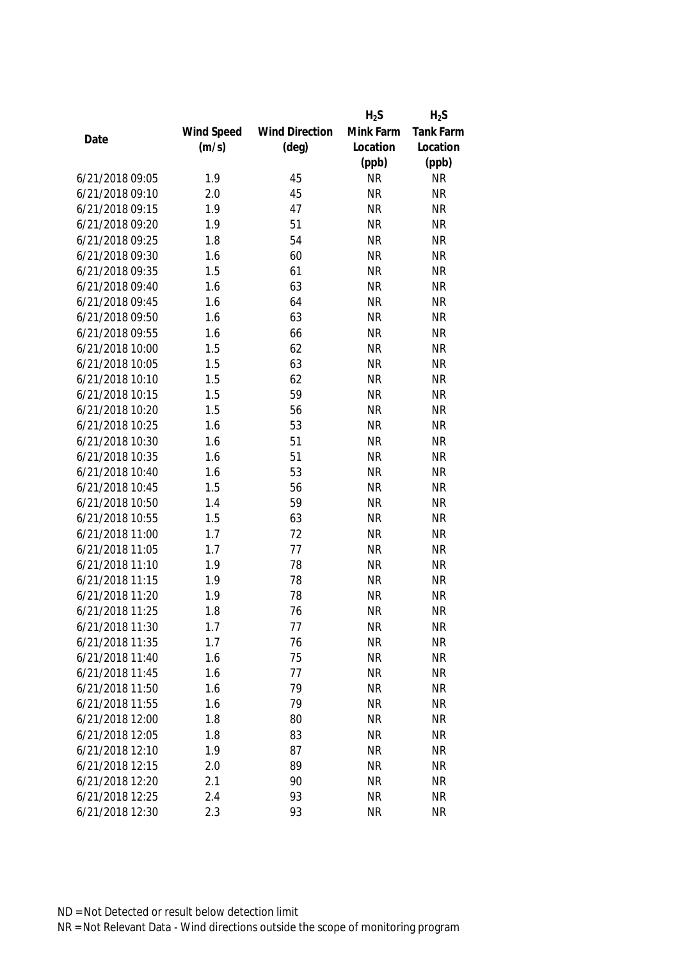|                 |            |                       | $H_2S$    | $H_2S$           |
|-----------------|------------|-----------------------|-----------|------------------|
|                 | Wind Speed | <b>Wind Direction</b> | Mink Farm | <b>Tank Farm</b> |
| Date            | (m/s)      | $(\text{deg})$        | Location  | Location         |
|                 |            |                       | (ppb)     | (ppb)            |
| 6/21/2018 09:05 | 1.9        | 45                    | <b>NR</b> | <b>NR</b>        |
| 6/21/2018 09:10 | 2.0        | 45                    | <b>NR</b> | <b>NR</b>        |
| 6/21/2018 09:15 | 1.9        | 47                    | <b>NR</b> | <b>NR</b>        |
| 6/21/2018 09:20 | 1.9        | 51                    | <b>NR</b> | <b>NR</b>        |
| 6/21/2018 09:25 | 1.8        | 54                    | <b>NR</b> | <b>NR</b>        |
| 6/21/2018 09:30 | 1.6        | 60                    | <b>NR</b> | <b>NR</b>        |
| 6/21/2018 09:35 | 1.5        | 61                    | <b>NR</b> | <b>NR</b>        |
| 6/21/2018 09:40 | 1.6        | 63                    | <b>NR</b> | <b>NR</b>        |
| 6/21/2018 09:45 | 1.6        | 64                    | <b>NR</b> | <b>NR</b>        |
| 6/21/2018 09:50 | 1.6        | 63                    | <b>NR</b> | <b>NR</b>        |
| 6/21/2018 09:55 | 1.6        | 66                    | <b>NR</b> | <b>NR</b>        |
| 6/21/2018 10:00 | 1.5        | 62                    | <b>NR</b> | <b>NR</b>        |
| 6/21/2018 10:05 | 1.5        | 63                    | <b>NR</b> | <b>NR</b>        |
| 6/21/2018 10:10 | 1.5        | 62                    | <b>NR</b> | <b>NR</b>        |
| 6/21/2018 10:15 | 1.5        | 59                    | <b>NR</b> | <b>NR</b>        |
| 6/21/2018 10:20 | 1.5        | 56                    | <b>NR</b> | <b>NR</b>        |
| 6/21/2018 10:25 | 1.6        | 53                    | <b>NR</b> | <b>NR</b>        |
| 6/21/2018 10:30 | 1.6        | 51                    | <b>NR</b> | <b>NR</b>        |
| 6/21/2018 10:35 | 1.6        | 51                    | <b>NR</b> | <b>NR</b>        |
| 6/21/2018 10:40 | 1.6        | 53                    | <b>NR</b> | <b>NR</b>        |
| 6/21/2018 10:45 | 1.5        | 56                    | <b>NR</b> | <b>NR</b>        |
| 6/21/2018 10:50 | 1.4        | 59                    | <b>NR</b> | <b>NR</b>        |
| 6/21/2018 10:55 | 1.5        | 63                    | <b>NR</b> | <b>NR</b>        |
| 6/21/2018 11:00 | 1.7        | 72                    | <b>NR</b> | <b>NR</b>        |
| 6/21/2018 11:05 | 1.7        | 77                    | <b>NR</b> | <b>NR</b>        |
| 6/21/2018 11:10 | 1.9        | 78                    | <b>NR</b> | <b>NR</b>        |
| 6/21/2018 11:15 | 1.9        | 78                    | <b>NR</b> | <b>NR</b>        |
| 6/21/2018 11:20 | 1.9        | 78                    | <b>NR</b> | <b>NR</b>        |
| 6/21/2018 11:25 | 1.8        | 76                    | <b>NR</b> | <b>NR</b>        |
| 6/21/2018 11:30 | 1.7        | 77                    | <b>NR</b> | <b>NR</b>        |
| 6/21/2018 11:35 | 1.7        | 76                    | <b>NR</b> | <b>NR</b>        |
| 6/21/2018 11:40 | 1.6        | 75                    | <b>NR</b> | <b>NR</b>        |
| 6/21/2018 11:45 | 1.6        | 77                    | <b>NR</b> | <b>NR</b>        |
| 6/21/2018 11:50 | 1.6        | 79                    | <b>NR</b> | <b>NR</b>        |
| 6/21/2018 11:55 | 1.6        | 79                    | <b>NR</b> | <b>NR</b>        |
| 6/21/2018 12:00 | 1.8        | 80                    | <b>NR</b> | <b>NR</b>        |
| 6/21/2018 12:05 | 1.8        | 83                    | <b>NR</b> | <b>NR</b>        |
| 6/21/2018 12:10 | 1.9        | 87                    | <b>NR</b> | <b>NR</b>        |
| 6/21/2018 12:15 | 2.0        | 89                    | <b>NR</b> | <b>NR</b>        |
| 6/21/2018 12:20 | 2.1        | 90                    | <b>NR</b> | <b>NR</b>        |
| 6/21/2018 12:25 | 2.4        | 93                    | <b>NR</b> | <b>NR</b>        |
|                 |            |                       |           |                  |
| 6/21/2018 12:30 | 2.3        | 93                    | <b>NR</b> | <b>NR</b>        |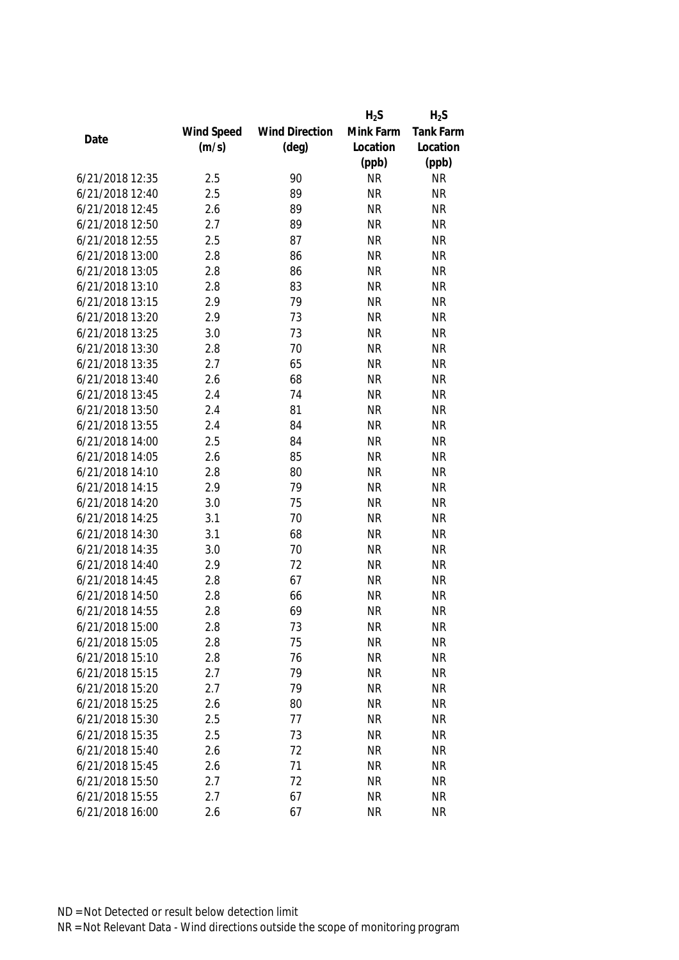|                 |            |                       | $H_2S$    | $H_2S$           |
|-----------------|------------|-----------------------|-----------|------------------|
|                 | Wind Speed | <b>Wind Direction</b> | Mink Farm | <b>Tank Farm</b> |
| Date            | (m/s)      | $(\text{deg})$        | Location  | Location         |
|                 |            |                       | (ppb)     | (ppb)            |
| 6/21/2018 12:35 | 2.5        | 90                    | <b>NR</b> | <b>NR</b>        |
| 6/21/2018 12:40 | 2.5        | 89                    | <b>NR</b> | <b>NR</b>        |
| 6/21/2018 12:45 | 2.6        | 89                    | <b>NR</b> | <b>NR</b>        |
| 6/21/2018 12:50 | 2.7        | 89                    | <b>NR</b> | <b>NR</b>        |
| 6/21/2018 12:55 | 2.5        | 87                    | <b>NR</b> | <b>NR</b>        |
| 6/21/2018 13:00 | 2.8        | 86                    | <b>NR</b> | <b>NR</b>        |
| 6/21/2018 13:05 | 2.8        | 86                    | <b>NR</b> | <b>NR</b>        |
| 6/21/2018 13:10 | 2.8        | 83                    | <b>NR</b> | <b>NR</b>        |
| 6/21/2018 13:15 | 2.9        | 79                    | <b>NR</b> | <b>NR</b>        |
| 6/21/2018 13:20 | 2.9        | 73                    | <b>NR</b> | <b>NR</b>        |
| 6/21/2018 13:25 | 3.0        | 73                    | <b>NR</b> | <b>NR</b>        |
| 6/21/2018 13:30 | 2.8        | 70                    | <b>NR</b> | <b>NR</b>        |
| 6/21/2018 13:35 | 2.7        | 65                    | <b>NR</b> | <b>NR</b>        |
| 6/21/2018 13:40 | 2.6        | 68                    | <b>NR</b> | <b>NR</b>        |
| 6/21/2018 13:45 | 2.4        | 74                    | <b>NR</b> | <b>NR</b>        |
| 6/21/2018 13:50 | 2.4        | 81                    | <b>NR</b> | <b>NR</b>        |
| 6/21/2018 13:55 | 2.4        | 84                    | <b>NR</b> | <b>NR</b>        |
| 6/21/2018 14:00 | 2.5        | 84                    | <b>NR</b> | <b>NR</b>        |
| 6/21/2018 14:05 | 2.6        | 85                    | <b>NR</b> | <b>NR</b>        |
| 6/21/2018 14:10 | 2.8        | 80                    | <b>NR</b> | <b>NR</b>        |
| 6/21/2018 14:15 | 2.9        | 79                    | <b>NR</b> | <b>NR</b>        |
| 6/21/2018 14:20 | 3.0        | 75                    | <b>NR</b> | <b>NR</b>        |
| 6/21/2018 14:25 | 3.1        | 70                    | <b>NR</b> | <b>NR</b>        |
| 6/21/2018 14:30 | 3.1        | 68                    | <b>NR</b> | <b>NR</b>        |
| 6/21/2018 14:35 | 3.0        | 70                    | <b>NR</b> | <b>NR</b>        |
| 6/21/2018 14:40 | 2.9        | 72                    | <b>NR</b> | <b>NR</b>        |
| 6/21/2018 14:45 | 2.8        | 67                    | <b>NR</b> | <b>NR</b>        |
| 6/21/2018 14:50 | 2.8        | 66                    | <b>NR</b> | <b>NR</b>        |
| 6/21/2018 14:55 | 2.8        | 69                    | <b>NR</b> | <b>NR</b>        |
| 6/21/2018 15:00 | 2.8        | 73                    | <b>NR</b> | NR               |
| 6/21/2018 15:05 | 2.8        | 75                    | <b>NR</b> | <b>NR</b>        |
| 6/21/2018 15:10 | 2.8        | 76                    | <b>NR</b> | <b>NR</b>        |
| 6/21/2018 15:15 | 2.7        | 79                    | <b>NR</b> | <b>NR</b>        |
| 6/21/2018 15:20 | 2.7        | 79                    | <b>NR</b> | <b>NR</b>        |
| 6/21/2018 15:25 | 2.6        | 80                    | <b>NR</b> | <b>NR</b>        |
| 6/21/2018 15:30 | 2.5        | 77                    | <b>NR</b> | <b>NR</b>        |
| 6/21/2018 15:35 | 2.5        | 73                    | <b>NR</b> | <b>NR</b>        |
| 6/21/2018 15:40 | 2.6        | 72                    | <b>NR</b> | <b>NR</b>        |
| 6/21/2018 15:45 | 2.6        | 71                    | <b>NR</b> | <b>NR</b>        |
| 6/21/2018 15:50 | 2.7        | 72                    | <b>NR</b> | <b>NR</b>        |
| 6/21/2018 15:55 | 2.7        | 67                    | <b>NR</b> | <b>NR</b>        |
| 6/21/2018 16:00 | 2.6        | 67                    | <b>NR</b> | <b>NR</b>        |
|                 |            |                       |           |                  |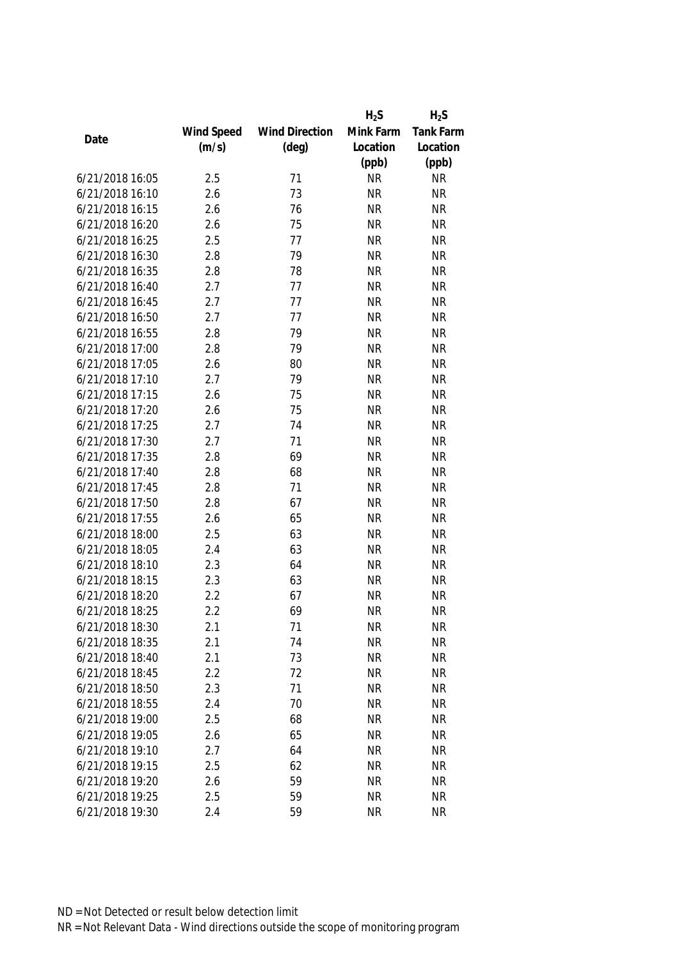|                 |            |                       | $H_2S$    | $H_2S$           |
|-----------------|------------|-----------------------|-----------|------------------|
|                 | Wind Speed | <b>Wind Direction</b> | Mink Farm | <b>Tank Farm</b> |
| Date            | (m/s)      | $(\text{deg})$        | Location  | Location         |
|                 |            |                       | (ppb)     | (ppb)            |
| 6/21/2018 16:05 | 2.5        | 71                    | <b>NR</b> | <b>NR</b>        |
| 6/21/2018 16:10 | 2.6        | 73                    | <b>NR</b> | <b>NR</b>        |
| 6/21/2018 16:15 | 2.6        | 76                    | <b>NR</b> | <b>NR</b>        |
| 6/21/2018 16:20 | 2.6        | 75                    | <b>NR</b> | <b>NR</b>        |
| 6/21/2018 16:25 | 2.5        | 77                    | <b>NR</b> | <b>NR</b>        |
| 6/21/2018 16:30 | 2.8        | 79                    | <b>NR</b> | <b>NR</b>        |
| 6/21/2018 16:35 | 2.8        | 78                    | <b>NR</b> | <b>NR</b>        |
| 6/21/2018 16:40 | 2.7        | 77                    | <b>NR</b> | <b>NR</b>        |
| 6/21/2018 16:45 | 2.7        | 77                    | <b>NR</b> | <b>NR</b>        |
| 6/21/2018 16:50 | 2.7        | 77                    | <b>NR</b> | <b>NR</b>        |
| 6/21/2018 16:55 | 2.8        | 79                    | <b>NR</b> | <b>NR</b>        |
| 6/21/2018 17:00 | 2.8        | 79                    | <b>NR</b> | <b>NR</b>        |
| 6/21/2018 17:05 | 2.6        | 80                    | <b>NR</b> | <b>NR</b>        |
| 6/21/2018 17:10 | 2.7        | 79                    | <b>NR</b> | <b>NR</b>        |
| 6/21/2018 17:15 | 2.6        | 75                    | <b>NR</b> | <b>NR</b>        |
| 6/21/2018 17:20 | 2.6        | 75                    | <b>NR</b> | <b>NR</b>        |
| 6/21/2018 17:25 | 2.7        | 74                    | <b>NR</b> | <b>NR</b>        |
| 6/21/2018 17:30 | 2.7        | 71                    | <b>NR</b> | <b>NR</b>        |
| 6/21/2018 17:35 | 2.8        | 69                    | <b>NR</b> | <b>NR</b>        |
| 6/21/2018 17:40 | 2.8        | 68                    | <b>NR</b> | <b>NR</b>        |
| 6/21/2018 17:45 | 2.8        | 71                    | <b>NR</b> | <b>NR</b>        |
| 6/21/2018 17:50 | 2.8        | 67                    | <b>NR</b> | <b>NR</b>        |
| 6/21/2018 17:55 | 2.6        | 65                    | <b>NR</b> | <b>NR</b>        |
| 6/21/2018 18:00 | 2.5        | 63                    | <b>NR</b> | <b>NR</b>        |
| 6/21/2018 18:05 | 2.4        | 63                    | <b>NR</b> | <b>NR</b>        |
| 6/21/2018 18:10 | 2.3        | 64                    | <b>NR</b> | <b>NR</b>        |
| 6/21/2018 18:15 | 2.3        | 63                    | <b>NR</b> | <b>NR</b>        |
| 6/21/2018 18:20 | 2.2        | 67                    | <b>NR</b> | <b>NR</b>        |
| 6/21/2018 18:25 | 2.2        | 69                    | <b>NR</b> | <b>NR</b>        |
| 6/21/2018 18:30 | 2.1        | 71                    | <b>NR</b> | <b>NR</b>        |
| 6/21/2018 18:35 | 2.1        | 74                    | <b>NR</b> | <b>NR</b>        |
| 6/21/2018 18:40 | 2.1        | 73                    | <b>NR</b> | <b>NR</b>        |
| 6/21/2018 18:45 | 2.2        | 72                    | <b>NR</b> | <b>NR</b>        |
| 6/21/2018 18:50 | 2.3        | 71                    | <b>NR</b> | <b>NR</b>        |
| 6/21/2018 18:55 | 2.4        | 70                    | <b>NR</b> | <b>NR</b>        |
| 6/21/2018 19:00 | 2.5        | 68                    | <b>NR</b> | <b>NR</b>        |
| 6/21/2018 19:05 | 2.6        | 65                    | <b>NR</b> | <b>NR</b>        |
| 6/21/2018 19:10 | 2.7        | 64                    | <b>NR</b> | <b>NR</b>        |
| 6/21/2018 19:15 | 2.5        | 62                    | <b>NR</b> | <b>NR</b>        |
| 6/21/2018 19:20 | 2.6        | 59                    | <b>NR</b> | <b>NR</b>        |
| 6/21/2018 19:25 | 2.5        | 59                    | <b>NR</b> | <b>NR</b>        |
| 6/21/2018 19:30 | 2.4        | 59                    | <b>NR</b> | <b>NR</b>        |
|                 |            |                       |           |                  |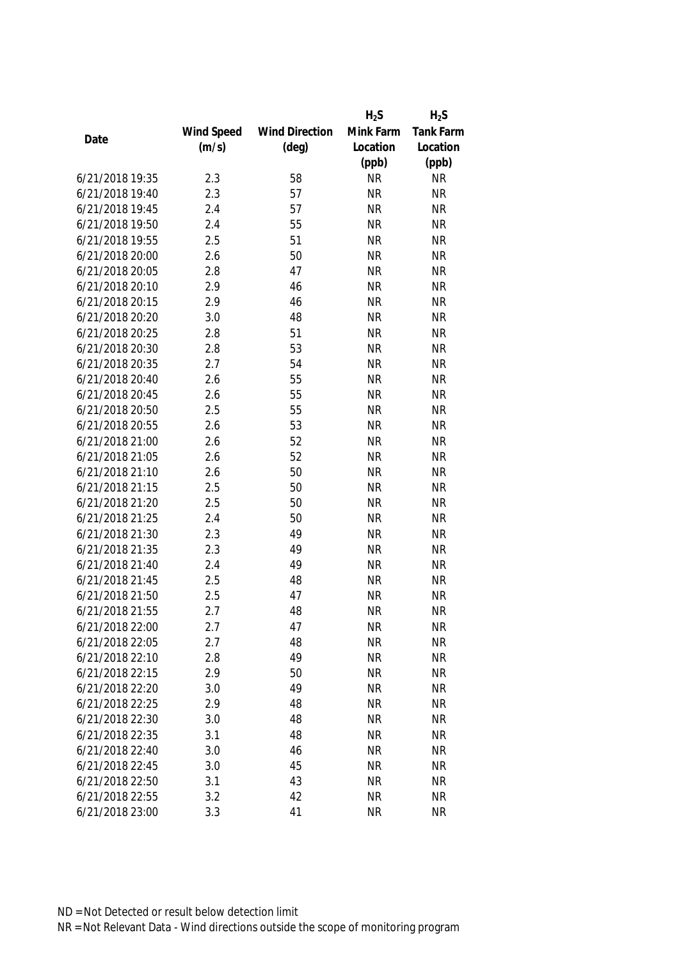|                 |            |                       | $H_2S$    | $H_2S$           |
|-----------------|------------|-----------------------|-----------|------------------|
|                 | Wind Speed | <b>Wind Direction</b> | Mink Farm | <b>Tank Farm</b> |
| Date            | (m/s)      | $(\text{deg})$        | Location  | Location         |
|                 |            |                       | (ppb)     | (ppb)            |
| 6/21/2018 19:35 | 2.3        | 58                    | <b>NR</b> | <b>NR</b>        |
| 6/21/2018 19:40 | 2.3        | 57                    | <b>NR</b> | <b>NR</b>        |
| 6/21/2018 19:45 | 2.4        | 57                    | <b>NR</b> | <b>NR</b>        |
| 6/21/2018 19:50 | 2.4        | 55                    | <b>NR</b> | <b>NR</b>        |
| 6/21/2018 19:55 | 2.5        | 51                    | <b>NR</b> | <b>NR</b>        |
| 6/21/2018 20:00 | 2.6        | 50                    | <b>NR</b> | <b>NR</b>        |
| 6/21/2018 20:05 | 2.8        | 47                    | <b>NR</b> | <b>NR</b>        |
| 6/21/2018 20:10 | 2.9        | 46                    | <b>NR</b> | <b>NR</b>        |
| 6/21/2018 20:15 | 2.9        | 46                    | <b>NR</b> | <b>NR</b>        |
| 6/21/2018 20:20 | 3.0        | 48                    | <b>NR</b> | <b>NR</b>        |
| 6/21/2018 20:25 | 2.8        | 51                    | <b>NR</b> | <b>NR</b>        |
| 6/21/2018 20:30 | 2.8        | 53                    | <b>NR</b> | <b>NR</b>        |
| 6/21/2018 20:35 | 2.7        | 54                    | <b>NR</b> | <b>NR</b>        |
| 6/21/2018 20:40 | 2.6        | 55                    | <b>NR</b> | <b>NR</b>        |
| 6/21/2018 20:45 | 2.6        | 55                    | <b>NR</b> | <b>NR</b>        |
| 6/21/2018 20:50 | 2.5        | 55                    | <b>NR</b> | <b>NR</b>        |
| 6/21/2018 20:55 | 2.6        | 53                    | <b>NR</b> | <b>NR</b>        |
| 6/21/2018 21:00 | 2.6        | 52                    | <b>NR</b> | <b>NR</b>        |
| 6/21/2018 21:05 | 2.6        | 52                    | <b>NR</b> | <b>NR</b>        |
| 6/21/2018 21:10 | 2.6        | 50                    | <b>NR</b> | <b>NR</b>        |
| 6/21/2018 21:15 | 2.5        | 50                    | <b>NR</b> | <b>NR</b>        |
| 6/21/2018 21:20 | 2.5        | 50                    | <b>NR</b> | <b>NR</b>        |
| 6/21/2018 21:25 | 2.4        | 50                    | <b>NR</b> | <b>NR</b>        |
| 6/21/2018 21:30 | 2.3        | 49                    | <b>NR</b> | <b>NR</b>        |
| 6/21/2018 21:35 | 2.3        | 49                    | <b>NR</b> | <b>NR</b>        |
| 6/21/2018 21:40 | 2.4        | 49                    | <b>NR</b> | <b>NR</b>        |
| 6/21/2018 21:45 | 2.5        | 48                    | <b>NR</b> | <b>NR</b>        |
| 6/21/2018 21:50 | 2.5        | 47                    | <b>NR</b> | <b>NR</b>        |
| 6/21/2018 21:55 | 2.7        | 48                    | <b>NR</b> | <b>NR</b>        |
| 6/21/2018 22:00 | 2.7        | 47                    | <b>NR</b> | <b>NR</b>        |
| 6/21/2018 22:05 | 2.7        | 48                    | <b>NR</b> | <b>NR</b>        |
| 6/21/2018 22:10 | 2.8        | 49                    | <b>NR</b> | <b>NR</b>        |
| 6/21/2018 22:15 | 2.9        | 50                    | <b>NR</b> | <b>NR</b>        |
| 6/21/2018 22:20 | 3.0        | 49                    | <b>NR</b> | <b>NR</b>        |
| 6/21/2018 22:25 | 2.9        | 48                    | <b>NR</b> | <b>NR</b>        |
| 6/21/2018 22:30 | 3.0        | 48                    | <b>NR</b> | <b>NR</b>        |
| 6/21/2018 22:35 | 3.1        | 48                    | <b>NR</b> | <b>NR</b>        |
| 6/21/2018 22:40 | 3.0        | 46                    | <b>NR</b> | <b>NR</b>        |
| 6/21/2018 22:45 | 3.0        | 45                    | <b>NR</b> | <b>NR</b>        |
| 6/21/2018 22:50 | 3.1        | 43                    | <b>NR</b> | <b>NR</b>        |
| 6/21/2018 22:55 | 3.2        | 42                    | <b>NR</b> | <b>NR</b>        |
| 6/21/2018 23:00 | 3.3        | 41                    | <b>NR</b> | <b>NR</b>        |
|                 |            |                       |           |                  |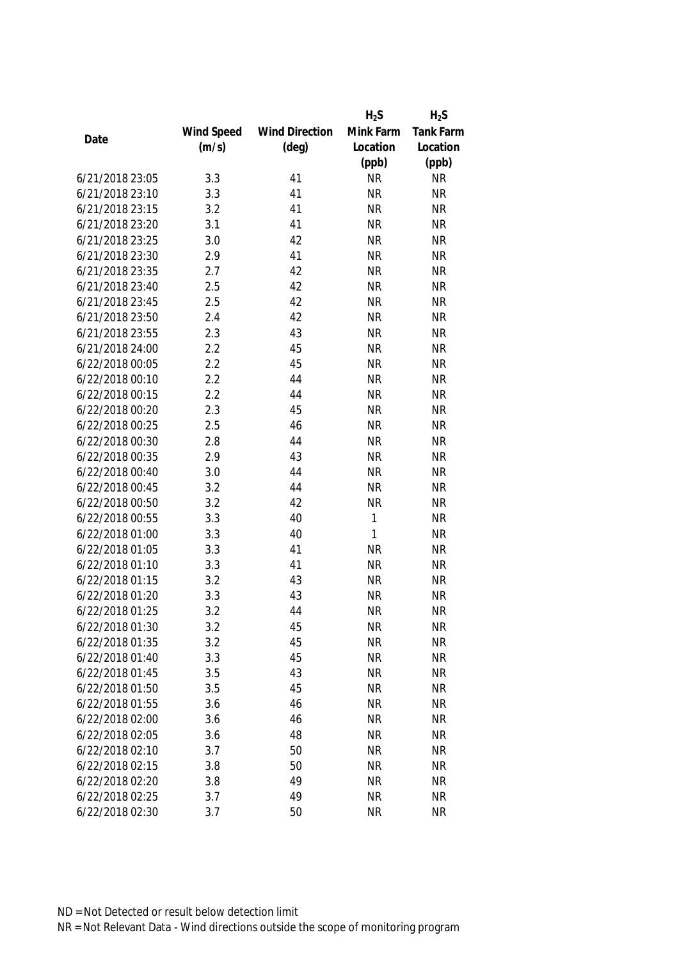|                 |            |                       | $H_2S$    | $H_2S$           |
|-----------------|------------|-----------------------|-----------|------------------|
|                 | Wind Speed | <b>Wind Direction</b> | Mink Farm | <b>Tank Farm</b> |
| Date            | (m/s)      | $(\text{deg})$        | Location  | Location         |
|                 |            |                       | (ppb)     | (ppb)            |
| 6/21/2018 23:05 | 3.3        | 41                    | <b>NR</b> | <b>NR</b>        |
| 6/21/2018 23:10 | 3.3        | 41                    | <b>NR</b> | <b>NR</b>        |
| 6/21/2018 23:15 | 3.2        | 41                    | <b>NR</b> | <b>NR</b>        |
| 6/21/2018 23:20 | 3.1        | 41                    | <b>NR</b> | <b>NR</b>        |
| 6/21/2018 23:25 | 3.0        | 42                    | <b>NR</b> | <b>NR</b>        |
| 6/21/2018 23:30 | 2.9        | 41                    | <b>NR</b> | <b>NR</b>        |
| 6/21/2018 23:35 | 2.7        | 42                    | <b>NR</b> | <b>NR</b>        |
| 6/21/2018 23:40 | 2.5        | 42                    | <b>NR</b> | <b>NR</b>        |
| 6/21/2018 23:45 | 2.5        | 42                    | <b>NR</b> | <b>NR</b>        |
| 6/21/2018 23:50 | 2.4        | 42                    | <b>NR</b> | <b>NR</b>        |
| 6/21/2018 23:55 | 2.3        | 43                    | <b>NR</b> | <b>NR</b>        |
| 6/21/2018 24:00 | 2.2        | 45                    | <b>NR</b> | <b>NR</b>        |
| 6/22/2018 00:05 | 2.2        | 45                    | <b>NR</b> | <b>NR</b>        |
| 6/22/2018 00:10 | 2.2        | 44                    | <b>NR</b> | <b>NR</b>        |
| 6/22/2018 00:15 | 2.2        | 44                    | <b>NR</b> | <b>NR</b>        |
| 6/22/2018 00:20 | 2.3        | 45                    | <b>NR</b> | <b>NR</b>        |
| 6/22/2018 00:25 | 2.5        | 46                    | <b>NR</b> | <b>NR</b>        |
| 6/22/2018 00:30 | 2.8        | 44                    | <b>NR</b> | <b>NR</b>        |
| 6/22/2018 00:35 | 2.9        | 43                    | <b>NR</b> | <b>NR</b>        |
| 6/22/2018 00:40 | 3.0        | 44                    | <b>NR</b> | <b>NR</b>        |
| 6/22/2018 00:45 | 3.2        | 44                    | <b>NR</b> | <b>NR</b>        |
| 6/22/2018 00:50 | 3.2        | 42                    | <b>NR</b> | <b>NR</b>        |
| 6/22/2018 00:55 | 3.3        | 40                    | 1         | <b>NR</b>        |
| 6/22/2018 01:00 | 3.3        | 40                    | 1         | <b>NR</b>        |
| 6/22/2018 01:05 | 3.3        | 41                    | <b>NR</b> | <b>NR</b>        |
| 6/22/2018 01:10 | 3.3        | 41                    | <b>NR</b> | <b>NR</b>        |
| 6/22/2018 01:15 | 3.2        | 43                    | <b>NR</b> | <b>NR</b>        |
| 6/22/2018 01:20 | 3.3        | 43                    | <b>NR</b> | <b>NR</b>        |
| 6/22/2018 01:25 | 3.2        | 44                    | <b>NR</b> | <b>NR</b>        |
| 6/22/2018 01:30 | 3.2        | 45                    | <b>NR</b> | <b>NR</b>        |
| 6/22/2018 01:35 | 3.2        | 45                    | <b>NR</b> | <b>NR</b>        |
| 6/22/2018 01:40 | 3.3        | 45                    | <b>NR</b> | <b>NR</b>        |
| 6/22/2018 01:45 | 3.5        | 43                    | <b>NR</b> | <b>NR</b>        |
| 6/22/2018 01:50 | 3.5        | 45                    | <b>NR</b> | <b>NR</b>        |
| 6/22/2018 01:55 | 3.6        | 46                    | <b>NR</b> | <b>NR</b>        |
| 6/22/2018 02:00 | 3.6        | 46                    | <b>NR</b> | <b>NR</b>        |
| 6/22/2018 02:05 | 3.6        | 48                    | <b>NR</b> | <b>NR</b>        |
| 6/22/2018 02:10 | 3.7        | 50                    | <b>NR</b> | <b>NR</b>        |
| 6/22/2018 02:15 | 3.8        | 50                    | <b>NR</b> | <b>NR</b>        |
| 6/22/2018 02:20 | 3.8        | 49                    | <b>NR</b> | <b>NR</b>        |
| 6/22/2018 02:25 | 3.7        | 49                    | <b>NR</b> | <b>NR</b>        |
|                 |            |                       |           |                  |
| 6/22/2018 02:30 | 3.7        | 50                    | <b>NR</b> | <b>NR</b>        |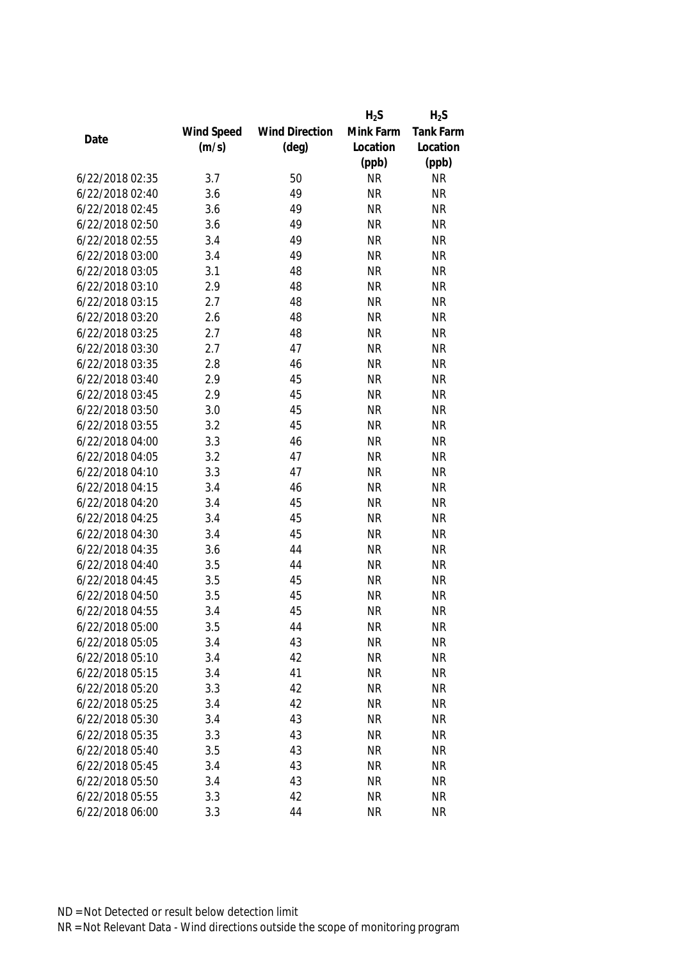|                 |            |                       | $H_2S$    | $H_2S$    |
|-----------------|------------|-----------------------|-----------|-----------|
|                 | Wind Speed | <b>Wind Direction</b> | Mink Farm | Tank Farm |
| Date            | (m/s)      | $(\text{deg})$        | Location  | Location  |
|                 |            |                       | (ppb)     | (ppb)     |
| 6/22/2018 02:35 | 3.7        | 50                    | <b>NR</b> | <b>NR</b> |
| 6/22/2018 02:40 | 3.6        | 49                    | <b>NR</b> | <b>NR</b> |
| 6/22/2018 02:45 | 3.6        | 49                    | <b>NR</b> | <b>NR</b> |
| 6/22/2018 02:50 | 3.6        | 49                    | <b>NR</b> | <b>NR</b> |
| 6/22/2018 02:55 | 3.4        | 49                    | <b>NR</b> | <b>NR</b> |
| 6/22/2018 03:00 | 3.4        | 49                    | <b>NR</b> | <b>NR</b> |
| 6/22/2018 03:05 | 3.1        | 48                    | <b>NR</b> | <b>NR</b> |
| 6/22/2018 03:10 | 2.9        | 48                    | <b>NR</b> | <b>NR</b> |
| 6/22/2018 03:15 | 2.7        | 48                    | <b>NR</b> | <b>NR</b> |
| 6/22/2018 03:20 | 2.6        | 48                    | <b>NR</b> | <b>NR</b> |
| 6/22/2018 03:25 | 2.7        | 48                    | <b>NR</b> | <b>NR</b> |
| 6/22/2018 03:30 | 2.7        | 47                    | <b>NR</b> | <b>NR</b> |
| 6/22/2018 03:35 | 2.8        | 46                    | <b>NR</b> | <b>NR</b> |
| 6/22/2018 03:40 | 2.9        | 45                    | <b>NR</b> | <b>NR</b> |
| 6/22/2018 03:45 | 2.9        | 45                    | <b>NR</b> | <b>NR</b> |
| 6/22/2018 03:50 | 3.0        | 45                    | <b>NR</b> | <b>NR</b> |
| 6/22/2018 03:55 | 3.2        | 45                    | <b>NR</b> | <b>NR</b> |
| 6/22/2018 04:00 | 3.3        | 46                    | <b>NR</b> | <b>NR</b> |
| 6/22/2018 04:05 | 3.2        | 47                    | <b>NR</b> | <b>NR</b> |
| 6/22/2018 04:10 | 3.3        | 47                    | <b>NR</b> | <b>NR</b> |
| 6/22/2018 04:15 | 3.4        | 46                    | <b>NR</b> | <b>NR</b> |
| 6/22/2018 04:20 | 3.4        | 45                    | <b>NR</b> | <b>NR</b> |
| 6/22/2018 04:25 | 3.4        | 45                    | <b>NR</b> | <b>NR</b> |
| 6/22/2018 04:30 | 3.4        | 45                    | <b>NR</b> | <b>NR</b> |
| 6/22/2018 04:35 | 3.6        | 44                    | <b>NR</b> | <b>NR</b> |
| 6/22/2018 04:40 | 3.5        | 44                    | <b>NR</b> | <b>NR</b> |
| 6/22/2018 04:45 | 3.5        | 45                    | <b>NR</b> | <b>NR</b> |
| 6/22/2018 04:50 | 3.5        | 45                    | <b>NR</b> | <b>NR</b> |
| 6/22/2018 04:55 | 3.4        | 45                    | <b>NR</b> | <b>NR</b> |
| 6/22/2018 05:00 | 3.5        | 44                    | <b>NR</b> | <b>NR</b> |
| 6/22/2018 05:05 | 3.4        | 43                    | <b>NR</b> | <b>NR</b> |
| 6/22/2018 05:10 | 3.4        | 42                    | <b>NR</b> | <b>NR</b> |
| 6/22/2018 05:15 | 3.4        | 41                    | <b>NR</b> | <b>NR</b> |
| 6/22/2018 05:20 | 3.3        | 42                    | <b>NR</b> | <b>NR</b> |
| 6/22/2018 05:25 | 3.4        | 42                    | <b>NR</b> | <b>NR</b> |
| 6/22/2018 05:30 | 3.4        | 43                    | <b>NR</b> | <b>NR</b> |
| 6/22/2018 05:35 | 3.3        | 43                    | <b>NR</b> | <b>NR</b> |
| 6/22/2018 05:40 | 3.5        | 43                    | <b>NR</b> | <b>NR</b> |
| 6/22/2018 05:45 | 3.4        | 43                    | <b>NR</b> | <b>NR</b> |
| 6/22/2018 05:50 | 3.4        | 43                    | <b>NR</b> | <b>NR</b> |
| 6/22/2018 05:55 | 3.3        | 42                    | <b>NR</b> | <b>NR</b> |
| 6/22/2018 06:00 | 3.3        | 44                    | <b>NR</b> | <b>NR</b> |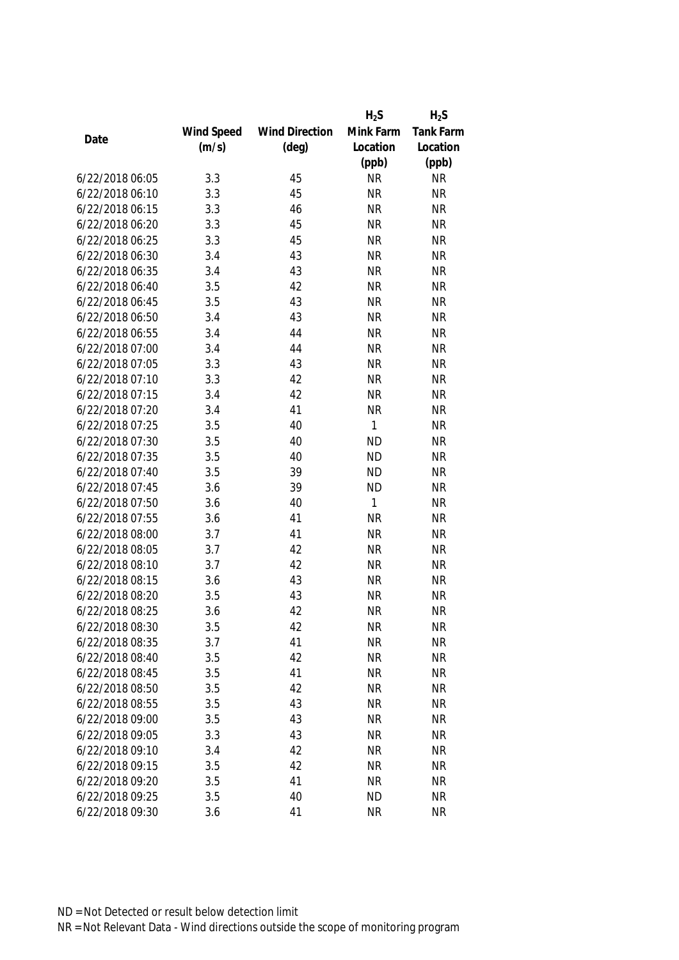|                 |            |                       | $H_2S$       | $H_2S$    |
|-----------------|------------|-----------------------|--------------|-----------|
|                 | Wind Speed | <b>Wind Direction</b> | Mink Farm    | Tank Farm |
| Date            | (m/s)      | $(\text{deg})$        | Location     | Location  |
|                 |            |                       | (ppb)        | (ppb)     |
| 6/22/2018 06:05 | 3.3        | 45                    | <b>NR</b>    | <b>NR</b> |
| 6/22/2018 06:10 | 3.3        | 45                    | <b>NR</b>    | <b>NR</b> |
| 6/22/2018 06:15 | 3.3        | 46                    | <b>NR</b>    | <b>NR</b> |
| 6/22/2018 06:20 | 3.3        | 45                    | <b>NR</b>    | <b>NR</b> |
| 6/22/2018 06:25 | 3.3        | 45                    | <b>NR</b>    | <b>NR</b> |
| 6/22/2018 06:30 | 3.4        | 43                    | <b>NR</b>    | <b>NR</b> |
| 6/22/2018 06:35 | 3.4        | 43                    | <b>NR</b>    | <b>NR</b> |
| 6/22/2018 06:40 | 3.5        | 42                    | <b>NR</b>    | <b>NR</b> |
| 6/22/2018 06:45 | 3.5        | 43                    | <b>NR</b>    | <b>NR</b> |
| 6/22/2018 06:50 | 3.4        | 43                    | <b>NR</b>    | <b>NR</b> |
| 6/22/2018 06:55 | 3.4        | 44                    | <b>NR</b>    | <b>NR</b> |
| 6/22/2018 07:00 | 3.4        | 44                    | <b>NR</b>    | <b>NR</b> |
| 6/22/2018 07:05 | 3.3        | 43                    | <b>NR</b>    | <b>NR</b> |
| 6/22/2018 07:10 | 3.3        | 42                    | <b>NR</b>    | <b>NR</b> |
| 6/22/2018 07:15 | 3.4        | 42                    | <b>NR</b>    | <b>NR</b> |
| 6/22/2018 07:20 | 3.4        | 41                    | <b>NR</b>    | <b>NR</b> |
| 6/22/2018 07:25 | 3.5        | 40                    | 1            | <b>NR</b> |
| 6/22/2018 07:30 | 3.5        | 40                    | <b>ND</b>    | <b>NR</b> |
| 6/22/2018 07:35 | 3.5        | 40                    | <b>ND</b>    | <b>NR</b> |
| 6/22/2018 07:40 | 3.5        | 39                    | <b>ND</b>    | <b>NR</b> |
| 6/22/2018 07:45 | 3.6        | 39                    | <b>ND</b>    | <b>NR</b> |
| 6/22/2018 07:50 | 3.6        | 40                    | $\mathbf{1}$ | <b>NR</b> |
| 6/22/2018 07:55 | 3.6        | 41                    | <b>NR</b>    | <b>NR</b> |
| 6/22/2018 08:00 | 3.7        | 41                    | <b>NR</b>    | <b>NR</b> |
| 6/22/2018 08:05 | 3.7        | 42                    | <b>NR</b>    | <b>NR</b> |
| 6/22/2018 08:10 | 3.7        | 42                    | <b>NR</b>    | <b>NR</b> |
| 6/22/2018 08:15 | 3.6        | 43                    | <b>NR</b>    | <b>NR</b> |
| 6/22/2018 08:20 | 3.5        | 43                    | <b>NR</b>    | <b>NR</b> |
| 6/22/2018 08:25 | 3.6        | 42                    | <b>NR</b>    | <b>NR</b> |
| 6/22/2018 08:30 | 3.5        | 42                    | <b>NR</b>    | <b>NR</b> |
| 6/22/2018 08:35 | 3.7        | 41                    | <b>NR</b>    | <b>NR</b> |
| 6/22/2018 08:40 | 3.5        | 42                    | <b>NR</b>    | <b>NR</b> |
| 6/22/2018 08:45 | 3.5        | 41                    | <b>NR</b>    | <b>NR</b> |
| 6/22/2018 08:50 | 3.5        | 42                    | <b>NR</b>    | <b>NR</b> |
| 6/22/2018 08:55 | 3.5        | 43                    | <b>NR</b>    | <b>NR</b> |
| 6/22/2018 09:00 | 3.5        | 43                    | <b>NR</b>    | <b>NR</b> |
| 6/22/2018 09:05 | 3.3        | 43                    | <b>NR</b>    | <b>NR</b> |
| 6/22/2018 09:10 | 3.4        | 42                    | <b>NR</b>    | <b>NR</b> |
| 6/22/2018 09:15 | 3.5        | 42                    | <b>NR</b>    | <b>NR</b> |
| 6/22/2018 09:20 | 3.5        | 41                    | <b>NR</b>    | <b>NR</b> |
| 6/22/2018 09:25 | 3.5        | 40                    | <b>ND</b>    | <b>NR</b> |
| 6/22/2018 09:30 | 3.6        | 41                    | <b>NR</b>    | <b>NR</b> |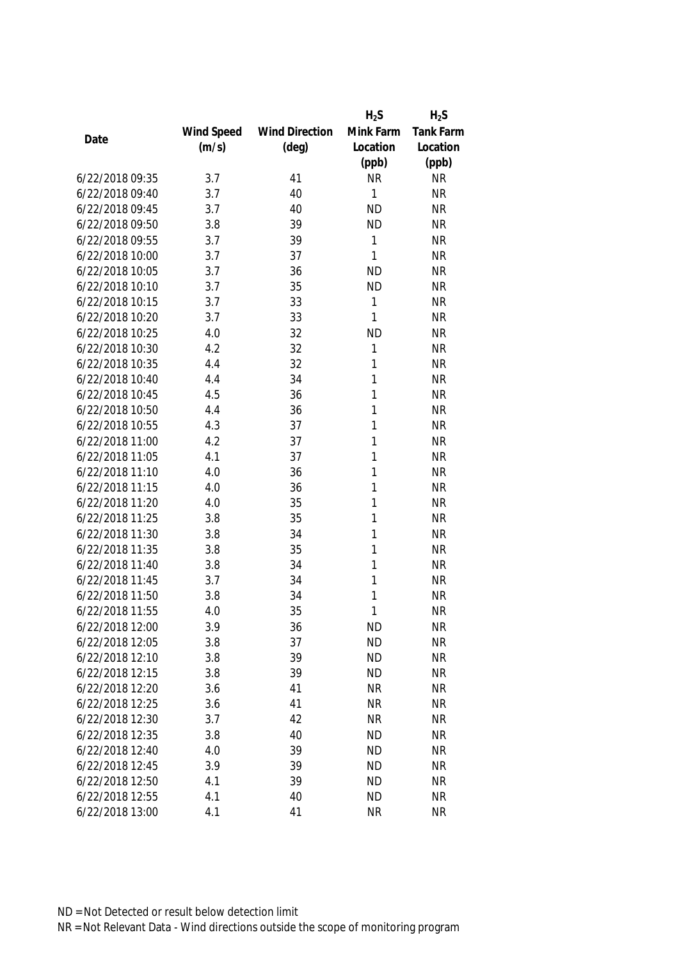|                 |            |                       | $H_2S$    | $H_2S$    |
|-----------------|------------|-----------------------|-----------|-----------|
|                 | Wind Speed | <b>Wind Direction</b> | Mink Farm | Tank Farm |
| Date            | (m/s)      | $(\text{deg})$        | Location  | Location  |
|                 |            |                       | (ppb)     | (ppb)     |
| 6/22/2018 09:35 | 3.7        | 41                    | <b>NR</b> | <b>NR</b> |
| 6/22/2018 09:40 | 3.7        | 40                    | 1         | <b>NR</b> |
| 6/22/2018 09:45 | 3.7        | 40                    | <b>ND</b> | <b>NR</b> |
| 6/22/2018 09:50 | 3.8        | 39                    | <b>ND</b> | <b>NR</b> |
| 6/22/2018 09:55 | 3.7        | 39                    | 1         | <b>NR</b> |
| 6/22/2018 10:00 | 3.7        | 37                    | 1         | <b>NR</b> |
| 6/22/2018 10:05 | 3.7        | 36                    | <b>ND</b> | <b>NR</b> |
| 6/22/2018 10:10 | 3.7        | 35                    | <b>ND</b> | <b>NR</b> |
| 6/22/2018 10:15 | 3.7        | 33                    | 1         | <b>NR</b> |
| 6/22/2018 10:20 | 3.7        | 33                    | 1         | <b>NR</b> |
| 6/22/2018 10:25 | 4.0        | 32                    | <b>ND</b> | <b>NR</b> |
| 6/22/2018 10:30 | 4.2        | 32                    | 1         | <b>NR</b> |
| 6/22/2018 10:35 | 4.4        | 32                    | 1         | <b>NR</b> |
| 6/22/2018 10:40 | 4.4        | 34                    | 1         | <b>NR</b> |
| 6/22/2018 10:45 | 4.5        | 36                    | 1         | <b>NR</b> |
| 6/22/2018 10:50 | 4.4        | 36                    | 1         | <b>NR</b> |
| 6/22/2018 10:55 | 4.3        | 37                    | 1         | <b>NR</b> |
| 6/22/2018 11:00 | 4.2        | 37                    | 1         | <b>NR</b> |
| 6/22/2018 11:05 | 4.1        | 37                    | 1         | <b>NR</b> |
| 6/22/2018 11:10 | 4.0        | 36                    | 1         | <b>NR</b> |
| 6/22/2018 11:15 | 4.0        | 36                    | 1         | <b>NR</b> |
| 6/22/2018 11:20 | 4.0        | 35                    | 1         | <b>NR</b> |
| 6/22/2018 11:25 | 3.8        | 35                    | 1         | <b>NR</b> |
| 6/22/2018 11:30 | 3.8        | 34                    | 1         | <b>NR</b> |
| 6/22/2018 11:35 | 3.8        | 35                    | 1         | <b>NR</b> |
| 6/22/2018 11:40 | 3.8        | 34                    | 1         | <b>NR</b> |
| 6/22/2018 11:45 | 3.7        | 34                    | 1         | <b>NR</b> |
| 6/22/2018 11:50 | 3.8        | 34                    | 1         | <b>NR</b> |
| 6/22/2018 11:55 | 4.0        | 35                    | 1         | <b>NR</b> |
| 6/22/2018 12:00 | 3.9        | 36                    | <b>ND</b> | <b>NR</b> |
| 6/22/2018 12:05 | 3.8        | 37                    | <b>ND</b> | <b>NR</b> |
| 6/22/2018 12:10 | 3.8        | 39                    | <b>ND</b> | <b>NR</b> |
| 6/22/2018 12:15 | 3.8        | 39                    | <b>ND</b> | <b>NR</b> |
| 6/22/2018 12:20 | 3.6        | 41                    | <b>NR</b> | <b>NR</b> |
| 6/22/2018 12:25 | 3.6        | 41                    | <b>NR</b> | <b>NR</b> |
| 6/22/2018 12:30 | 3.7        | 42                    | <b>NR</b> | <b>NR</b> |
| 6/22/2018 12:35 | 3.8        | 40                    | <b>ND</b> | <b>NR</b> |
| 6/22/2018 12:40 | 4.0        | 39                    | <b>ND</b> | <b>NR</b> |
| 6/22/2018 12:45 | 3.9        | 39                    | <b>ND</b> | <b>NR</b> |
| 6/22/2018 12:50 | 4.1        | 39                    | <b>ND</b> | <b>NR</b> |
| 6/22/2018 12:55 | 4.1        | 40                    | <b>ND</b> | <b>NR</b> |
| 6/22/2018 13:00 | 4.1        | 41                    | <b>NR</b> | <b>NR</b> |
|                 |            |                       |           |           |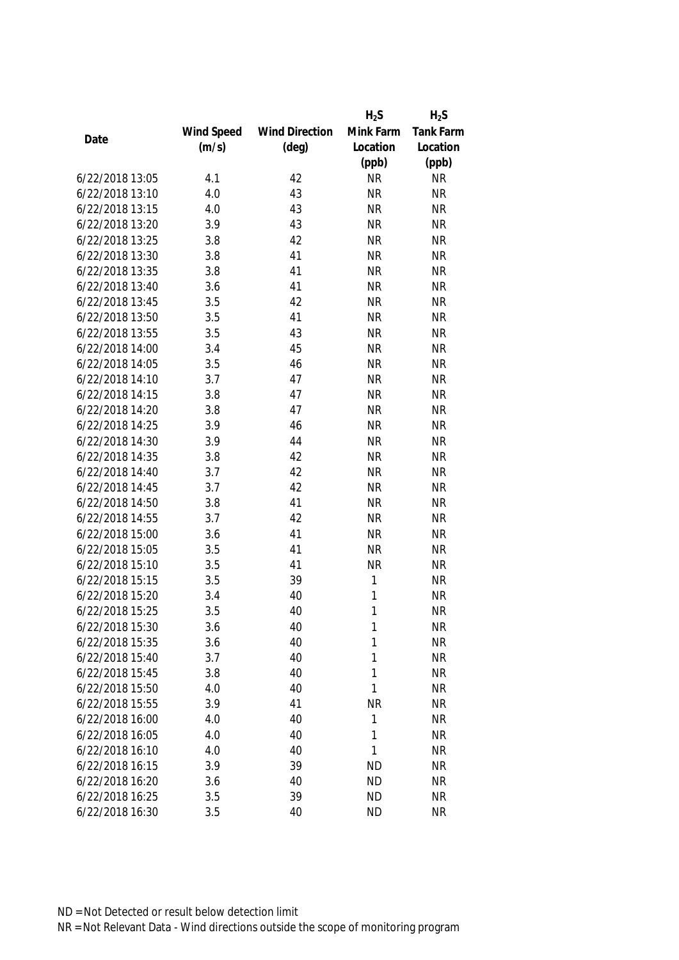|                 |            |                       | $H_2S$       | $H_2S$           |
|-----------------|------------|-----------------------|--------------|------------------|
|                 | Wind Speed | <b>Wind Direction</b> | Mink Farm    | <b>Tank Farm</b> |
| Date            | (m/s)      | $(\text{deg})$        | Location     | Location         |
|                 |            |                       | (ppb)        | (ppb)            |
| 6/22/2018 13:05 | 4.1        | 42                    | <b>NR</b>    | <b>NR</b>        |
| 6/22/2018 13:10 | 4.0        | 43                    | <b>NR</b>    | <b>NR</b>        |
| 6/22/2018 13:15 | 4.0        | 43                    | <b>NR</b>    | <b>NR</b>        |
| 6/22/2018 13:20 | 3.9        | 43                    | <b>NR</b>    | <b>NR</b>        |
| 6/22/2018 13:25 | 3.8        | 42                    | <b>NR</b>    | <b>NR</b>        |
| 6/22/2018 13:30 | 3.8        | 41                    | <b>NR</b>    | <b>NR</b>        |
| 6/22/2018 13:35 | 3.8        | 41                    | <b>NR</b>    | <b>NR</b>        |
| 6/22/2018 13:40 | 3.6        | 41                    | <b>NR</b>    | <b>NR</b>        |
| 6/22/2018 13:45 | 3.5        | 42                    | <b>NR</b>    | <b>NR</b>        |
| 6/22/2018 13:50 | 3.5        | 41                    | <b>NR</b>    | <b>NR</b>        |
| 6/22/2018 13:55 | 3.5        | 43                    | <b>NR</b>    | <b>NR</b>        |
| 6/22/2018 14:00 | 3.4        | 45                    | <b>NR</b>    | <b>NR</b>        |
| 6/22/2018 14:05 | 3.5        | 46                    | <b>NR</b>    | <b>NR</b>        |
| 6/22/2018 14:10 | 3.7        | 47                    | <b>NR</b>    | <b>NR</b>        |
| 6/22/2018 14:15 | 3.8        | 47                    | <b>NR</b>    | <b>NR</b>        |
| 6/22/2018 14:20 | 3.8        | 47                    | <b>NR</b>    | <b>NR</b>        |
| 6/22/2018 14:25 | 3.9        | 46                    | <b>NR</b>    | <b>NR</b>        |
| 6/22/2018 14:30 | 3.9        | 44                    | <b>NR</b>    | <b>NR</b>        |
| 6/22/2018 14:35 | 3.8        | 42                    | <b>NR</b>    | <b>NR</b>        |
| 6/22/2018 14:40 | 3.7        | 42                    | <b>NR</b>    | <b>NR</b>        |
| 6/22/2018 14:45 | 3.7        | 42                    | <b>NR</b>    | <b>NR</b>        |
| 6/22/2018 14:50 | 3.8        | 41                    | <b>NR</b>    | <b>NR</b>        |
| 6/22/2018 14:55 | 3.7        | 42                    | <b>NR</b>    | <b>NR</b>        |
| 6/22/2018 15:00 | 3.6        | 41                    | <b>NR</b>    | <b>NR</b>        |
| 6/22/2018 15:05 | 3.5        | 41                    | <b>NR</b>    | <b>NR</b>        |
| 6/22/2018 15:10 | 3.5        | 41                    | <b>NR</b>    | <b>NR</b>        |
| 6/22/2018 15:15 | 3.5        | 39                    | $\mathbf{1}$ | <b>NR</b>        |
| 6/22/2018 15:20 | 3.4        | 40                    | 1            | <b>NR</b>        |
| 6/22/2018 15:25 | 3.5        | 40                    | 1            | <b>NR</b>        |
| 6/22/2018 15:30 | 3.6        | 40                    | 1            | <b>NR</b>        |
| 6/22/2018 15:35 | 3.6        | 40                    | 1            | <b>NR</b>        |
| 6/22/2018 15:40 | 3.7        | 40                    | 1            | <b>NR</b>        |
| 6/22/2018 15:45 | 3.8        | 40                    | 1            | <b>NR</b>        |
| 6/22/2018 15:50 | 4.0        | 40                    | 1            | <b>NR</b>        |
| 6/22/2018 15:55 | 3.9        | 41                    | <b>NR</b>    | <b>NR</b>        |
| 6/22/2018 16:00 | 4.0        | 40                    | 1            | <b>NR</b>        |
| 6/22/2018 16:05 | 4.0        | 40                    | 1            | <b>NR</b>        |
| 6/22/2018 16:10 | 4.0        | 40                    | 1            | <b>NR</b>        |
| 6/22/2018 16:15 | 3.9        | 39                    | <b>ND</b>    | <b>NR</b>        |
| 6/22/2018 16:20 | 3.6        | 40                    | <b>ND</b>    | <b>NR</b>        |
| 6/22/2018 16:25 | 3.5        | 39                    | <b>ND</b>    | <b>NR</b>        |
| 6/22/2018 16:30 | 3.5        | 40                    | <b>ND</b>    | <b>NR</b>        |
|                 |            |                       |              |                  |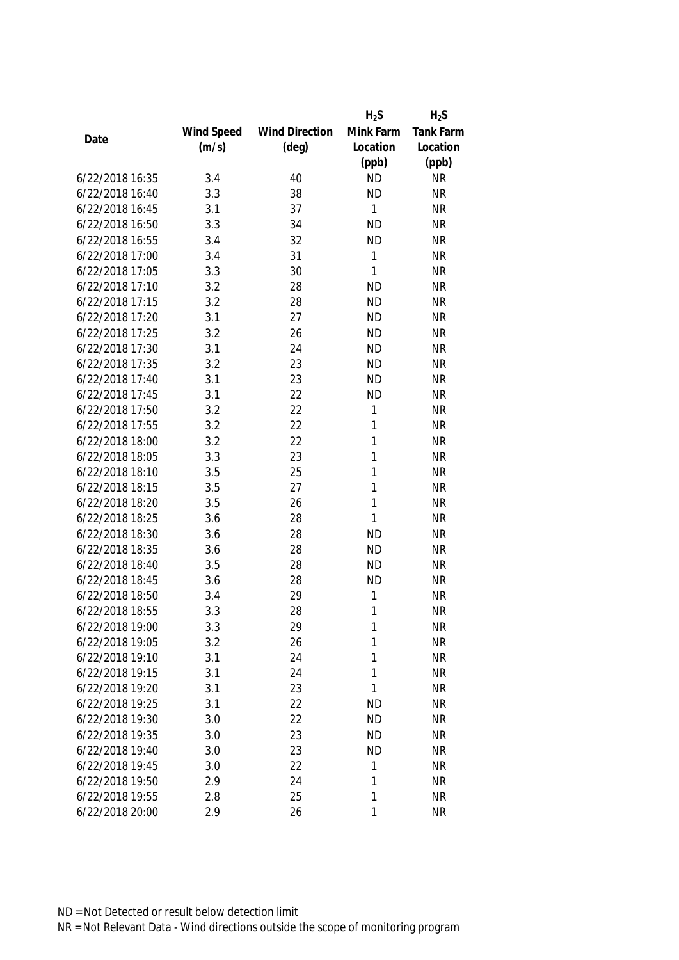|                 |            |                       | $H_2S$       | $H_2S$    |
|-----------------|------------|-----------------------|--------------|-----------|
|                 | Wind Speed | <b>Wind Direction</b> | Mink Farm    | Tank Farm |
| Date            | (m/s)      | $(\text{deg})$        | Location     | Location  |
|                 |            |                       | (ppb)        | (ppb)     |
| 6/22/2018 16:35 | 3.4        | 40                    | <b>ND</b>    | <b>NR</b> |
| 6/22/2018 16:40 | 3.3        | 38                    | <b>ND</b>    | <b>NR</b> |
| 6/22/2018 16:45 | 3.1        | 37                    | 1            | <b>NR</b> |
| 6/22/2018 16:50 | 3.3        | 34                    | <b>ND</b>    | <b>NR</b> |
| 6/22/2018 16:55 | 3.4        | 32                    | <b>ND</b>    | <b>NR</b> |
| 6/22/2018 17:00 | 3.4        | 31                    | 1            | <b>NR</b> |
| 6/22/2018 17:05 | 3.3        | 30                    | 1            | <b>NR</b> |
| 6/22/2018 17:10 | 3.2        | 28                    | <b>ND</b>    | <b>NR</b> |
| 6/22/2018 17:15 | 3.2        | 28                    | <b>ND</b>    | <b>NR</b> |
| 6/22/2018 17:20 | 3.1        | 27                    | <b>ND</b>    | <b>NR</b> |
| 6/22/2018 17:25 | 3.2        | 26                    | <b>ND</b>    | <b>NR</b> |
| 6/22/2018 17:30 | 3.1        | 24                    | <b>ND</b>    | <b>NR</b> |
| 6/22/2018 17:35 | 3.2        | 23                    | <b>ND</b>    | <b>NR</b> |
| 6/22/2018 17:40 | 3.1        | 23                    | <b>ND</b>    | <b>NR</b> |
| 6/22/2018 17:45 | 3.1        | 22                    | <b>ND</b>    | <b>NR</b> |
| 6/22/2018 17:50 | 3.2        | 22                    | $\mathbf{1}$ | <b>NR</b> |
| 6/22/2018 17:55 | 3.2        | 22                    | 1            | <b>NR</b> |
| 6/22/2018 18:00 | 3.2        | 22                    | $\mathbf{1}$ | <b>NR</b> |
| 6/22/2018 18:05 | 3.3        | 23                    | 1            | <b>NR</b> |
| 6/22/2018 18:10 | 3.5        | 25                    | 1            | <b>NR</b> |
| 6/22/2018 18:15 | 3.5        | 27                    | 1            | <b>NR</b> |
| 6/22/2018 18:20 | 3.5        | 26                    | 1            | <b>NR</b> |
| 6/22/2018 18:25 | 3.6        | 28                    | 1            | <b>NR</b> |
| 6/22/2018 18:30 | 3.6        | 28                    | <b>ND</b>    | <b>NR</b> |
| 6/22/2018 18:35 | 3.6        | 28                    | <b>ND</b>    | <b>NR</b> |
| 6/22/2018 18:40 | 3.5        | 28                    | <b>ND</b>    | <b>NR</b> |
| 6/22/2018 18:45 | 3.6        | 28                    | <b>ND</b>    | <b>NR</b> |
| 6/22/2018 18:50 | 3.4        | 29                    | 1            | <b>NR</b> |
| 6/22/2018 18:55 | 3.3        | 28                    | 1            | <b>NR</b> |
| 6/22/2018 19:00 | 3.3        | 29                    | 1            | <b>NR</b> |
| 6/22/2018 19:05 | 3.2        | 26                    | 1            | <b>NR</b> |
| 6/22/2018 19:10 | 3.1        | 24                    | 1            | <b>NR</b> |
| 6/22/2018 19:15 | 3.1        | 24                    | 1            | <b>NR</b> |
| 6/22/2018 19:20 | 3.1        | 23                    | $\mathbf{1}$ | <b>NR</b> |
| 6/22/2018 19:25 | 3.1        | 22                    | <b>ND</b>    | <b>NR</b> |
| 6/22/2018 19:30 | 3.0        | 22                    | <b>ND</b>    | <b>NR</b> |
| 6/22/2018 19:35 | 3.0        | 23                    | <b>ND</b>    | <b>NR</b> |
| 6/22/2018 19:40 | 3.0        | 23                    | <b>ND</b>    | <b>NR</b> |
| 6/22/2018 19:45 | 3.0        | 22                    | 1            | <b>NR</b> |
| 6/22/2018 19:50 | 2.9        | 24                    | 1            | <b>NR</b> |
| 6/22/2018 19:55 | 2.8        | 25                    | 1            | <b>NR</b> |
|                 |            |                       |              |           |
| 6/22/2018 20:00 | 2.9        | 26                    | 1            | <b>NR</b> |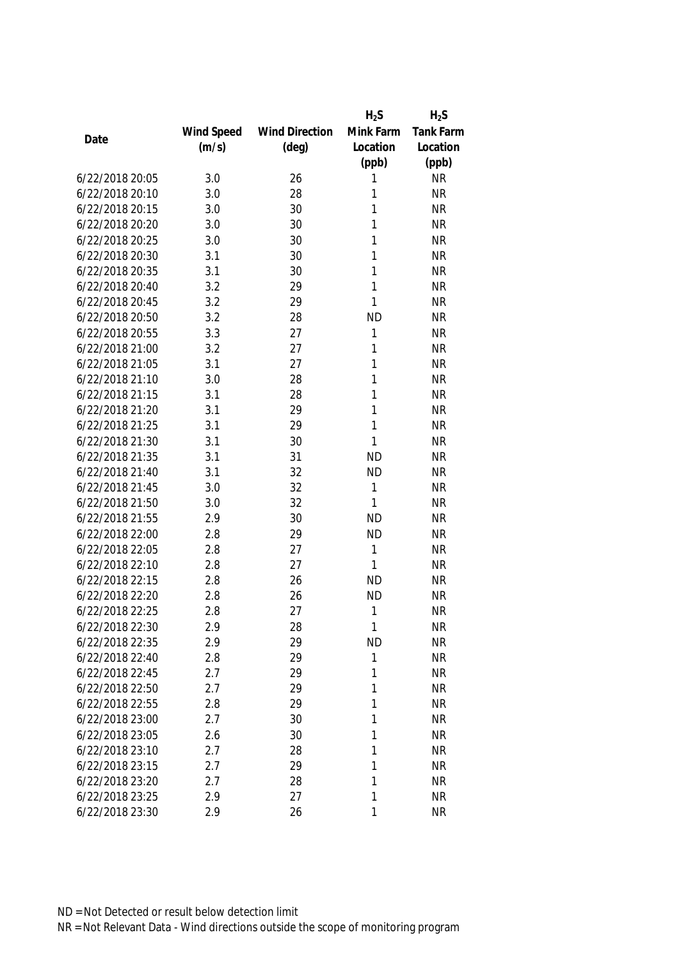|                 |            |                       | $H_2S$    | $H_2S$           |
|-----------------|------------|-----------------------|-----------|------------------|
|                 | Wind Speed | <b>Wind Direction</b> | Mink Farm | <b>Tank Farm</b> |
| Date            | (m/s)      | $(\text{deg})$        | Location  | Location         |
|                 |            |                       | (ppb)     | (ppb)            |
| 6/22/2018 20:05 | 3.0        | 26                    | 1         | <b>NR</b>        |
| 6/22/2018 20:10 | 3.0        | 28                    | 1         | <b>NR</b>        |
| 6/22/2018 20:15 | 3.0        | 30                    | 1         | <b>NR</b>        |
| 6/22/2018 20:20 | 3.0        | 30                    | 1         | <b>NR</b>        |
| 6/22/2018 20:25 | 3.0        | 30                    | 1         | <b>NR</b>        |
| 6/22/2018 20:30 | 3.1        | 30                    | 1         | <b>NR</b>        |
| 6/22/2018 20:35 | 3.1        | 30                    | 1         | <b>NR</b>        |
| 6/22/2018 20:40 | 3.2        | 29                    | 1         | <b>NR</b>        |
| 6/22/2018 20:45 | 3.2        | 29                    | 1         | <b>NR</b>        |
| 6/22/2018 20:50 | 3.2        | 28                    | <b>ND</b> | <b>NR</b>        |
| 6/22/2018 20:55 | 3.3        | 27                    | 1         | <b>NR</b>        |
| 6/22/2018 21:00 | 3.2        | 27                    | 1         | <b>NR</b>        |
| 6/22/2018 21:05 | 3.1        | 27                    | 1         | <b>NR</b>        |
| 6/22/2018 21:10 | 3.0        | 28                    | 1         | <b>NR</b>        |
| 6/22/2018 21:15 | 3.1        | 28                    | 1         | <b>NR</b>        |
| 6/22/2018 21:20 | 3.1        | 29                    | 1         | <b>NR</b>        |
| 6/22/2018 21:25 | 3.1        | 29                    | 1         | <b>NR</b>        |
| 6/22/2018 21:30 | 3.1        | 30                    | 1         | <b>NR</b>        |
| 6/22/2018 21:35 | 3.1        | 31                    | <b>ND</b> | <b>NR</b>        |
| 6/22/2018 21:40 | 3.1        | 32                    | <b>ND</b> | <b>NR</b>        |
| 6/22/2018 21:45 | 3.0        | 32                    | 1         | <b>NR</b>        |
| 6/22/2018 21:50 | 3.0        | 32                    | 1         | <b>NR</b>        |
| 6/22/2018 21:55 | 2.9        | 30                    | <b>ND</b> | <b>NR</b>        |
| 6/22/2018 22:00 | 2.8        | 29                    | <b>ND</b> | <b>NR</b>        |
| 6/22/2018 22:05 | 2.8        | 27                    | 1         | <b>NR</b>        |
| 6/22/2018 22:10 | 2.8        | 27                    | 1         | <b>NR</b>        |
| 6/22/2018 22:15 | 2.8        | 26                    | <b>ND</b> | <b>NR</b>        |
| 6/22/2018 22:20 | 2.8        | 26                    | <b>ND</b> | <b>NR</b>        |
| 6/22/2018 22:25 | 2.8        | 27                    | 1         | <b>NR</b>        |
| 6/22/2018 22:30 | 2.9        | 28                    | 1         | <b>NR</b>        |
| 6/22/2018 22:35 | 2.9        | 29                    | <b>ND</b> | <b>NR</b>        |
| 6/22/2018 22:40 | 2.8        | 29                    | 1         | <b>NR</b>        |
| 6/22/2018 22:45 | 2.7        | 29                    | 1         | <b>NR</b>        |
| 6/22/2018 22:50 | 2.7        | 29                    | 1         | <b>NR</b>        |
| 6/22/2018 22:55 | 2.8        | 29                    | 1         | <b>NR</b>        |
| 6/22/2018 23:00 | 2.7        | 30                    | 1         | <b>NR</b>        |
| 6/22/2018 23:05 | 2.6        | 30                    | 1         | <b>NR</b>        |
| 6/22/2018 23:10 | 2.7        | 28                    | 1         | <b>NR</b>        |
| 6/22/2018 23:15 | 2.7        | 29                    | 1         | <b>NR</b>        |
| 6/22/2018 23:20 | 2.7        | 28                    | 1         | <b>NR</b>        |
| 6/22/2018 23:25 | 2.9        | 27                    | 1         | <b>NR</b>        |
| 6/22/2018 23:30 | 2.9        | 26                    | 1         | <b>NR</b>        |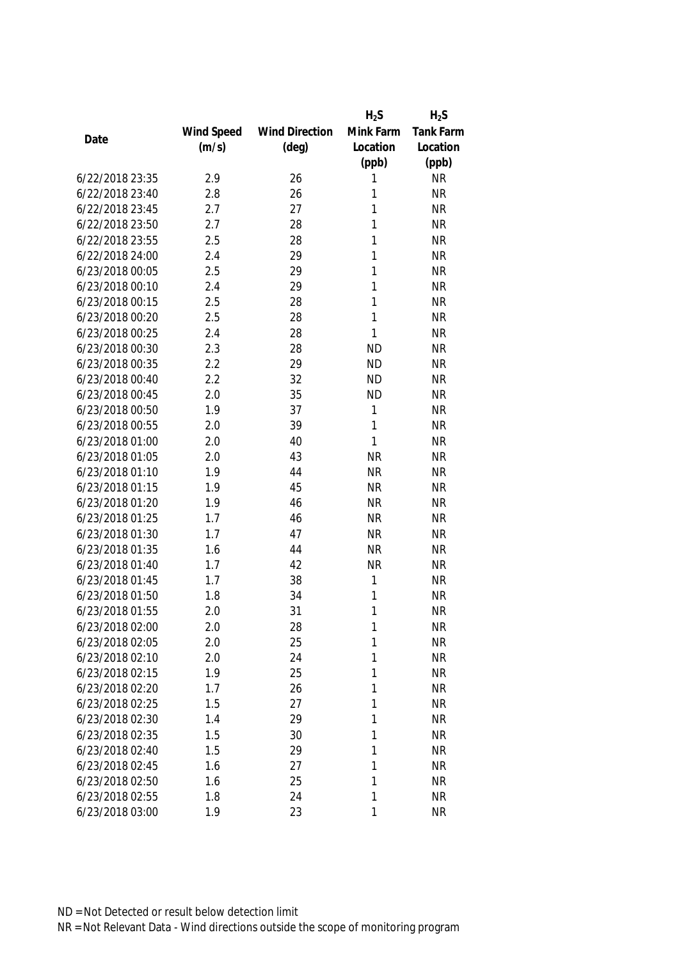|                 |            |                       | $H_2S$    | $H_2S$    |
|-----------------|------------|-----------------------|-----------|-----------|
|                 | Wind Speed | <b>Wind Direction</b> | Mink Farm | Tank Farm |
| Date            | (m/s)      | $(\text{deg})$        | Location  | Location  |
|                 |            |                       | (ppb)     | (ppb)     |
| 6/22/2018 23:35 | 2.9        | 26                    | 1         | <b>NR</b> |
| 6/22/2018 23:40 | 2.8        | 26                    | 1         | <b>NR</b> |
| 6/22/2018 23:45 | 2.7        | 27                    | 1         | <b>NR</b> |
| 6/22/2018 23:50 | 2.7        | 28                    | 1         | <b>NR</b> |
| 6/22/2018 23:55 | 2.5        | 28                    | 1         | <b>NR</b> |
| 6/22/2018 24:00 | 2.4        | 29                    | 1         | <b>NR</b> |
| 6/23/2018 00:05 | 2.5        | 29                    | 1         | <b>NR</b> |
| 6/23/2018 00:10 | 2.4        | 29                    | 1         | <b>NR</b> |
| 6/23/2018 00:15 | 2.5        | 28                    | 1         | <b>NR</b> |
| 6/23/2018 00:20 | 2.5        | 28                    | 1         | <b>NR</b> |
| 6/23/2018 00:25 | 2.4        | 28                    | 1         | <b>NR</b> |
| 6/23/2018 00:30 | 2.3        | 28                    | <b>ND</b> | <b>NR</b> |
| 6/23/2018 00:35 | 2.2        | 29                    | <b>ND</b> | <b>NR</b> |
| 6/23/2018 00:40 | 2.2        | 32                    | <b>ND</b> | <b>NR</b> |
| 6/23/2018 00:45 | 2.0        | 35                    | <b>ND</b> | <b>NR</b> |
| 6/23/2018 00:50 | 1.9        | 37                    | 1         | <b>NR</b> |
| 6/23/2018 00:55 | 2.0        | 39                    | 1         | <b>NR</b> |
| 6/23/2018 01:00 | 2.0        | 40                    | 1         | <b>NR</b> |
| 6/23/2018 01:05 | 2.0        | 43                    | <b>NR</b> | <b>NR</b> |
| 6/23/2018 01:10 | 1.9        | 44                    | <b>NR</b> | <b>NR</b> |
| 6/23/2018 01:15 | 1.9        | 45                    | <b>NR</b> | <b>NR</b> |
| 6/23/2018 01:20 | 1.9        | 46                    | <b>NR</b> | <b>NR</b> |
| 6/23/2018 01:25 | 1.7        | 46                    | <b>NR</b> | <b>NR</b> |
| 6/23/2018 01:30 | 1.7        | 47                    | <b>NR</b> | <b>NR</b> |
| 6/23/2018 01:35 | 1.6        | 44                    | <b>NR</b> | <b>NR</b> |
| 6/23/2018 01:40 | 1.7        | 42                    | <b>NR</b> | <b>NR</b> |
| 6/23/2018 01:45 | 1.7        | 38                    | 1         | <b>NR</b> |
| 6/23/2018 01:50 | 1.8        | 34                    | 1         | <b>NR</b> |
| 6/23/2018 01:55 | 2.0        | 31                    | 1         | <b>NR</b> |
| 6/23/2018 02:00 | 2.0        | 28                    | 1         | <b>NR</b> |
| 6/23/2018 02:05 | 2.0        | 25                    | 1         | <b>NR</b> |
| 6/23/2018 02:10 | 2.0        | 24                    | 1         | <b>NR</b> |
| 6/23/2018 02:15 | 1.9        | 25                    | 1         | <b>NR</b> |
| 6/23/2018 02:20 | 1.7        | 26                    | 1         | <b>NR</b> |
| 6/23/2018 02:25 | 1.5        | 27                    | 1         | <b>NR</b> |
| 6/23/2018 02:30 | 1.4        | 29                    | 1         | <b>NR</b> |
| 6/23/2018 02:35 | 1.5        | 30                    | 1         | <b>NR</b> |
| 6/23/2018 02:40 | 1.5        | 29                    | 1         | <b>NR</b> |
| 6/23/2018 02:45 | 1.6        | 27                    | 1         | <b>NR</b> |
| 6/23/2018 02:50 | 1.6        | 25                    | 1         | <b>NR</b> |
| 6/23/2018 02:55 | 1.8        | 24                    | 1         | <b>NR</b> |
| 6/23/2018 03:00 | 1.9        | 23                    | 1         | <b>NR</b> |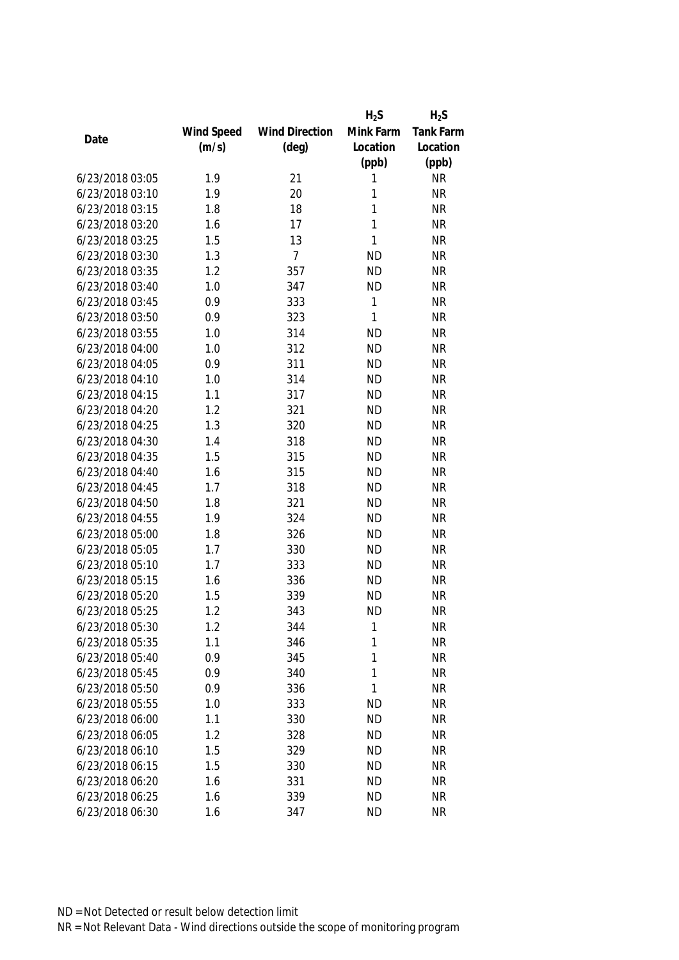|                 |            |                       | $H_2S$    | $H_2S$           |
|-----------------|------------|-----------------------|-----------|------------------|
|                 | Wind Speed | <b>Wind Direction</b> | Mink Farm | <b>Tank Farm</b> |
| Date            | (m/s)      | $(\text{deg})$        | Location  | Location         |
|                 |            |                       | (ppb)     | (ppb)            |
| 6/23/2018 03:05 | 1.9        | 21                    | 1         | <b>NR</b>        |
| 6/23/2018 03:10 | 1.9        | 20                    | 1         | <b>NR</b>        |
| 6/23/2018 03:15 | 1.8        | 18                    | 1         | <b>NR</b>        |
| 6/23/2018 03:20 | 1.6        | 17                    | 1         | <b>NR</b>        |
| 6/23/2018 03:25 | 1.5        | 13                    | 1         | <b>NR</b>        |
| 6/23/2018 03:30 | 1.3        | $\overline{7}$        | <b>ND</b> | <b>NR</b>        |
| 6/23/2018 03:35 | 1.2        | 357                   | <b>ND</b> | <b>NR</b>        |
| 6/23/2018 03:40 | 1.0        | 347                   | <b>ND</b> | <b>NR</b>        |
| 6/23/2018 03:45 | 0.9        | 333                   | 1         | <b>NR</b>        |
| 6/23/2018 03:50 | 0.9        | 323                   | 1         | <b>NR</b>        |
| 6/23/2018 03:55 | 1.0        | 314                   | <b>ND</b> | <b>NR</b>        |
| 6/23/2018 04:00 | 1.0        | 312                   | <b>ND</b> | <b>NR</b>        |
| 6/23/2018 04:05 | 0.9        | 311                   | <b>ND</b> | <b>NR</b>        |
| 6/23/2018 04:10 | 1.0        | 314                   | <b>ND</b> | <b>NR</b>        |
| 6/23/2018 04:15 | 1.1        | 317                   | <b>ND</b> | <b>NR</b>        |
| 6/23/2018 04:20 | 1.2        | 321                   | <b>ND</b> | <b>NR</b>        |
| 6/23/2018 04:25 | 1.3        | 320                   | <b>ND</b> | <b>NR</b>        |
| 6/23/2018 04:30 | 1.4        | 318                   | <b>ND</b> | <b>NR</b>        |
| 6/23/2018 04:35 | 1.5        | 315                   | <b>ND</b> | <b>NR</b>        |
| 6/23/2018 04:40 | 1.6        | 315                   | <b>ND</b> | <b>NR</b>        |
| 6/23/2018 04:45 | 1.7        | 318                   | <b>ND</b> | <b>NR</b>        |
| 6/23/2018 04:50 | 1.8        | 321                   | <b>ND</b> | <b>NR</b>        |
| 6/23/2018 04:55 | 1.9        | 324                   | <b>ND</b> | <b>NR</b>        |
| 6/23/2018 05:00 | 1.8        | 326                   | <b>ND</b> | <b>NR</b>        |
| 6/23/2018 05:05 | 1.7        | 330                   | <b>ND</b> | <b>NR</b>        |
| 6/23/2018 05:10 | 1.7        | 333                   | <b>ND</b> | <b>NR</b>        |
| 6/23/2018 05:15 | 1.6        | 336                   | <b>ND</b> | <b>NR</b>        |
| 6/23/2018 05:20 | 1.5        | 339                   | <b>ND</b> | <b>NR</b>        |
| 6/23/2018 05:25 | 1.2        | 343                   | <b>ND</b> | <b>NR</b>        |
| 6/23/2018 05:30 | 1.2        | 344                   | 1         | <b>NR</b>        |
| 6/23/2018 05:35 | 1.1        | 346                   | 1         | <b>NR</b>        |
| 6/23/2018 05:40 | 0.9        | 345                   | 1         | <b>NR</b>        |
| 6/23/2018 05:45 | 0.9        | 340                   | 1         | <b>NR</b>        |
| 6/23/2018 05:50 | 0.9        | 336                   | 1         | <b>NR</b>        |
| 6/23/2018 05:55 | 1.0        | 333                   | <b>ND</b> | <b>NR</b>        |
| 6/23/2018 06:00 | 1.1        | 330                   | <b>ND</b> | <b>NR</b>        |
| 6/23/2018 06:05 | 1.2        | 328                   | <b>ND</b> | <b>NR</b>        |
| 6/23/2018 06:10 | 1.5        | 329                   | <b>ND</b> | <b>NR</b>        |
| 6/23/2018 06:15 | 1.5        | 330                   | <b>ND</b> | <b>NR</b>        |
| 6/23/2018 06:20 | 1.6        | 331                   | <b>ND</b> | <b>NR</b>        |
| 6/23/2018 06:25 | 1.6        | 339                   | <b>ND</b> | <b>NR</b>        |
| 6/23/2018 06:30 | 1.6        | 347                   | <b>ND</b> | <b>NR</b>        |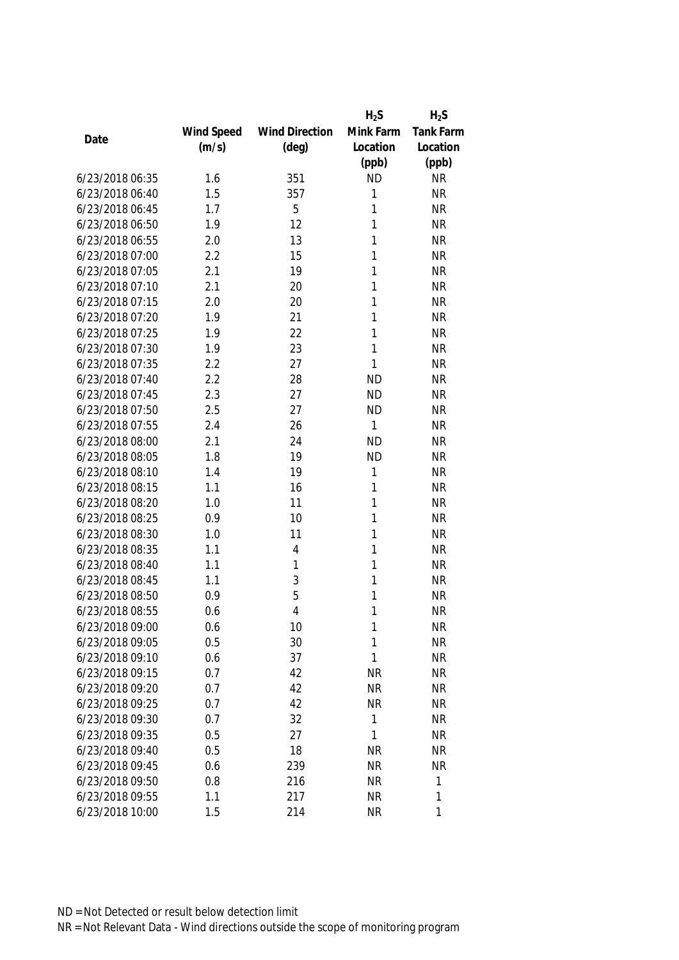|                 |            |                       | $H_2S$    | $H_2S$    |
|-----------------|------------|-----------------------|-----------|-----------|
|                 | Wind Speed | <b>Wind Direction</b> | Mink Farm | Tank Farm |
| Date            | (m/s)      | $(\text{deg})$        | Location  | Location  |
|                 |            |                       | (ppb)     | (ppb)     |
| 6/23/2018 06:35 | 1.6        | 351                   | <b>ND</b> | <b>NR</b> |
| 6/23/2018 06:40 | 1.5        | 357                   | 1         | <b>NR</b> |
| 6/23/2018 06:45 | 1.7        | 5                     | 1         | <b>NR</b> |
| 6/23/2018 06:50 | 1.9        | 12                    | 1         | <b>NR</b> |
| 6/23/2018 06:55 | 2.0        | 13                    | 1         | <b>NR</b> |
| 6/23/2018 07:00 | 2.2        | 15                    | 1         | <b>NR</b> |
| 6/23/2018 07:05 | 2.1        | 19                    | 1         | <b>NR</b> |
| 6/23/2018 07:10 | 2.1        | 20                    | 1         | <b>NR</b> |
| 6/23/2018 07:15 | 2.0        | 20                    | 1         | <b>NR</b> |
| 6/23/2018 07:20 | 1.9        | 21                    | 1         | <b>NR</b> |
| 6/23/2018 07:25 | 1.9        | 22                    | 1         | <b>NR</b> |
| 6/23/2018 07:30 | 1.9        | 23                    | 1         | <b>NR</b> |
| 6/23/2018 07:35 | 2.2        | 27                    | 1         | <b>NR</b> |
| 6/23/2018 07:40 | 2.2        | 28                    | <b>ND</b> | <b>NR</b> |
| 6/23/2018 07:45 | 2.3        | 27                    | <b>ND</b> | <b>NR</b> |
| 6/23/2018 07:50 | 2.5        | 27                    | <b>ND</b> | <b>NR</b> |
| 6/23/2018 07:55 | 2.4        | 26                    | 1         | <b>NR</b> |
| 6/23/2018 08:00 | 2.1        | 24                    | <b>ND</b> | <b>NR</b> |
| 6/23/2018 08:05 | 1.8        | 19                    | <b>ND</b> | <b>NR</b> |
| 6/23/2018 08:10 | 1.4        | 19                    | 1         | <b>NR</b> |
| 6/23/2018 08:15 | 1.1        | 16                    | 1         | <b>NR</b> |
| 6/23/2018 08:20 | 1.0        | 11                    | 1         | <b>NR</b> |
| 6/23/2018 08:25 | 0.9        | 10                    | 1         | <b>NR</b> |
| 6/23/2018 08:30 | 1.0        | 11                    | 1         | <b>NR</b> |
| 6/23/2018 08:35 | 1.1        | 4                     | 1         | <b>NR</b> |
| 6/23/2018 08:40 | 1.1        | 1                     | 1         | <b>NR</b> |
| 6/23/2018 08:45 | 1.1        | 3                     | 1         | <b>NR</b> |
| 6/23/2018 08:50 | 0.9        | 5                     | 1         | <b>NR</b> |
| 6/23/2018 08:55 | 0.6        | $\overline{4}$        | 1         | <b>NR</b> |
| 6/23/2018 09:00 | 0.6        | 10                    | 1         | <b>NR</b> |
| 6/23/2018 09:05 | 0.5        | 30                    | 1         | <b>NR</b> |
| 6/23/2018 09:10 | 0.6        | 37                    | 1         | <b>NR</b> |
| 6/23/2018 09:15 | 0.7        | 42                    | <b>NR</b> | <b>NR</b> |
| 6/23/2018 09:20 | 0.7        | 42                    | <b>NR</b> | <b>NR</b> |
| 6/23/2018 09:25 | 0.7        | 42                    | <b>NR</b> | <b>NR</b> |
| 6/23/2018 09:30 | 0.7        | 32                    | 1         | <b>NR</b> |
| 6/23/2018 09:35 | 0.5        | 27                    | 1         | <b>NR</b> |
| 6/23/2018 09:40 | 0.5        | 18                    | <b>NR</b> | <b>NR</b> |
| 6/23/2018 09:45 | 0.6        | 239                   | <b>NR</b> | <b>NR</b> |
| 6/23/2018 09:50 | 0.8        | 216                   | <b>NR</b> | 1         |
| 6/23/2018 09:55 | 1.1        | 217                   | <b>NR</b> | 1         |
| 6/23/2018 10:00 | 1.5        | 214                   | <b>NR</b> | 1         |
|                 |            |                       |           |           |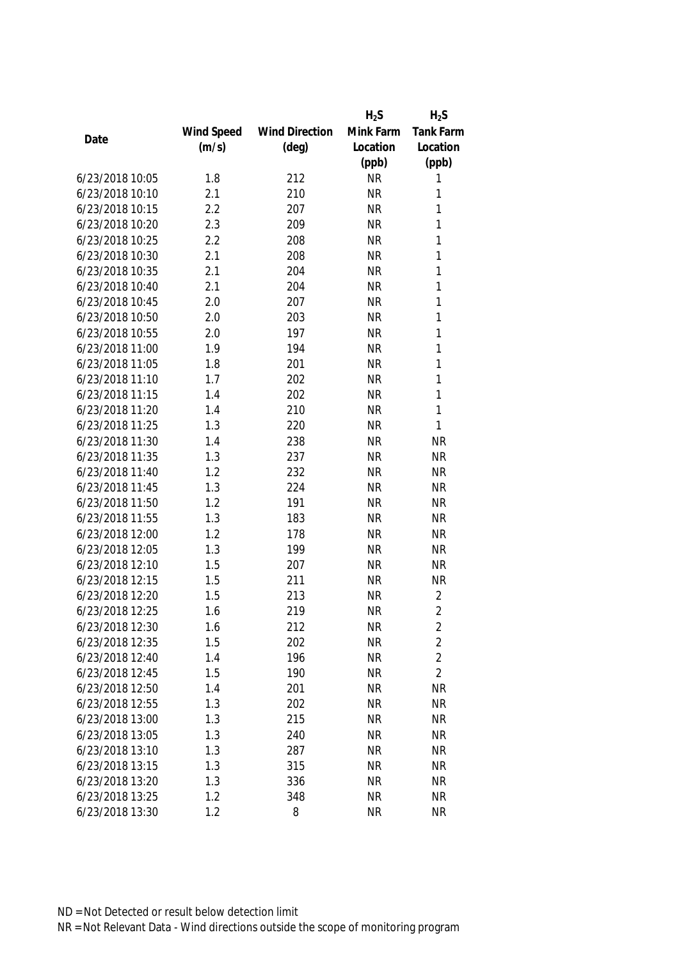|                 |            |                       | $H_2S$    | $H_2S$         |
|-----------------|------------|-----------------------|-----------|----------------|
|                 | Wind Speed | <b>Wind Direction</b> | Mink Farm | Tank Farm      |
| Date            | (m/s)      | $(\text{deg})$        | Location  | Location       |
|                 |            |                       | (ppb)     | (ppb)          |
| 6/23/2018 10:05 | 1.8        | 212                   | <b>NR</b> | 1              |
| 6/23/2018 10:10 | 2.1        | 210                   | <b>NR</b> | 1              |
| 6/23/2018 10:15 | 2.2        | 207                   | <b>NR</b> | 1              |
| 6/23/2018 10:20 | 2.3        | 209                   | <b>NR</b> | 1              |
| 6/23/2018 10:25 | 2.2        | 208                   | <b>NR</b> | 1              |
| 6/23/2018 10:30 | 2.1        | 208                   | <b>NR</b> | $\mathbf{1}$   |
| 6/23/2018 10:35 | 2.1        | 204                   | <b>NR</b> | 1              |
| 6/23/2018 10:40 | 2.1        | 204                   | <b>NR</b> | $\mathbf{1}$   |
| 6/23/2018 10:45 | 2.0        | 207                   | <b>NR</b> | $\mathbf{1}$   |
| 6/23/2018 10:50 | 2.0        | 203                   | <b>NR</b> | $\mathbf{1}$   |
| 6/23/2018 10:55 | 2.0        | 197                   | <b>NR</b> | 1              |
| 6/23/2018 11:00 | 1.9        | 194                   | <b>NR</b> | 1              |
| 6/23/2018 11:05 | 1.8        | 201                   | <b>NR</b> | 1              |
| 6/23/2018 11:10 | 1.7        | 202                   | <b>NR</b> | 1              |
| 6/23/2018 11:15 | 1.4        | 202                   | <b>NR</b> | 1              |
| 6/23/2018 11:20 | 1.4        | 210                   | <b>NR</b> | $\mathbf{1}$   |
| 6/23/2018 11:25 | 1.3        | 220                   | <b>NR</b> | 1              |
| 6/23/2018 11:30 | 1.4        | 238                   | <b>NR</b> | <b>NR</b>      |
| 6/23/2018 11:35 | 1.3        | 237                   | <b>NR</b> | <b>NR</b>      |
| 6/23/2018 11:40 | 1.2        | 232                   | <b>NR</b> | <b>NR</b>      |
| 6/23/2018 11:45 | 1.3        | 224                   | <b>NR</b> | <b>NR</b>      |
| 6/23/2018 11:50 | 1.2        | 191                   | <b>NR</b> | <b>NR</b>      |
| 6/23/2018 11:55 | 1.3        | 183                   | <b>NR</b> | <b>NR</b>      |
| 6/23/2018 12:00 | 1.2        | 178                   | <b>NR</b> | <b>NR</b>      |
| 6/23/2018 12:05 | 1.3        | 199                   | <b>NR</b> | <b>NR</b>      |
| 6/23/2018 12:10 | 1.5        | 207                   | <b>NR</b> | <b>NR</b>      |
| 6/23/2018 12:15 | 1.5        | 211                   | <b>NR</b> | <b>NR</b>      |
| 6/23/2018 12:20 | 1.5        | 213                   | <b>NR</b> | 2              |
| 6/23/2018 12:25 | 1.6        | 219                   | <b>NR</b> | $\overline{2}$ |
| 6/23/2018 12:30 | 1.6        | 212                   | <b>NR</b> | 2              |
| 6/23/2018 12:35 | 1.5        | 202                   | <b>NR</b> | $\overline{2}$ |
| 6/23/2018 12:40 | 1.4        | 196                   | <b>NR</b> | $\overline{2}$ |
| 6/23/2018 12:45 | 1.5        | 190                   | <b>NR</b> | $\overline{2}$ |
| 6/23/2018 12:50 | 1.4        | 201                   | <b>NR</b> | <b>NR</b>      |
| 6/23/2018 12:55 | 1.3        | 202                   | <b>NR</b> | <b>NR</b>      |
| 6/23/2018 13:00 | 1.3        | 215                   | <b>NR</b> | <b>NR</b>      |
| 6/23/2018 13:05 | 1.3        | 240                   | <b>NR</b> | <b>NR</b>      |
| 6/23/2018 13:10 | 1.3        | 287                   | <b>NR</b> | <b>NR</b>      |
| 6/23/2018 13:15 | 1.3        | 315                   | <b>NR</b> | <b>NR</b>      |
| 6/23/2018 13:20 | 1.3        | 336                   | <b>NR</b> | <b>NR</b>      |
| 6/23/2018 13:25 | 1.2        | 348                   | <b>NR</b> | <b>NR</b>      |
| 6/23/2018 13:30 | 1.2        | 8                     | <b>NR</b> | <b>NR</b>      |
|                 |            |                       |           |                |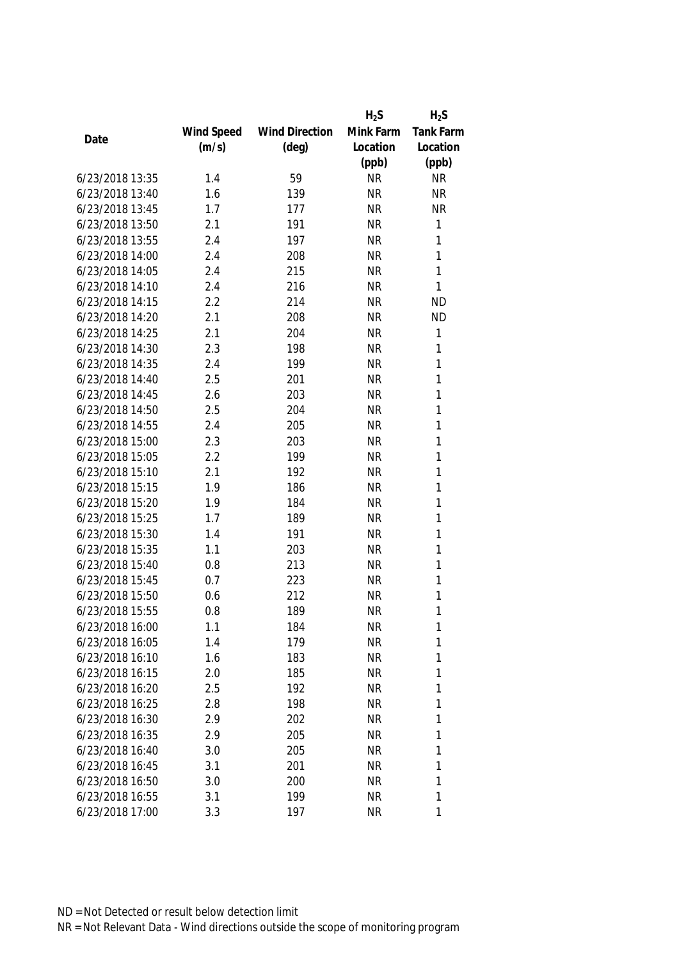|                 |            |                       | $H_2S$    | $H_2S$       |
|-----------------|------------|-----------------------|-----------|--------------|
|                 | Wind Speed | <b>Wind Direction</b> | Mink Farm | Tank Farm    |
| Date            | (m/s)      | $(\text{deg})$        | Location  | Location     |
|                 |            |                       | (ppb)     | (ppb)        |
| 6/23/2018 13:35 | 1.4        | 59                    | <b>NR</b> | <b>NR</b>    |
| 6/23/2018 13:40 | 1.6        | 139                   | <b>NR</b> | <b>NR</b>    |
| 6/23/2018 13:45 | 1.7        | 177                   | <b>NR</b> | <b>NR</b>    |
| 6/23/2018 13:50 | 2.1        | 191                   | <b>NR</b> | $\mathbf{1}$ |
| 6/23/2018 13:55 | 2.4        | 197                   | <b>NR</b> | 1            |
| 6/23/2018 14:00 | 2.4        | 208                   | <b>NR</b> | 1            |
| 6/23/2018 14:05 | 2.4        | 215                   | <b>NR</b> | 1            |
| 6/23/2018 14:10 | 2.4        | 216                   | <b>NR</b> | 1            |
| 6/23/2018 14:15 | 2.2        | 214                   | <b>NR</b> | <b>ND</b>    |
| 6/23/2018 14:20 | 2.1        | 208                   | <b>NR</b> | <b>ND</b>    |
| 6/23/2018 14:25 | 2.1        | 204                   | <b>NR</b> | $\mathbf{1}$ |
| 6/23/2018 14:30 | 2.3        | 198                   | <b>NR</b> | 1            |
| 6/23/2018 14:35 | 2.4        | 199                   | <b>NR</b> | 1            |
| 6/23/2018 14:40 | 2.5        | 201                   | <b>NR</b> | 1            |
| 6/23/2018 14:45 | 2.6        | 203                   | <b>NR</b> | 1            |
| 6/23/2018 14:50 | 2.5        | 204                   | <b>NR</b> | $\mathbf{1}$ |
| 6/23/2018 14:55 | 2.4        | 205                   | <b>NR</b> | 1            |
| 6/23/2018 15:00 | 2.3        | 203                   | <b>NR</b> | 1            |
| 6/23/2018 15:05 | 2.2        | 199                   | <b>NR</b> | 1            |
| 6/23/2018 15:10 | 2.1        | 192                   | <b>NR</b> | 1            |
| 6/23/2018 15:15 | 1.9        | 186                   | <b>NR</b> | 1            |
| 6/23/2018 15:20 | 1.9        | 184                   | <b>NR</b> | $\mathbf{1}$ |
| 6/23/2018 15:25 | 1.7        | 189                   | <b>NR</b> | 1            |
| 6/23/2018 15:30 | 1.4        | 191                   | <b>NR</b> | 1            |
| 6/23/2018 15:35 | 1.1        | 203                   | <b>NR</b> | $\mathbf{1}$ |
| 6/23/2018 15:40 | 0.8        | 213                   | <b>NR</b> | 1            |
| 6/23/2018 15:45 | 0.7        | 223                   | <b>NR</b> | 1            |
| 6/23/2018 15:50 | 0.6        | 212                   | <b>NR</b> | 1            |
| 6/23/2018 15:55 | 0.8        | 189                   | <b>NR</b> | 1            |
| 6/23/2018 16:00 | 1.1        | 184                   | <b>NR</b> | 1            |
| 6/23/2018 16:05 | 1.4        | 179                   | <b>NR</b> | 1            |
| 6/23/2018 16:10 | 1.6        | 183                   | <b>NR</b> | 1            |
| 6/23/2018 16:15 | 2.0        | 185                   | <b>NR</b> | 1            |
| 6/23/2018 16:20 | 2.5        | 192                   | NR        | 1            |
| 6/23/2018 16:25 | 2.8        | 198                   | <b>NR</b> | 1            |
| 6/23/2018 16:30 | 2.9        | 202                   | <b>NR</b> | 1            |
| 6/23/2018 16:35 | 2.9        | 205                   | <b>NR</b> | 1            |
| 6/23/2018 16:40 | 3.0        | 205                   | <b>NR</b> | 1            |
| 6/23/2018 16:45 | 3.1        | 201                   | <b>NR</b> | 1            |
| 6/23/2018 16:50 | 3.0        | 200                   | <b>NR</b> | 1            |
| 6/23/2018 16:55 | 3.1        | 199                   | <b>NR</b> | 1            |
| 6/23/2018 17:00 | 3.3        | 197                   | <b>NR</b> | 1            |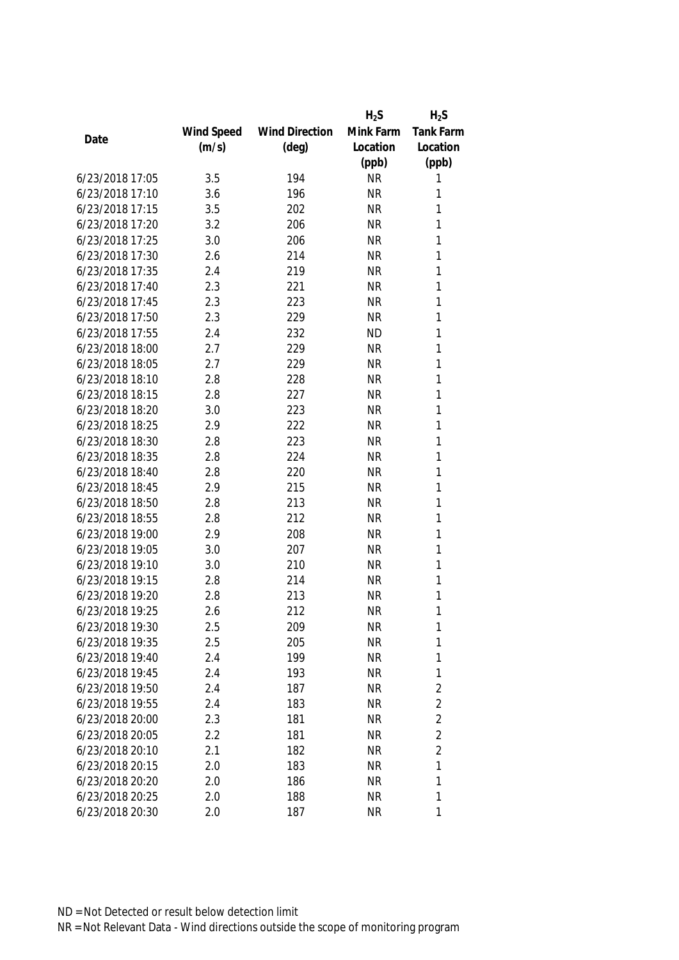|                 |            |                       | $H_2S$    | $H_2S$         |
|-----------------|------------|-----------------------|-----------|----------------|
|                 | Wind Speed | <b>Wind Direction</b> | Mink Farm | Tank Farm      |
| Date            | (m/s)      | $(\text{deg})$        | Location  | Location       |
|                 |            |                       | (ppb)     | (ppb)          |
| 6/23/2018 17:05 | 3.5        | 194                   | <b>NR</b> | 1              |
| 6/23/2018 17:10 | 3.6        | 196                   | <b>NR</b> | 1              |
| 6/23/2018 17:15 | 3.5        | 202                   | <b>NR</b> | 1              |
| 6/23/2018 17:20 | 3.2        | 206                   | <b>NR</b> | 1              |
| 6/23/2018 17:25 | 3.0        | 206                   | <b>NR</b> | 1              |
| 6/23/2018 17:30 | 2.6        | 214                   | <b>NR</b> | 1              |
| 6/23/2018 17:35 | 2.4        | 219                   | <b>NR</b> | 1              |
| 6/23/2018 17:40 | 2.3        | 221                   | <b>NR</b> | 1              |
| 6/23/2018 17:45 | 2.3        | 223                   | <b>NR</b> | 1              |
| 6/23/2018 17:50 | 2.3        | 229                   | <b>NR</b> | 1              |
| 6/23/2018 17:55 | 2.4        | 232                   | <b>ND</b> | 1              |
| 6/23/2018 18:00 | 2.7        | 229                   | <b>NR</b> | 1              |
| 6/23/2018 18:05 | 2.7        | 229                   | <b>NR</b> | 1              |
| 6/23/2018 18:10 | 2.8        | 228                   | <b>NR</b> | 1              |
| 6/23/2018 18:15 | 2.8        | 227                   | <b>NR</b> | 1              |
| 6/23/2018 18:20 | 3.0        | 223                   | <b>NR</b> | $\mathbf{1}$   |
| 6/23/2018 18:25 | 2.9        | 222                   | <b>NR</b> | 1              |
| 6/23/2018 18:30 | 2.8        | 223                   | <b>NR</b> | 1              |
| 6/23/2018 18:35 | 2.8        | 224                   | <b>NR</b> | 1              |
| 6/23/2018 18:40 | 2.8        | 220                   | <b>NR</b> | 1              |
| 6/23/2018 18:45 | 2.9        | 215                   | <b>NR</b> | 1              |
| 6/23/2018 18:50 | 2.8        | 213                   | <b>NR</b> | $\mathbf{1}$   |
| 6/23/2018 18:55 | 2.8        | 212                   | <b>NR</b> | 1              |
| 6/23/2018 19:00 | 2.9        | 208                   | <b>NR</b> | 1              |
| 6/23/2018 19:05 | 3.0        | 207                   | <b>NR</b> | 1              |
| 6/23/2018 19:10 | 3.0        | 210                   | <b>NR</b> | 1              |
| 6/23/2018 19:15 | 2.8        | 214                   | <b>NR</b> | 1              |
| 6/23/2018 19:20 | 2.8        | 213                   | <b>NR</b> | 1              |
| 6/23/2018 19:25 | 2.6        | 212                   | <b>NR</b> | 1              |
| 6/23/2018 19:30 | 2.5        | 209                   | <b>NR</b> | 1              |
| 6/23/2018 19:35 | 2.5        | 205                   | <b>NR</b> | 1              |
| 6/23/2018 19:40 | 2.4        | 199                   | <b>NR</b> | 1              |
| 6/23/2018 19:45 | 2.4        | 193                   | <b>NR</b> | 1              |
| 6/23/2018 19:50 | 2.4        | 187                   | NR        | $\overline{2}$ |
| 6/23/2018 19:55 | 2.4        | 183                   | <b>NR</b> | $\overline{2}$ |
| 6/23/2018 20:00 | 2.3        | 181                   | <b>NR</b> | $\overline{2}$ |
| 6/23/2018 20:05 | 2.2        | 181                   | <b>NR</b> | $\overline{c}$ |
| 6/23/2018 20:10 | 2.1        | 182                   | <b>NR</b> | $\overline{2}$ |
| 6/23/2018 20:15 | 2.0        | 183                   | <b>NR</b> | 1              |
| 6/23/2018 20:20 | 2.0        | 186                   | <b>NR</b> | 1              |
| 6/23/2018 20:25 | 2.0        | 188                   | <b>NR</b> | 1              |
| 6/23/2018 20:30 | 2.0        | 187                   | <b>NR</b> | 1              |